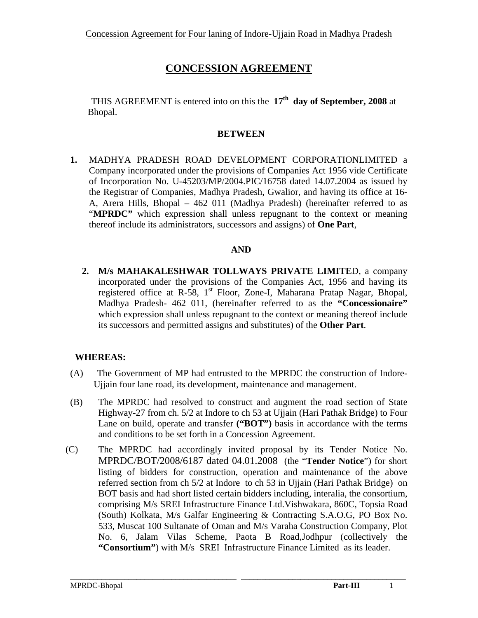# **CONCESSION AGREEMENT**

 THIS AGREEMENT is entered into on this the **17th day of September, 2008** at Bhopal.

### **BETWEEN**

**1.** MADHYA PRADESH ROAD DEVELOPMENT CORPORATIONLIMITED a Company incorporated under the provisions of Companies Act 1956 vide Certificate of Incorporation No. U-45203/MP/2004.PIC/16758 dated 14.07.2004 as issued by the Registrar of Companies, Madhya Pradesh, Gwalior, and having its office at 16- A, Arera Hills, Bhopal – 462 011 (Madhya Pradesh) (hereinafter referred to as "**MPRDC**" which expression shall unless repugnant to the context or meaning thereof include its administrators, successors and assigns) of **One Part**,

### **AND**

**2. M/s MAHAKALESHWAR TOLLWAYS PRIVATE LIMITE**D, a company incorporated under the provisions of the Companies Act, 1956 and having its registered office at R-58, 1<sup>st</sup> Floor, Zone-I, Maharana Pratap Nagar, Bhopal, Madhya Pradesh- 462 011, (hereinafter referred to as the **"Concessionaire"** which expression shall unless repugnant to the context or meaning thereof include its successors and permitted assigns and substitutes) of the **Other Part**.

# **WHEREAS:**

- (A) The Government of MP had entrusted to the MPRDC the construction of Indore-Ujjain four lane road, its development, maintenance and management.
- (B) The MPRDC had resolved to construct and augment the road section of State Highway-27 from ch. 5/2 at Indore to ch 53 at Ujjain (Hari Pathak Bridge) to Four Lane on build, operate and transfer ("BOT") basis in accordance with the terms and conditions to be set forth in a Concession Agreement.
- (C) The MPRDC had accordingly invited proposal by its Tender Notice No. MPRDC/BOT/2008/6187 dated 04.01.2008 (the "**Tender Notice**") for short listing of bidders for construction, operation and maintenance of the above referred section from ch 5/2 at Indore to ch 53 in Ujjain (Hari Pathak Bridge) on BOT basis and had short listed certain bidders including, interalia, the consortium, comprising M/s SREI Infrastructure Finance Ltd.Vishwakara, 860C, Topsia Road (South) Kolkata, M/s Galfar Engineering & Contracting S.A.O.G, PO Box No. 533, Muscat 100 Sultanate of Oman and M/s Varaha Construction Company, Plot No. 6, Jalam Vilas Scheme, Paota B Road,Jodhpur (collectively the **"Consortium"**) with M/s SREI Infrastructure Finance Limited as its leader.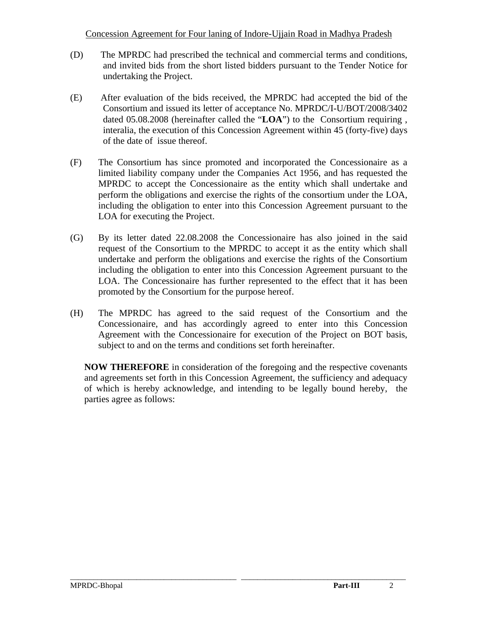- (D) The MPRDC had prescribed the technical and commercial terms and conditions, and invited bids from the short listed bidders pursuant to the Tender Notice for undertaking the Project.
- (E) After evaluation of the bids received, the MPRDC had accepted the bid of the Consortium and issued its letter of acceptance No. MPRDC/I-U/BOT/2008/3402 dated 05.08.2008 (hereinafter called the "**LOA**") to the Consortium requiring , interalia, the execution of this Concession Agreement within 45 (forty-five) days of the date of issue thereof.
- (F) The Consortium has since promoted and incorporated the Concessionaire as a limited liability company under the Companies Act 1956, and has requested the MPRDC to accept the Concessionaire as the entity which shall undertake and perform the obligations and exercise the rights of the consortium under the LOA, including the obligation to enter into this Concession Agreement pursuant to the LOA for executing the Project.
- (G) By its letter dated 22.08.2008 the Concessionaire has also joined in the said request of the Consortium to the MPRDC to accept it as the entity which shall undertake and perform the obligations and exercise the rights of the Consortium including the obligation to enter into this Concession Agreement pursuant to the LOA. The Concessionaire has further represented to the effect that it has been promoted by the Consortium for the purpose hereof.
- (H) The MPRDC has agreed to the said request of the Consortium and the Concessionaire, and has accordingly agreed to enter into this Concession Agreement with the Concessionaire for execution of the Project on BOT basis, subject to and on the terms and conditions set forth hereinafter.

**NOW THEREFORE** in consideration of the foregoing and the respective covenants and agreements set forth in this Concession Agreement, the sufficiency and adequacy of which is hereby acknowledge, and intending to be legally bound hereby, the parties agree as follows: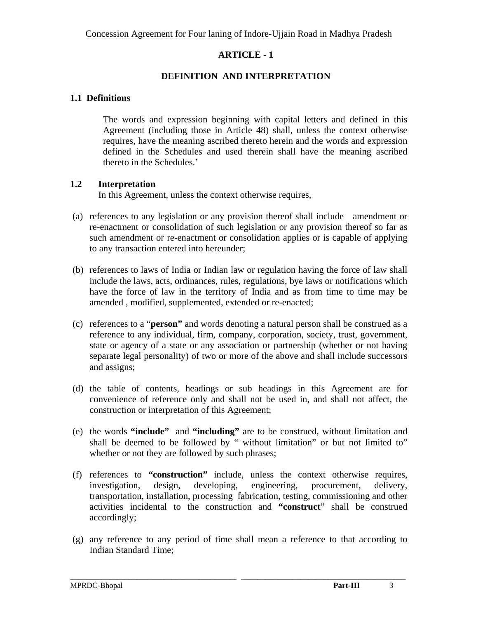### **DEFINITION AND INTERPRETATION**

#### **1.1 Definitions**

The words and expression beginning with capital letters and defined in this Agreement (including those in Article 48) shall, unless the context otherwise requires, have the meaning ascribed thereto herein and the words and expression defined in the Schedules and used therein shall have the meaning ascribed thereto in the Schedules.'

#### **1.2 Interpretation**

In this Agreement, unless the context otherwise requires,

- (a) references to any legislation or any provision thereof shall include amendment or re-enactment or consolidation of such legislation or any provision thereof so far as such amendment or re-enactment or consolidation applies or is capable of applying to any transaction entered into hereunder;
- (b) references to laws of India or Indian law or regulation having the force of law shall include the laws, acts, ordinances, rules, regulations, bye laws or notifications which have the force of law in the territory of India and as from time to time may be amended , modified, supplemented, extended or re-enacted;
- (c) references to a "**person"** and words denoting a natural person shall be construed as a reference to any individual, firm, company, corporation, society, trust, government, state or agency of a state or any association or partnership (whether or not having separate legal personality) of two or more of the above and shall include successors and assigns;
- (d) the table of contents, headings or sub headings in this Agreement are for convenience of reference only and shall not be used in, and shall not affect, the construction or interpretation of this Agreement;
- (e) the words **"include"** and **"including"** are to be construed, without limitation and shall be deemed to be followed by " without limitation" or but not limited to" whether or not they are followed by such phrases;
- (f) references to **"construction"** include, unless the context otherwise requires, investigation, design, developing, engineering, procurement, delivery, transportation, installation, processing fabrication, testing, commissioning and other activities incidental to the construction and **"construct**" shall be construed accordingly;
- (g) any reference to any period of time shall mean a reference to that according to Indian Standard Time;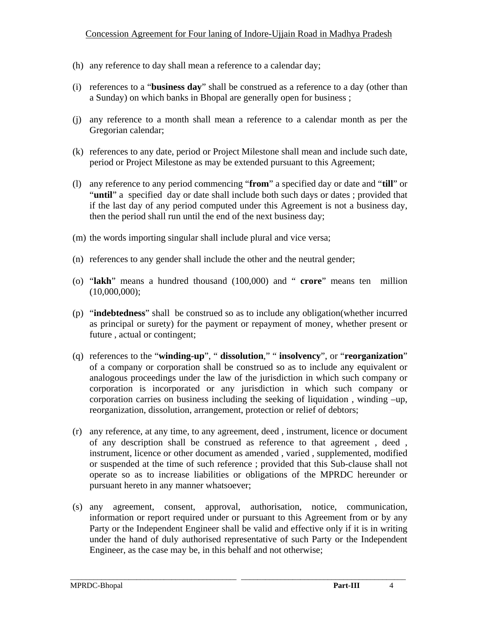- (h) any reference to day shall mean a reference to a calendar day;
- (i) references to a "**business day**" shall be construed as a reference to a day (other than a Sunday) on which banks in Bhopal are generally open for business ;
- (j) any reference to a month shall mean a reference to a calendar month as per the Gregorian calendar;
- (k) references to any date, period or Project Milestone shall mean and include such date, period or Project Milestone as may be extended pursuant to this Agreement;
- (l) any reference to any period commencing "**from**" a specified day or date and "**till**" or "**until**" a specified day or date shall include both such days or dates; provided that if the last day of any period computed under this Agreement is not a business day, then the period shall run until the end of the next business day;
- (m) the words importing singular shall include plural and vice versa;
- (n) references to any gender shall include the other and the neutral gender;
- (o) "**lakh**" means a hundred thousand (100,000) and " **crore**" means ten million (10,000,000);
- (p) "**indebtedness**" shall be construed so as to include any obligation(whether incurred as principal or surety) for the payment or repayment of money, whether present or future , actual or contingent;
- (q) references to the "**winding-up**", " **dissolution**," " **insolvency**", or "**reorganization**" of a company or corporation shall be construed so as to include any equivalent or analogous proceedings under the law of the jurisdiction in which such company or corporation is incorporated or any jurisdiction in which such company or corporation carries on business including the seeking of liquidation , winding –up, reorganization, dissolution, arrangement, protection or relief of debtors;
- (r) any reference, at any time, to any agreement, deed , instrument, licence or document of any description shall be construed as reference to that agreement , deed , instrument, licence or other document as amended , varied , supplemented, modified or suspended at the time of such reference ; provided that this Sub-clause shall not operate so as to increase liabilities or obligations of the MPRDC hereunder or pursuant hereto in any manner whatsoever;
- (s) any agreement, consent, approval, authorisation, notice, communication, information or report required under or pursuant to this Agreement from or by any Party or the Independent Engineer shall be valid and effective only if it is in writing under the hand of duly authorised representative of such Party or the Independent Engineer, as the case may be, in this behalf and not otherwise;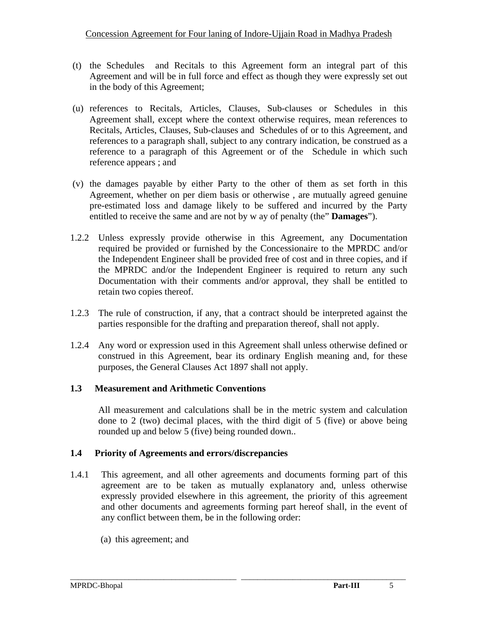- (t) the Schedules and Recitals to this Agreement form an integral part of this Agreement and will be in full force and effect as though they were expressly set out in the body of this Agreement;
- (u) references to Recitals, Articles, Clauses, Sub-clauses or Schedules in this Agreement shall, except where the context otherwise requires, mean references to Recitals, Articles, Clauses, Sub-clauses and Schedules of or to this Agreement, and references to a paragraph shall, subject to any contrary indication, be construed as a reference to a paragraph of this Agreement or of the Schedule in which such reference appears ; and
- (v) the damages payable by either Party to the other of them as set forth in this Agreement, whether on per diem basis or otherwise , are mutually agreed genuine pre-estimated loss and damage likely to be suffered and incurred by the Party entitled to receive the same and are not by w ay of penalty (the" **Damages**").
- 1.2.2 Unless expressly provide otherwise in this Agreement, any Documentation required be provided or furnished by the Concessionaire to the MPRDC and/or the Independent Engineer shall be provided free of cost and in three copies, and if the MPRDC and/or the Independent Engineer is required to return any such Documentation with their comments and/or approval, they shall be entitled to retain two copies thereof.
- 1.2.3 The rule of construction, if any, that a contract should be interpreted against the parties responsible for the drafting and preparation thereof, shall not apply.
- 1.2.4 Any word or expression used in this Agreement shall unless otherwise defined or construed in this Agreement, bear its ordinary English meaning and, for these purposes, the General Clauses Act 1897 shall not apply.

### **1.3 Measurement and Arithmetic Conventions**

All measurement and calculations shall be in the metric system and calculation done to 2 (two) decimal places, with the third digit of 5 (five) or above being rounded up and below 5 (five) being rounded down..

### **1.4 Priority of Agreements and errors/discrepancies**

- 1.4.1 This agreement, and all other agreements and documents forming part of this agreement are to be taken as mutually explanatory and, unless otherwise expressly provided elsewhere in this agreement, the priority of this agreement and other documents and agreements forming part hereof shall, in the event of any conflict between them, be in the following order:
	- (a) this agreement; and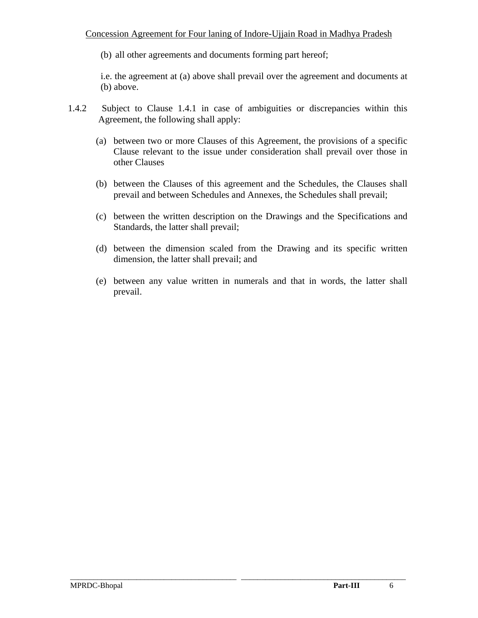(b) all other agreements and documents forming part hereof;

i.e. the agreement at (a) above shall prevail over the agreement and documents at (b) above.

- 1.4.2 Subject to Clause 1.4.1 in case of ambiguities or discrepancies within this Agreement, the following shall apply:
	- (a) between two or more Clauses of this Agreement, the provisions of a specific Clause relevant to the issue under consideration shall prevail over those in other Clauses
	- (b) between the Clauses of this agreement and the Schedules, the Clauses shall prevail and between Schedules and Annexes, the Schedules shall prevail;
	- (c) between the written description on the Drawings and the Specifications and Standards, the latter shall prevail;
	- (d) between the dimension scaled from the Drawing and its specific written dimension, the latter shall prevail; and
	- (e) between any value written in numerals and that in words, the latter shall prevail.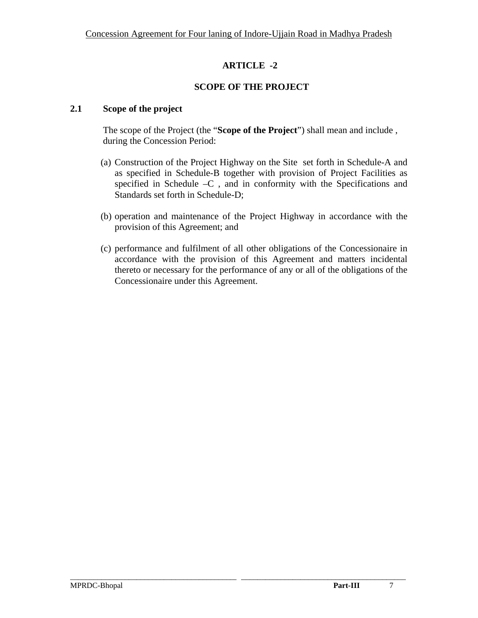### **SCOPE OF THE PROJECT**

### **2.1 Scope of the project**

The scope of the Project (the "**Scope of the Project**") shall mean and include , during the Concession Period:

- (a) Construction of the Project Highway on the Site set forth in Schedule-A and as specified in Schedule-B together with provision of Project Facilities as specified in Schedule –C , and in conformity with the Specifications and Standards set forth in Schedule-D;
- (b) operation and maintenance of the Project Highway in accordance with the provision of this Agreement; and
- (c) performance and fulfilment of all other obligations of the Concessionaire in accordance with the provision of this Agreement and matters incidental thereto or necessary for the performance of any or all of the obligations of the Concessionaire under this Agreement.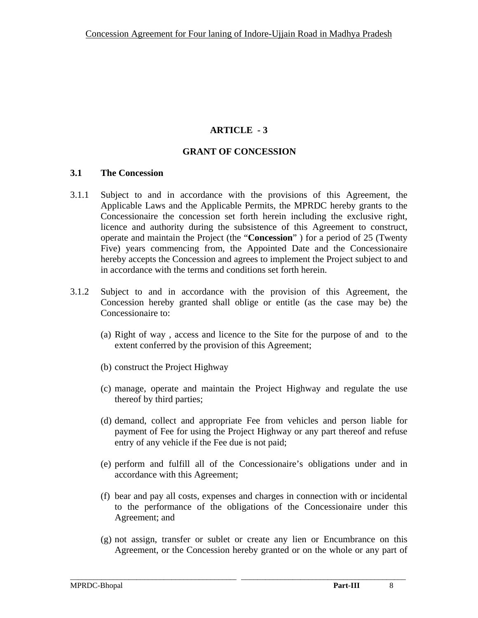#### **GRANT OF CONCESSION**

#### **3.1 The Concession**

- 3.1.1 Subject to and in accordance with the provisions of this Agreement, the Applicable Laws and the Applicable Permits, the MPRDC hereby grants to the Concessionaire the concession set forth herein including the exclusive right, licence and authority during the subsistence of this Agreement to construct, operate and maintain the Project (the "**Concession**" ) for a period of 25 (Twenty Five) years commencing from, the Appointed Date and the Concessionaire hereby accepts the Concession and agrees to implement the Project subject to and in accordance with the terms and conditions set forth herein.
- 3.1.2 Subject to and in accordance with the provision of this Agreement, the Concession hereby granted shall oblige or entitle (as the case may be) the Concessionaire to:
	- (a) Right of way , access and licence to the Site for the purpose of and to the extent conferred by the provision of this Agreement;
	- (b) construct the Project Highway
	- (c) manage, operate and maintain the Project Highway and regulate the use thereof by third parties;
	- (d) demand, collect and appropriate Fee from vehicles and person liable for payment of Fee for using the Project Highway or any part thereof and refuse entry of any vehicle if the Fee due is not paid;
	- (e) perform and fulfill all of the Concessionaire's obligations under and in accordance with this Agreement;
	- (f) bear and pay all costs, expenses and charges in connection with or incidental to the performance of the obligations of the Concessionaire under this Agreement; and
	- (g) not assign, transfer or sublet or create any lien or Encumbrance on this Agreement, or the Concession hereby granted or on the whole or any part of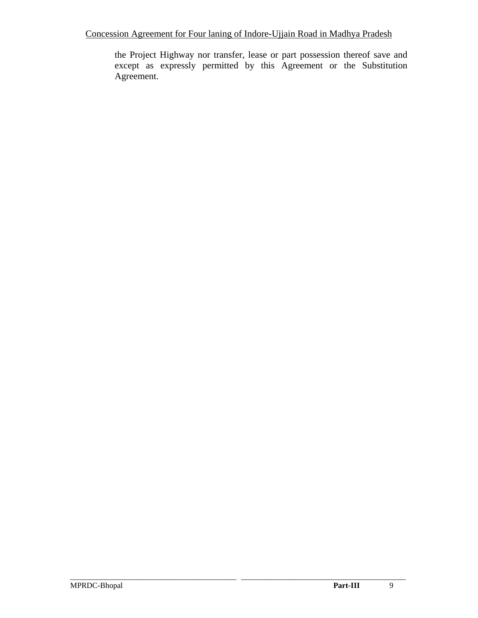the Project Highway nor transfer, lease or part possession thereof save and except as expressly permitted by this Agreement or the Substitution Agreement.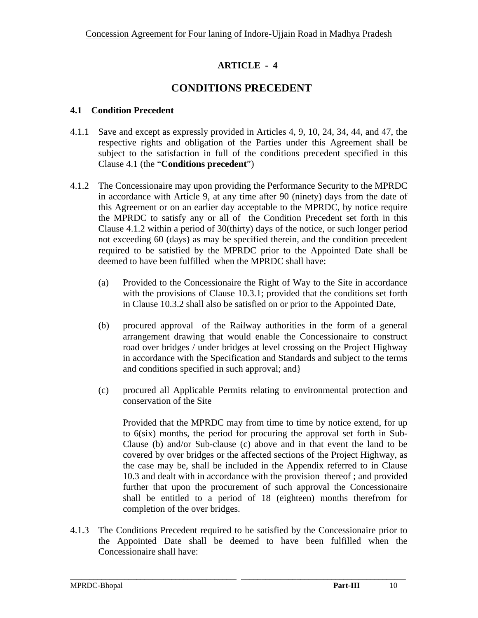# **CONDITIONS PRECEDENT**

### **4.1 Condition Precedent**

- 4.1.1 Save and except as expressly provided in Articles 4, 9, 10, 24, 34, 44, and 47, the respective rights and obligation of the Parties under this Agreement shall be subject to the satisfaction in full of the conditions precedent specified in this Clause 4.1 (the "**Conditions precedent**")
- 4.1.2 The Concessionaire may upon providing the Performance Security to the MPRDC in accordance with Article 9, at any time after 90 (ninety) days from the date of this Agreement or on an earlier day acceptable to the MPRDC, by notice require the MPRDC to satisfy any or all of the Condition Precedent set forth in this Clause 4.1.2 within a period of 30(thirty) days of the notice, or such longer period not exceeding 60 (days) as may be specified therein, and the condition precedent required to be satisfied by the MPRDC prior to the Appointed Date shall be deemed to have been fulfilled when the MPRDC shall have:
	- (a) Provided to the Concessionaire the Right of Way to the Site in accordance with the provisions of Clause 10.3.1; provided that the conditions set forth in Clause 10.3.2 shall also be satisfied on or prior to the Appointed Date,
	- (b) procured approval of the Railway authorities in the form of a general arrangement drawing that would enable the Concessionaire to construct road over bridges / under bridges at level crossing on the Project Highway in accordance with the Specification and Standards and subject to the terms and conditions specified in such approval; and}
	- (c) procured all Applicable Permits relating to environmental protection and conservation of the Site

Provided that the MPRDC may from time to time by notice extend, for up to 6(six) months, the period for procuring the approval set forth in Sub-Clause (b) and/or Sub-clause (c) above and in that event the land to be covered by over bridges or the affected sections of the Project Highway, as the case may be, shall be included in the Appendix referred to in Clause 10.3 and dealt with in accordance with the provision thereof ; and provided further that upon the procurement of such approval the Concessionaire shall be entitled to a period of 18 (eighteen) months therefrom for completion of the over bridges.

4.1.3 The Conditions Precedent required to be satisfied by the Concessionaire prior to the Appointed Date shall be deemed to have been fulfilled when the Concessionaire shall have: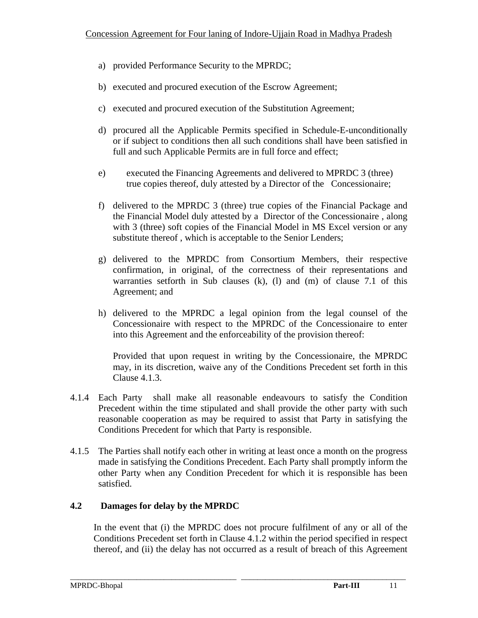- a) provided Performance Security to the MPRDC;
- b) executed and procured execution of the Escrow Agreement;
- c) executed and procured execution of the Substitution Agreement;
- d) procured all the Applicable Permits specified in Schedule-E-unconditionally or if subject to conditions then all such conditions shall have been satisfied in full and such Applicable Permits are in full force and effect;
- e) executed the Financing Agreements and delivered to MPRDC 3 (three) true copies thereof, duly attested by a Director of the Concessionaire;
- f) delivered to the MPRDC 3 (three) true copies of the Financial Package and the Financial Model duly attested by a Director of the Concessionaire , along with 3 (three) soft copies of the Financial Model in MS Excel version or any substitute thereof , which is acceptable to the Senior Lenders;
- g) delivered to the MPRDC from Consortium Members, their respective confirmation, in original, of the correctness of their representations and warranties setforth in Sub clauses (k), (l) and (m) of clause 7.1 of this Agreement; and
- h) delivered to the MPRDC a legal opinion from the legal counsel of the Concessionaire with respect to the MPRDC of the Concessionaire to enter into this Agreement and the enforceability of the provision thereof:

Provided that upon request in writing by the Concessionaire, the MPRDC may, in its discretion, waive any of the Conditions Precedent set forth in this Clause 4.1.3.

- 4.1.4 Each Party shall make all reasonable endeavours to satisfy the Condition Precedent within the time stipulated and shall provide the other party with such reasonable cooperation as may be required to assist that Party in satisfying the Conditions Precedent for which that Party is responsible.
- 4.1.5 The Parties shall notify each other in writing at least once a month on the progress made in satisfying the Conditions Precedent. Each Party shall promptly inform the other Party when any Condition Precedent for which it is responsible has been satisfied.

# **4.2 Damages for delay by the MPRDC**

In the event that (i) the MPRDC does not procure fulfilment of any or all of the Conditions Precedent set forth in Clause 4.1.2 within the period specified in respect thereof, and (ii) the delay has not occurred as a result of breach of this Agreement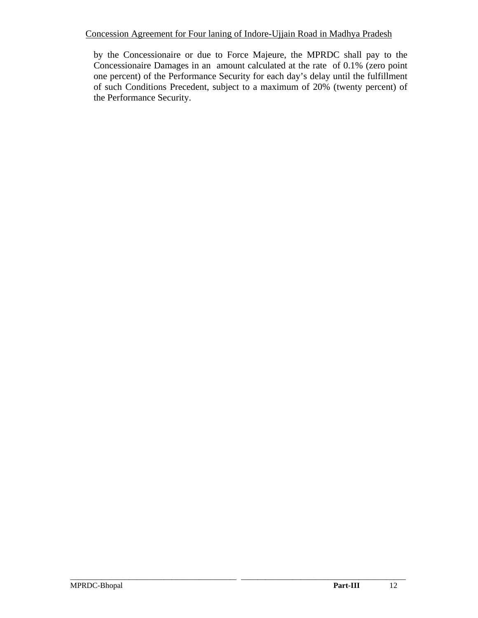by the Concessionaire or due to Force Majeure, the MPRDC shall pay to the Concessionaire Damages in an amount calculated at the rate of 0.1% (zero point one percent) of the Performance Security for each day's delay until the fulfillment of such Conditions Precedent, subject to a maximum of 20% (twenty percent) of the Performance Security.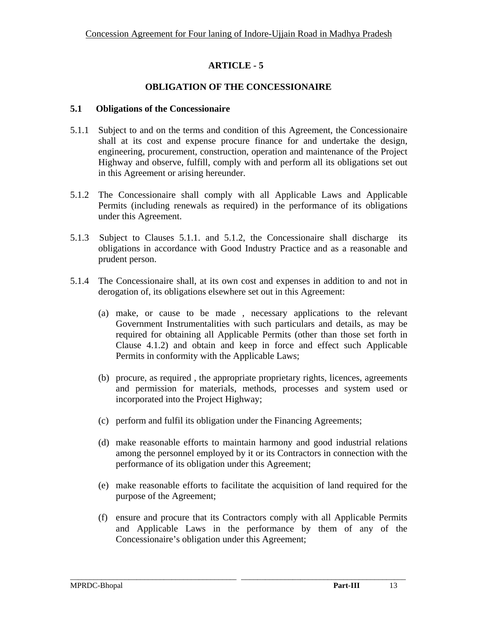# **OBLIGATION OF THE CONCESSIONAIRE**

#### **5.1 Obligations of the Concessionaire**

- 5.1.1 Subject to and on the terms and condition of this Agreement, the Concessionaire shall at its cost and expense procure finance for and undertake the design, engineering, procurement, construction, operation and maintenance of the Project Highway and observe, fulfill, comply with and perform all its obligations set out in this Agreement or arising hereunder.
- 5.1.2 The Concessionaire shall comply with all Applicable Laws and Applicable Permits (including renewals as required) in the performance of its obligations under this Agreement.
- 5.1.3 Subject to Clauses 5.1.1. and 5.1.2, the Concessionaire shall discharge its obligations in accordance with Good Industry Practice and as a reasonable and prudent person.
- 5.1.4 The Concessionaire shall, at its own cost and expenses in addition to and not in derogation of, its obligations elsewhere set out in this Agreement:
	- (a) make, or cause to be made , necessary applications to the relevant Government Instrumentalities with such particulars and details, as may be required for obtaining all Applicable Permits (other than those set forth in Clause 4.1.2) and obtain and keep in force and effect such Applicable Permits in conformity with the Applicable Laws;
	- (b) procure, as required , the appropriate proprietary rights, licences, agreements and permission for materials, methods, processes and system used or incorporated into the Project Highway;
	- (c) perform and fulfil its obligation under the Financing Agreements;
	- (d) make reasonable efforts to maintain harmony and good industrial relations among the personnel employed by it or its Contractors in connection with the performance of its obligation under this Agreement;
	- (e) make reasonable efforts to facilitate the acquisition of land required for the purpose of the Agreement;
	- (f) ensure and procure that its Contractors comply with all Applicable Permits and Applicable Laws in the performance by them of any of the Concessionaire's obligation under this Agreement;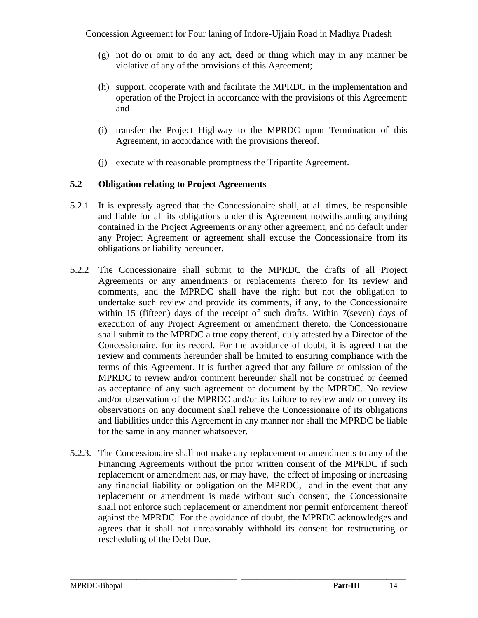- (g) not do or omit to do any act, deed or thing which may in any manner be violative of any of the provisions of this Agreement;
- (h) support, cooperate with and facilitate the MPRDC in the implementation and operation of the Project in accordance with the provisions of this Agreement: and
- (i) transfer the Project Highway to the MPRDC upon Termination of this Agreement, in accordance with the provisions thereof.
- (j) execute with reasonable promptness the Tripartite Agreement.

# **5.2 Obligation relating to Project Agreements**

- 5.2.1 It is expressly agreed that the Concessionaire shall, at all times, be responsible and liable for all its obligations under this Agreement notwithstanding anything contained in the Project Agreements or any other agreement, and no default under any Project Agreement or agreement shall excuse the Concessionaire from its obligations or liability hereunder.
- 5.2.2 The Concessionaire shall submit to the MPRDC the drafts of all Project Agreements or any amendments or replacements thereto for its review and comments, and the MPRDC shall have the right but not the obligation to undertake such review and provide its comments, if any, to the Concessionaire within 15 (fifteen) days of the receipt of such drafts. Within 7(seven) days of execution of any Project Agreement or amendment thereto, the Concessionaire shall submit to the MPRDC a true copy thereof, duly attested by a Director of the Concessionaire, for its record. For the avoidance of doubt, it is agreed that the review and comments hereunder shall be limited to ensuring compliance with the terms of this Agreement. It is further agreed that any failure or omission of the MPRDC to review and/or comment hereunder shall not be construed or deemed as acceptance of any such agreement or document by the MPRDC. No review and/or observation of the MPRDC and/or its failure to review and/ or convey its observations on any document shall relieve the Concessionaire of its obligations and liabilities under this Agreement in any manner nor shall the MPRDC be liable for the same in any manner whatsoever.
- 5.2.3. The Concessionaire shall not make any replacement or amendments to any of the Financing Agreements without the prior written consent of the MPRDC if such replacement or amendment has, or may have, the effect of imposing or increasing any financial liability or obligation on the MPRDC, and in the event that any replacement or amendment is made without such consent, the Concessionaire shall not enforce such replacement or amendment nor permit enforcement thereof against the MPRDC. For the avoidance of doubt, the MPRDC acknowledges and agrees that it shall not unreasonably withhold its consent for restructuring or rescheduling of the Debt Due.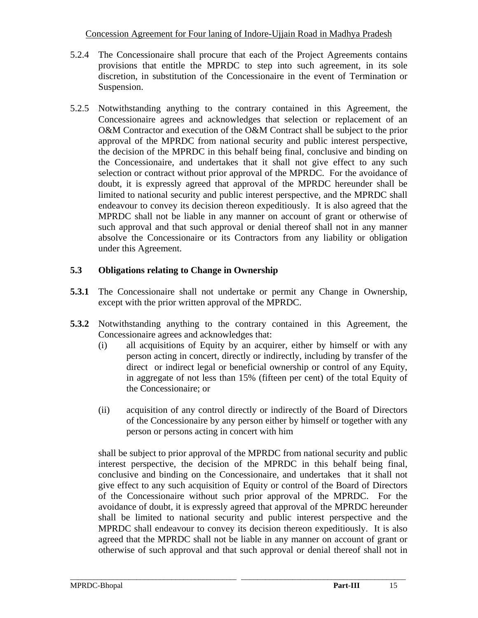- 5.2.4 The Concessionaire shall procure that each of the Project Agreements contains provisions that entitle the MPRDC to step into such agreement, in its sole discretion, in substitution of the Concessionaire in the event of Termination or Suspension.
- 5.2.5 Notwithstanding anything to the contrary contained in this Agreement, the Concessionaire agrees and acknowledges that selection or replacement of an O&M Contractor and execution of the O&M Contract shall be subject to the prior approval of the MPRDC from national security and public interest perspective, the decision of the MPRDC in this behalf being final, conclusive and binding on the Concessionaire, and undertakes that it shall not give effect to any such selection or contract without prior approval of the MPRDC. For the avoidance of doubt, it is expressly agreed that approval of the MPRDC hereunder shall be limited to national security and public interest perspective, and the MPRDC shall endeavour to convey its decision thereon expeditiously. It is also agreed that the MPRDC shall not be liable in any manner on account of grant or otherwise of such approval and that such approval or denial thereof shall not in any manner absolve the Concessionaire or its Contractors from any liability or obligation under this Agreement.

# **5.3 Obligations relating to Change in Ownership**

- **5.3.1** The Concessionaire shall not undertake or permit any Change in Ownership, except with the prior written approval of the MPRDC.
- **5.3.2** Notwithstanding anything to the contrary contained in this Agreement, the Concessionaire agrees and acknowledges that:
	- (i) all acquisitions of Equity by an acquirer, either by himself or with any person acting in concert, directly or indirectly, including by transfer of the direct or indirect legal or beneficial ownership or control of any Equity, in aggregate of not less than 15% (fifteen per cent) of the total Equity of the Concessionaire; or
	- (ii) acquisition of any control directly or indirectly of the Board of Directors of the Concessionaire by any person either by himself or together with any person or persons acting in concert with him

 shall be subject to prior approval of the MPRDC from national security and public interest perspective, the decision of the MPRDC in this behalf being final, conclusive and binding on the Concessionaire, and undertakes that it shall not give effect to any such acquisition of Equity or control of the Board of Directors of the Concessionaire without such prior approval of the MPRDC. For the avoidance of doubt, it is expressly agreed that approval of the MPRDC hereunder shall be limited to national security and public interest perspective and the MPRDC shall endeavour to convey its decision thereon expeditiously. It is also agreed that the MPRDC shall not be liable in any manner on account of grant or otherwise of such approval and that such approval or denial thereof shall not in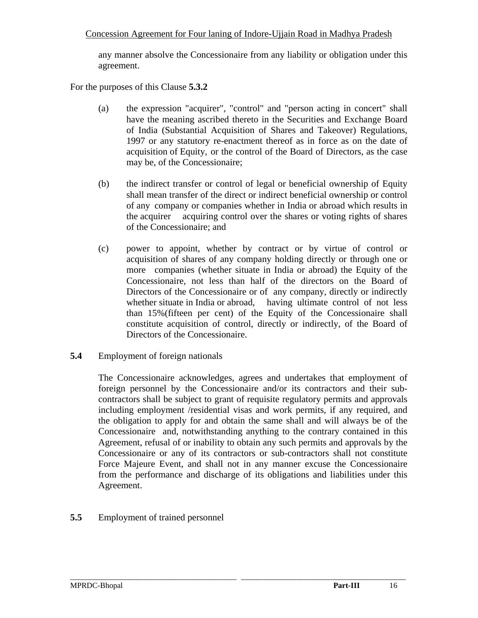any manner absolve the Concessionaire from any liability or obligation under this agreement.

For the purposes of this Clause **5.3.2**

- (a) the expression "acquirer", "control" and "person acting in concert" shall have the meaning ascribed thereto in the Securities and Exchange Board of India (Substantial Acquisition of Shares and Takeover) Regulations, 1997 or any statutory re-enactment thereof as in force as on the date of acquisition of Equity, or the control of the Board of Directors, as the case may be, of the Concessionaire;
- (b) the indirect transfer or control of legal or beneficial ownership of Equity shall mean transfer of the direct or indirect beneficial ownership or control of any company or companies whether in India or abroad which results in the acquirer acquiring control over the shares or voting rights of shares of the Concessionaire; and
- (c) power to appoint, whether by contract or by virtue of control or acquisition of shares of any company holding directly or through one or more companies (whether situate in India or abroad) the Equity of the Concessionaire, not less than half of the directors on the Board of Directors of the Concessionaire or of any company, directly or indirectly whether situate in India or abroad, having ultimate control of not less than 15%(fifteen per cent) of the Equity of the Concessionaire shall constitute acquisition of control, directly or indirectly, of the Board of Directors of the Concessionaire.
- **5.4** Employment of foreign nationals

 The Concessionaire acknowledges, agrees and undertakes that employment of foreign personnel by the Concessionaire and/or its contractors and their sub contractors shall be subject to grant of requisite regulatory permits and approvals including employment /residential visas and work permits, if any required, and the obligation to apply for and obtain the same shall and will always be of the Concessionaire and, notwithstanding anything to the contrary contained in this Agreement, refusal of or inability to obtain any such permits and approvals by the Concessionaire or any of its contractors or sub-contractors shall not constitute Force Majeure Event, and shall not in any manner excuse the Concessionaire from the performance and discharge of its obligations and liabilities under this Agreement.

\_\_\_\_\_\_\_\_\_\_\_\_\_\_\_\_\_\_\_\_\_\_\_\_\_\_\_\_\_\_\_\_\_\_\_\_\_\_\_\_\_\_\_\_\_\_\_\_\_\_\_\_\_\_\_\_\_\_\_\_\_\_\_\_\_\_\_\_\_\_\_\_\_\_\_\_\_\_\_\_\_\_\_\_\_\_

**5.5** Employment of trained personnel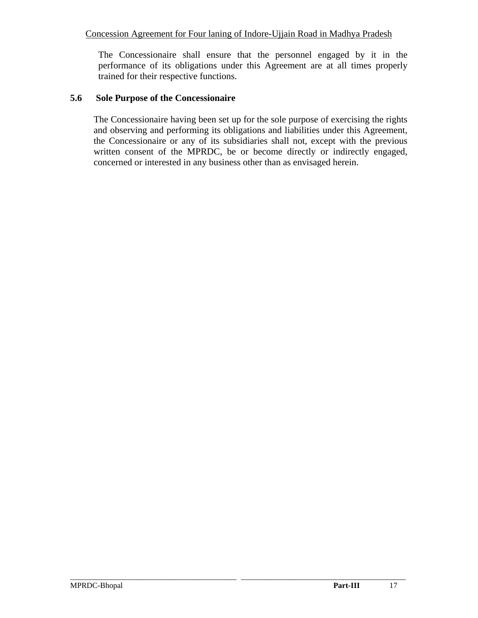The Concessionaire shall ensure that the personnel engaged by it in the performance of its obligations under this Agreement are at all times properly trained for their respective functions.

#### **5.6 Sole Purpose of the Concessionaire**

The Concessionaire having been set up for the sole purpose of exercising the rights and observing and performing its obligations and liabilities under this Agreement, the Concessionaire or any of its subsidiaries shall not, except with the previous written consent of the MPRDC, be or become directly or indirectly engaged, concerned or interested in any business other than as envisaged herein.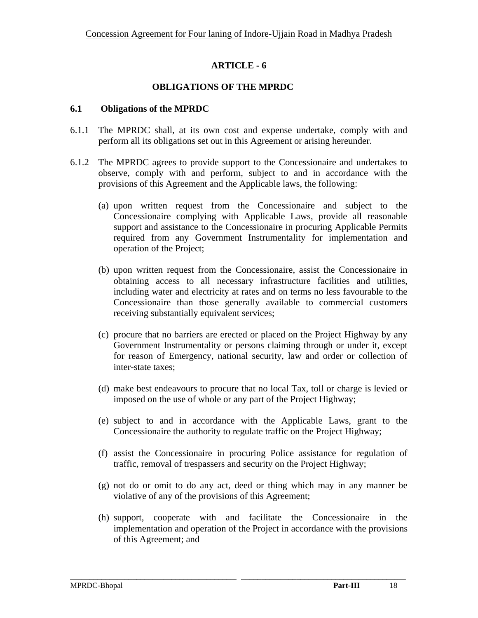### **OBLIGATIONS OF THE MPRDC**

### **6.1 Obligations of the MPRDC**

- 6.1.1 The MPRDC shall, at its own cost and expense undertake, comply with and perform all its obligations set out in this Agreement or arising hereunder.
- 6.1.2 The MPRDC agrees to provide support to the Concessionaire and undertakes to observe, comply with and perform, subject to and in accordance with the provisions of this Agreement and the Applicable laws, the following:
	- (a) upon written request from the Concessionaire and subject to the Concessionaire complying with Applicable Laws, provide all reasonable support and assistance to the Concessionaire in procuring Applicable Permits required from any Government Instrumentality for implementation and operation of the Project;
	- (b) upon written request from the Concessionaire, assist the Concessionaire in obtaining access to all necessary infrastructure facilities and utilities, including water and electricity at rates and on terms no less favourable to the Concessionaire than those generally available to commercial customers receiving substantially equivalent services;
	- (c) procure that no barriers are erected or placed on the Project Highway by any Government Instrumentality or persons claiming through or under it, except for reason of Emergency, national security, law and order or collection of inter-state taxes;
	- (d) make best endeavours to procure that no local Tax, toll or charge is levied or imposed on the use of whole or any part of the Project Highway;
	- (e) subject to and in accordance with the Applicable Laws, grant to the Concessionaire the authority to regulate traffic on the Project Highway;
	- (f) assist the Concessionaire in procuring Police assistance for regulation of traffic, removal of trespassers and security on the Project Highway;
	- (g) not do or omit to do any act, deed or thing which may in any manner be violative of any of the provisions of this Agreement;
	- (h) support, cooperate with and facilitate the Concessionaire in the implementation and operation of the Project in accordance with the provisions of this Agreement; and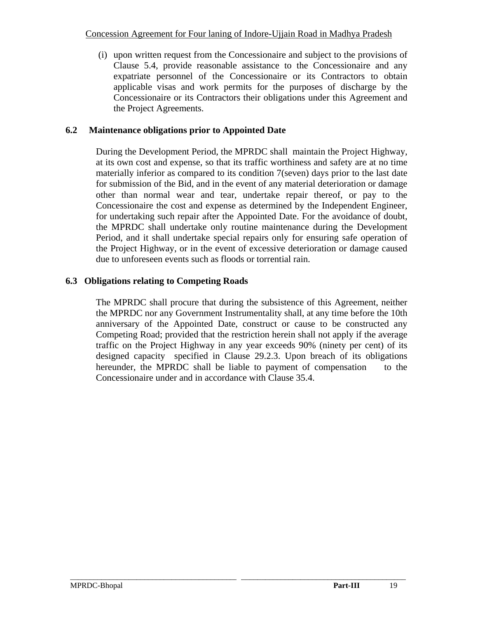(i) upon written request from the Concessionaire and subject to the provisions of Clause 5.4, provide reasonable assistance to the Concessionaire and any expatriate personnel of the Concessionaire or its Contractors to obtain applicable visas and work permits for the purposes of discharge by the Concessionaire or its Contractors their obligations under this Agreement and the Project Agreements.

# **6.2 Maintenance obligations prior to Appointed Date**

During the Development Period, the MPRDC shall maintain the Project Highway, at its own cost and expense, so that its traffic worthiness and safety are at no time materially inferior as compared to its condition 7(seven) days prior to the last date for submission of the Bid, and in the event of any material deterioration or damage other than normal wear and tear, undertake repair thereof, or pay to the Concessionaire the cost and expense as determined by the Independent Engineer, for undertaking such repair after the Appointed Date. For the avoidance of doubt, the MPRDC shall undertake only routine maintenance during the Development Period, and it shall undertake special repairs only for ensuring safe operation of the Project Highway, or in the event of excessive deterioration or damage caused due to unforeseen events such as floods or torrential rain.

# **6.3 Obligations relating to Competing Roads**

The MPRDC shall procure that during the subsistence of this Agreement, neither the MPRDC nor any Government Instrumentality shall, at any time before the 10th anniversary of the Appointed Date, construct or cause to be constructed any Competing Road; provided that the restriction herein shall not apply if the average traffic on the Project Highway in any year exceeds 90% (ninety per cent) of its designed capacity specified in Clause 29.2.3. Upon breach of its obligations hereunder, the MPRDC shall be liable to payment of compensation to the Concessionaire under and in accordance with Clause 35.4.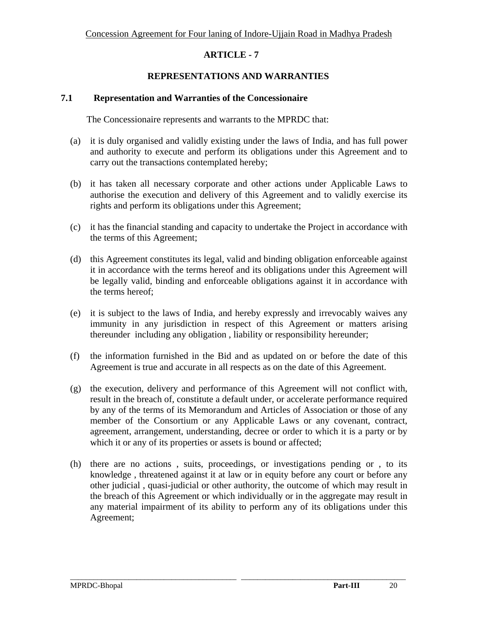### **REPRESENTATIONS AND WARRANTIES**

#### **7.1 Representation and Warranties of the Concessionaire**

The Concessionaire represents and warrants to the MPRDC that:

- (a) it is duly organised and validly existing under the laws of India, and has full power and authority to execute and perform its obligations under this Agreement and to carry out the transactions contemplated hereby;
- (b) it has taken all necessary corporate and other actions under Applicable Laws to authorise the execution and delivery of this Agreement and to validly exercise its rights and perform its obligations under this Agreement;
- (c) it has the financial standing and capacity to undertake the Project in accordance with the terms of this Agreement;
- (d) this Agreement constitutes its legal, valid and binding obligation enforceable against it in accordance with the terms hereof and its obligations under this Agreement will be legally valid, binding and enforceable obligations against it in accordance with the terms hereof;
- (e) it is subject to the laws of India, and hereby expressly and irrevocably waives any immunity in any jurisdiction in respect of this Agreement or matters arising thereunder including any obligation , liability or responsibility hereunder;
- (f) the information furnished in the Bid and as updated on or before the date of this Agreement is true and accurate in all respects as on the date of this Agreement.
- (g) the execution, delivery and performance of this Agreement will not conflict with, result in the breach of, constitute a default under, or accelerate performance required by any of the terms of its Memorandum and Articles of Association or those of any member of the Consortium or any Applicable Laws or any covenant, contract, agreement, arrangement, understanding, decree or order to which it is a party or by which it or any of its properties or assets is bound or affected;
- (h) there are no actions , suits, proceedings, or investigations pending or , to its knowledge , threatened against it at law or in equity before any court or before any other judicial , quasi-judicial or other authority, the outcome of which may result in the breach of this Agreement or which individually or in the aggregate may result in any material impairment of its ability to perform any of its obligations under this Agreement;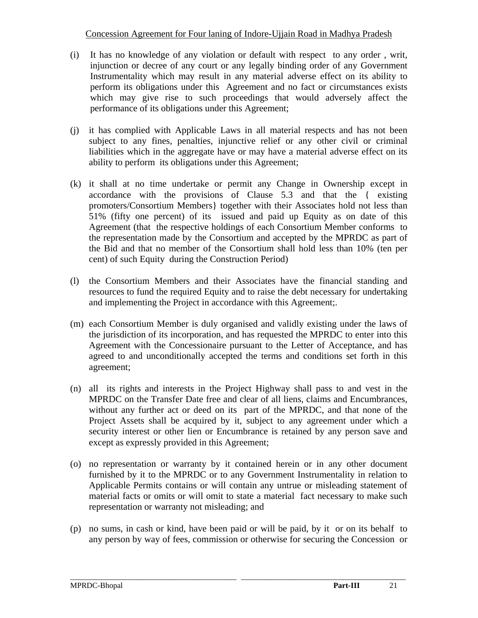- (i) It has no knowledge of any violation or default with respect to any order , writ, injunction or decree of any court or any legally binding order of any Government Instrumentality which may result in any material adverse effect on its ability to perform its obligations under this Agreement and no fact or circumstances exists which may give rise to such proceedings that would adversely affect the performance of its obligations under this Agreement;
- (j) it has complied with Applicable Laws in all material respects and has not been subject to any fines, penalties, injunctive relief or any other civil or criminal liabilities which in the aggregate have or may have a material adverse effect on its ability to perform its obligations under this Agreement;
- (k) it shall at no time undertake or permit any Change in Ownership except in accordance with the provisions of Clause 5.3 and that the { existing promoters/Consortium Members} together with their Associates hold not less than 51% (fifty one percent) of its issued and paid up Equity as on date of this Agreement (that the respective holdings of each Consortium Member conforms to the representation made by the Consortium and accepted by the MPRDC as part of the Bid and that no member of the Consortium shall hold less than 10% (ten per cent) of such Equity during the Construction Period)
- (l) the Consortium Members and their Associates have the financial standing and resources to fund the required Equity and to raise the debt necessary for undertaking and implementing the Project in accordance with this Agreement;.
- (m) each Consortium Member is duly organised and validly existing under the laws of the jurisdiction of its incorporation, and has requested the MPRDC to enter into this Agreement with the Concessionaire pursuant to the Letter of Acceptance, and has agreed to and unconditionally accepted the terms and conditions set forth in this agreement;
- (n) all its rights and interests in the Project Highway shall pass to and vest in the MPRDC on the Transfer Date free and clear of all liens, claims and Encumbrances, without any further act or deed on its part of the MPRDC, and that none of the Project Assets shall be acquired by it, subject to any agreement under which a security interest or other lien or Encumbrance is retained by any person save and except as expressly provided in this Agreement;
- (o) no representation or warranty by it contained herein or in any other document furnished by it to the MPRDC or to any Government Instrumentality in relation to Applicable Permits contains or will contain any untrue or misleading statement of material facts or omits or will omit to state a material fact necessary to make such representation or warranty not misleading; and
- (p) no sums, in cash or kind, have been paid or will be paid, by it or on its behalf to any person by way of fees, commission or otherwise for securing the Concession or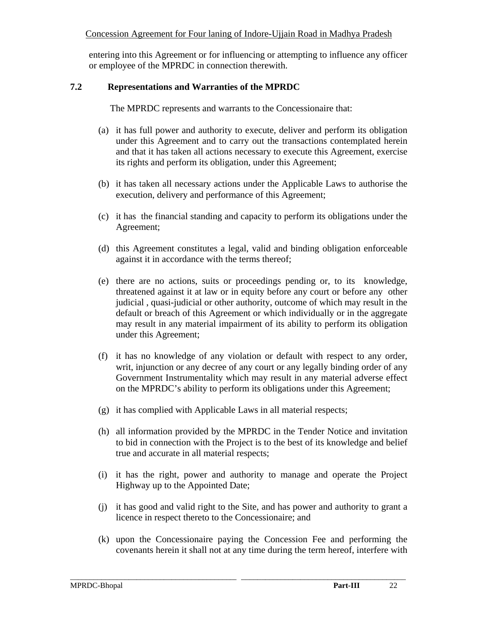entering into this Agreement or for influencing or attempting to influence any officer or employee of the MPRDC in connection therewith.

#### **7.2 Representations and Warranties of the MPRDC**

The MPRDC represents and warrants to the Concessionaire that:

- (a) it has full power and authority to execute, deliver and perform its obligation under this Agreement and to carry out the transactions contemplated herein and that it has taken all actions necessary to execute this Agreement, exercise its rights and perform its obligation, under this Agreement;
- (b) it has taken all necessary actions under the Applicable Laws to authorise the execution, delivery and performance of this Agreement;
- (c) it has the financial standing and capacity to perform its obligations under the Agreement;
- (d) this Agreement constitutes a legal, valid and binding obligation enforceable against it in accordance with the terms thereof;
- (e) there are no actions, suits or proceedings pending or, to its knowledge, threatened against it at law or in equity before any court or before any other judicial , quasi-judicial or other authority, outcome of which may result in the default or breach of this Agreement or which individually or in the aggregate may result in any material impairment of its ability to perform its obligation under this Agreement;
- (f) it has no knowledge of any violation or default with respect to any order, writ, injunction or any decree of any court or any legally binding order of any Government Instrumentality which may result in any material adverse effect on the MPRDC's ability to perform its obligations under this Agreement;
- (g) it has complied with Applicable Laws in all material respects;
- (h) all information provided by the MPRDC in the Tender Notice and invitation to bid in connection with the Project is to the best of its knowledge and belief true and accurate in all material respects;
- (i) it has the right, power and authority to manage and operate the Project Highway up to the Appointed Date;
- (j) it has good and valid right to the Site, and has power and authority to grant a licence in respect thereto to the Concessionaire; and
- (k) upon the Concessionaire paying the Concession Fee and performing the covenants herein it shall not at any time during the term hereof, interfere with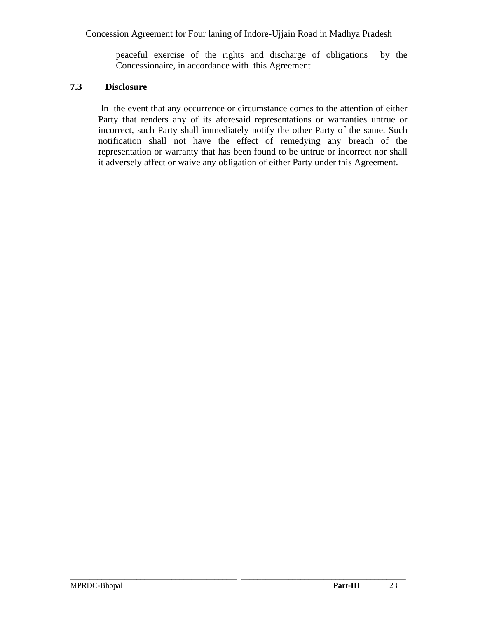peaceful exercise of the rights and discharge of obligations by the Concessionaire, in accordance with this Agreement.

# **7.3 Disclosure**

 In the event that any occurrence or circumstance comes to the attention of either Party that renders any of its aforesaid representations or warranties untrue or incorrect, such Party shall immediately notify the other Party of the same. Such notification shall not have the effect of remedying any breach of the representation or warranty that has been found to be untrue or incorrect nor shall it adversely affect or waive any obligation of either Party under this Agreement.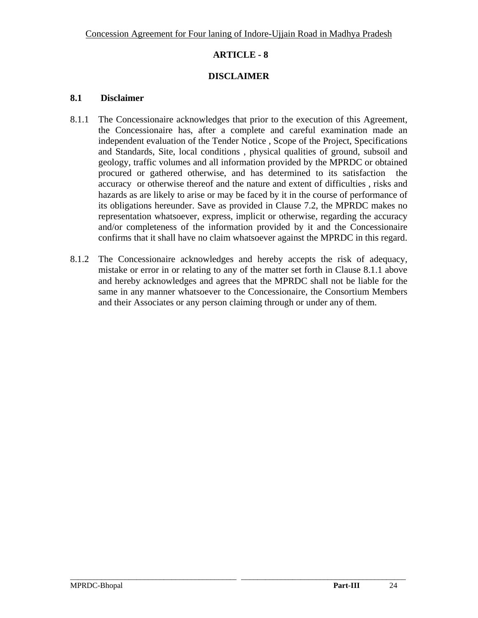# **DISCLAIMER**

#### **8.1 Disclaimer**

- 8.1.1 The Concessionaire acknowledges that prior to the execution of this Agreement, the Concessionaire has, after a complete and careful examination made an independent evaluation of the Tender Notice , Scope of the Project, Specifications and Standards, Site, local conditions , physical qualities of ground, subsoil and geology, traffic volumes and all information provided by the MPRDC or obtained procured or gathered otherwise, and has determined to its satisfaction the accuracy or otherwise thereof and the nature and extent of difficulties , risks and hazards as are likely to arise or may be faced by it in the course of performance of its obligations hereunder. Save as provided in Clause 7.2, the MPRDC makes no representation whatsoever, express, implicit or otherwise, regarding the accuracy and/or completeness of the information provided by it and the Concessionaire confirms that it shall have no claim whatsoever against the MPRDC in this regard.
- 8.1.2 The Concessionaire acknowledges and hereby accepts the risk of adequacy, mistake or error in or relating to any of the matter set forth in Clause 8.1.1 above and hereby acknowledges and agrees that the MPRDC shall not be liable for the same in any manner whatsoever to the Concessionaire, the Consortium Members and their Associates or any person claiming through or under any of them.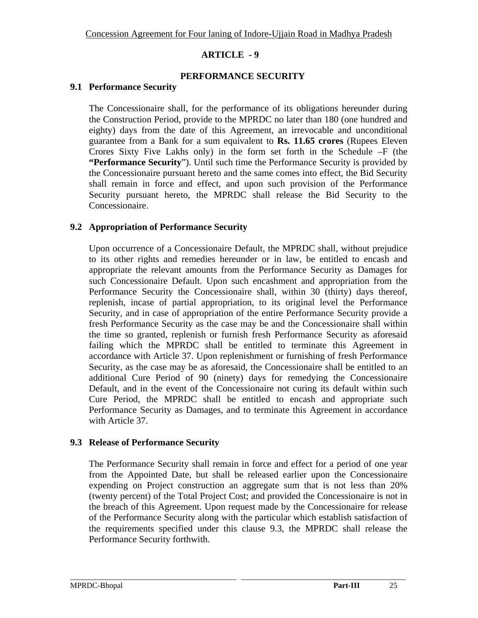# **PERFORMANCE SECURITY**

### **9.1 Performance Security**

The Concessionaire shall, for the performance of its obligations hereunder during the Construction Period, provide to the MPRDC no later than 180 (one hundred and eighty) days from the date of this Agreement, an irrevocable and unconditional guarantee from a Bank for a sum equivalent to **Rs. 11.65 crores** (Rupees Eleven Crores Sixty Five Lakhs only) in the form set forth in the Schedule –F (the **"Performance Security**"). Until such time the Performance Security is provided by the Concessionaire pursuant hereto and the same comes into effect, the Bid Security shall remain in force and effect, and upon such provision of the Performance Security pursuant hereto, the MPRDC shall release the Bid Security to the Concessionaire.

# **9.2 Appropriation of Performance Security**

Upon occurrence of a Concessionaire Default, the MPRDC shall, without prejudice to its other rights and remedies hereunder or in law, be entitled to encash and appropriate the relevant amounts from the Performance Security as Damages for such Concessionaire Default. Upon such encashment and appropriation from the Performance Security the Concessionaire shall, within 30 (thirty) days thereof, replenish, incase of partial appropriation, to its original level the Performance Security, and in case of appropriation of the entire Performance Security provide a fresh Performance Security as the case may be and the Concessionaire shall within the time so granted, replenish or furnish fresh Performance Security as aforesaid failing which the MPRDC shall be entitled to terminate this Agreement in accordance with Article 37. Upon replenishment or furnishing of fresh Performance Security, as the case may be as aforesaid, the Concessionaire shall be entitled to an additional Cure Period of 90 (ninety) days for remedying the Concessionaire Default, and in the event of the Concessionaire not curing its default within such Cure Period, the MPRDC shall be entitled to encash and appropriate such Performance Security as Damages, and to terminate this Agreement in accordance with Article 37.

### **9.3 Release of Performance Security**

The Performance Security shall remain in force and effect for a period of one year from the Appointed Date, but shall be released earlier upon the Concessionaire expending on Project construction an aggregate sum that is not less than 20% (twenty percent) of the Total Project Cost; and provided the Concessionaire is not in the breach of this Agreement. Upon request made by the Concessionaire for release of the Performance Security along with the particular which establish satisfaction of the requirements specified under this clause 9.3, the MPRDC shall release the Performance Security forthwith.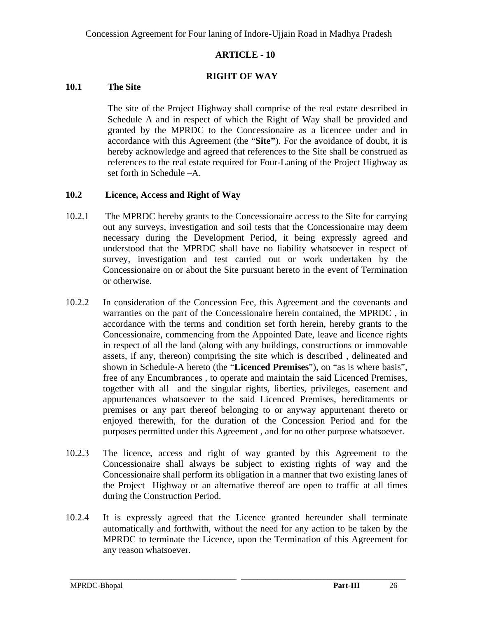### **RIGHT OF WAY**

## **10.1 The Site**

The site of the Project Highway shall comprise of the real estate described in Schedule A and in respect of which the Right of Way shall be provided and granted by the MPRDC to the Concessionaire as a licencee under and in accordance with this Agreement (the "**Site"**). For the avoidance of doubt, it is hereby acknowledge and agreed that references to the Site shall be construed as references to the real estate required for Four-Laning of the Project Highway as set forth in Schedule –A.

### **10.2 Licence, Access and Right of Way**

- 10.2.1 The MPRDC hereby grants to the Concessionaire access to the Site for carrying out any surveys, investigation and soil tests that the Concessionaire may deem necessary during the Development Period, it being expressly agreed and understood that the MPRDC shall have no liability whatsoever in respect of survey, investigation and test carried out or work undertaken by the Concessionaire on or about the Site pursuant hereto in the event of Termination or otherwise.
- 10.2.2 In consideration of the Concession Fee, this Agreement and the covenants and warranties on the part of the Concessionaire herein contained, the MPRDC , in accordance with the terms and condition set forth herein, hereby grants to the Concessionaire, commencing from the Appointed Date, leave and licence rights in respect of all the land (along with any buildings, constructions or immovable assets, if any, thereon) comprising the site which is described , delineated and shown in Schedule-A hereto (the "**Licenced Premises**"), on "as is where basis", free of any Encumbrances , to operate and maintain the said Licenced Premises, together with all and the singular rights, liberties, privileges, easement and appurtenances whatsoever to the said Licenced Premises, hereditaments or premises or any part thereof belonging to or anyway appurtenant thereto or enjoyed therewith, for the duration of the Concession Period and for the purposes permitted under this Agreement , and for no other purpose whatsoever.
- 10.2.3 The licence, access and right of way granted by this Agreement to the Concessionaire shall always be subject to existing rights of way and the Concessionaire shall perform its obligation in a manner that two existing lanes of the Project Highway or an alternative thereof are open to traffic at all times during the Construction Period.
- 10.2.4 It is expressly agreed that the Licence granted hereunder shall terminate automatically and forthwith, without the need for any action to be taken by the MPRDC to terminate the Licence, upon the Termination of this Agreement for any reason whatsoever.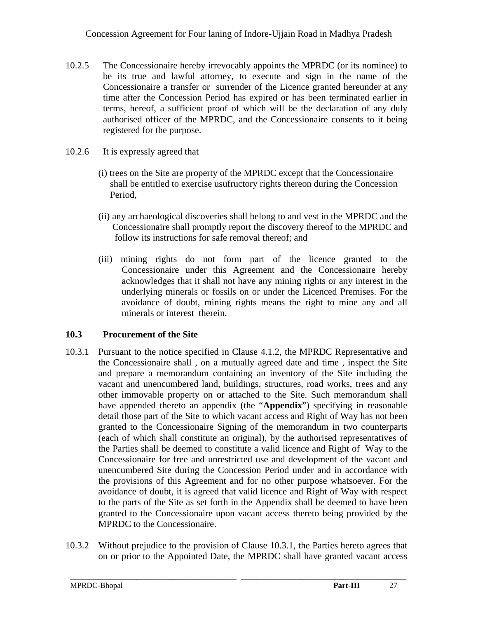- 10.2.5 The Concessionaire hereby irrevocably appoints the MPRDC (or its nominee) to be its true and lawful attorney, to execute and sign in the name of the Concessionaire a transfer or surrender of the Licence granted hereunder at any time after the Concession Period has expired or has been terminated earlier in terms, hereof, a sufficient proof of which will be the declaration of any duly authorised officer of the MPRDC, and the Concessionaire consents to it being registered for the purpose.
- 10.2.6 It is expressly agreed that
	- (i) trees on the Site are property of the MPRDC except that the Concessionaire shall be entitled to exercise usufructory rights thereon during the Concession Period,
	- (ii) any archaeological discoveries shall belong to and vest in the MPRDC and the Concessionaire shall promptly report the discovery thereof to the MPRDC and follow its instructions for safe removal thereof; and
	- (iii) mining rights do not form part of the licence granted to the Concessionaire under this Agreement and the Concessionaire hereby acknowledges that it shall not have any mining rights or any interest in the underlying minerals or fossils on or under the Licenced Premises. For the avoidance of doubt, mining rights means the right to mine any and all minerals or interest therein.

# **10.3 Procurement of the Site**

- 10.3.1 Pursuant to the notice specified in Clause 4.1.2, the MPRDC Representative and the Concessionaire shall , on a mutually agreed date and time , inspect the Site and prepare a memorandum containing an inventory of the Site including the vacant and unencumbered land, buildings, structures, road works, trees and any other immovable property on or attached to the Site. Such memorandum shall have appended thereto an appendix (the "**Appendix**") specifying in reasonable detail those part of the Site to which vacant access and Right of Way has not been granted to the Concessionaire Signing of the memorandum in two counterparts (each of which shall constitute an original), by the authorised representatives of the Parties shall be deemed to constitute a valid licence and Right of Way to the Concessionaire for free and unrestricted use and development of the vacant and unencumbered Site during the Concession Period under and in accordance with the provisions of this Agreement and for no other purpose whatsoever. For the avoidance of doubt, it is agreed that valid licence and Right of Way with respect to the parts of the Site as set forth in the Appendix shall be deemed to have been granted to the Concessionaire upon vacant access thereto being provided by the MPRDC to the Concessionaire.
- 10.3.2 Without prejudice to the provision of Clause 10.3.1, the Parties hereto agrees that on or prior to the Appointed Date, the MPRDC shall have granted vacant access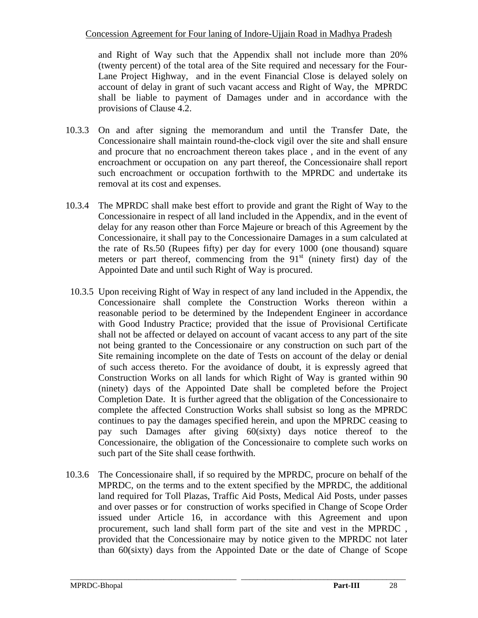and Right of Way such that the Appendix shall not include more than 20% (twenty percent) of the total area of the Site required and necessary for the Four-Lane Project Highway, and in the event Financial Close is delayed solely on account of delay in grant of such vacant access and Right of Way, the MPRDC shall be liable to payment of Damages under and in accordance with the provisions of Clause 4.2.

- 10.3.3 On and after signing the memorandum and until the Transfer Date, the Concessionaire shall maintain round-the-clock vigil over the site and shall ensure and procure that no encroachment thereon takes place , and in the event of any encroachment or occupation on any part thereof, the Concessionaire shall report such encroachment or occupation forthwith to the MPRDC and undertake its removal at its cost and expenses.
- 10.3.4 The MPRDC shall make best effort to provide and grant the Right of Way to the Concessionaire in respect of all land included in the Appendix, and in the event of delay for any reason other than Force Majeure or breach of this Agreement by the Concessionaire, it shall pay to the Concessionaire Damages in a sum calculated at the rate of Rs.50 (Rupees fifty) per day for every 1000 (one thousand) square meters or part thereof, commencing from the  $91<sup>st</sup>$  (ninety first) day of the Appointed Date and until such Right of Way is procured.
- 10.3.5 Upon receiving Right of Way in respect of any land included in the Appendix, the Concessionaire shall complete the Construction Works thereon within a reasonable period to be determined by the Independent Engineer in accordance with Good Industry Practice; provided that the issue of Provisional Certificate shall not be affected or delayed on account of vacant access to any part of the site not being granted to the Concessionaire or any construction on such part of the Site remaining incomplete on the date of Tests on account of the delay or denial of such access thereto. For the avoidance of doubt, it is expressly agreed that Construction Works on all lands for which Right of Way is granted within 90 (ninety) days of the Appointed Date shall be completed before the Project Completion Date. It is further agreed that the obligation of the Concessionaire to complete the affected Construction Works shall subsist so long as the MPRDC continues to pay the damages specified herein, and upon the MPRDC ceasing to pay such Damages after giving 60(sixty) days notice thereof to the Concessionaire, the obligation of the Concessionaire to complete such works on such part of the Site shall cease forthwith.
- 10.3.6 The Concessionaire shall, if so required by the MPRDC, procure on behalf of the MPRDC, on the terms and to the extent specified by the MPRDC, the additional land required for Toll Plazas, Traffic Aid Posts, Medical Aid Posts, under passes and over passes or for construction of works specified in Change of Scope Order issued under Article 16, in accordance with this Agreement and upon procurement, such land shall form part of the site and vest in the MPRDC , provided that the Concessionaire may by notice given to the MPRDC not later than 60(sixty) days from the Appointed Date or the date of Change of Scope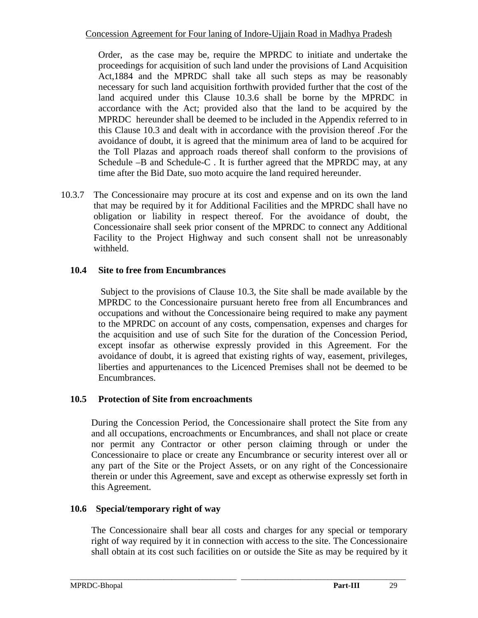Order, as the case may be, require the MPRDC to initiate and undertake the proceedings for acquisition of such land under the provisions of Land Acquisition Act,1884 and the MPRDC shall take all such steps as may be reasonably necessary for such land acquisition forthwith provided further that the cost of the land acquired under this Clause 10.3.6 shall be borne by the MPRDC in accordance with the Act; provided also that the land to be acquired by the MPRDC hereunder shall be deemed to be included in the Appendix referred to in this Clause 10.3 and dealt with in accordance with the provision thereof .For the avoidance of doubt, it is agreed that the minimum area of land to be acquired for the Toll Plazas and approach roads thereof shall conform to the provisions of Schedule –B and Schedule-C . It is further agreed that the MPRDC may, at any time after the Bid Date, suo moto acquire the land required hereunder.

10.3.7 The Concessionaire may procure at its cost and expense and on its own the land that may be required by it for Additional Facilities and the MPRDC shall have no obligation or liability in respect thereof. For the avoidance of doubt, the Concessionaire shall seek prior consent of the MPRDC to connect any Additional Facility to the Project Highway and such consent shall not be unreasonably withheld.

# **10.4 Site to free from Encumbrances**

 Subject to the provisions of Clause 10.3, the Site shall be made available by the MPRDC to the Concessionaire pursuant hereto free from all Encumbrances and occupations and without the Concessionaire being required to make any payment to the MPRDC on account of any costs, compensation, expenses and charges for the acquisition and use of such Site for the duration of the Concession Period, except insofar as otherwise expressly provided in this Agreement. For the avoidance of doubt, it is agreed that existing rights of way, easement, privileges, liberties and appurtenances to the Licenced Premises shall not be deemed to be Encumbrances.

# **10.5 Protection of Site from encroachments**

During the Concession Period, the Concessionaire shall protect the Site from any and all occupations, encroachments or Encumbrances, and shall not place or create nor permit any Contractor or other person claiming through or under the Concessionaire to place or create any Encumbrance or security interest over all or any part of the Site or the Project Assets, or on any right of the Concessionaire therein or under this Agreement, save and except as otherwise expressly set forth in this Agreement.

# **10.6 Special/temporary right of way**

The Concessionaire shall bear all costs and charges for any special or temporary right of way required by it in connection with access to the site. The Concessionaire shall obtain at its cost such facilities on or outside the Site as may be required by it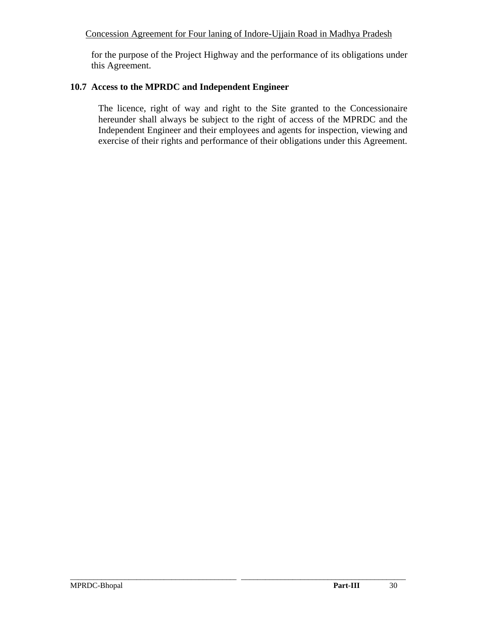for the purpose of the Project Highway and the performance of its obligations under this Agreement.

# **10.7 Access to the MPRDC and Independent Engineer**

The licence, right of way and right to the Site granted to the Concessionaire hereunder shall always be subject to the right of access of the MPRDC and the Independent Engineer and their employees and agents for inspection, viewing and exercise of their rights and performance of their obligations under this Agreement.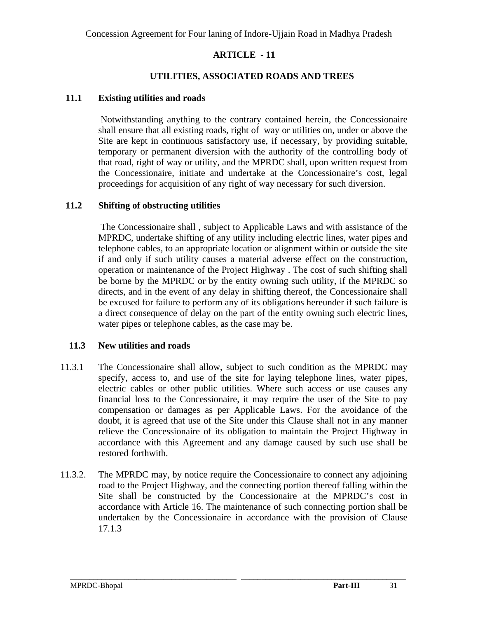### **UTILITIES, ASSOCIATED ROADS AND TREES**

#### **11.1 Existing utilities and roads**

Notwithstanding anything to the contrary contained herein, the Concessionaire shall ensure that all existing roads, right of way or utilities on, under or above the Site are kept in continuous satisfactory use, if necessary, by providing suitable, temporary or permanent diversion with the authority of the controlling body of that road, right of way or utility, and the MPRDC shall, upon written request from the Concessionaire, initiate and undertake at the Concessionaire's cost, legal proceedings for acquisition of any right of way necessary for such diversion.

#### **11.2 Shifting of obstructing utilities**

The Concessionaire shall , subject to Applicable Laws and with assistance of the MPRDC, undertake shifting of any utility including electric lines, water pipes and telephone cables, to an appropriate location or alignment within or outside the site if and only if such utility causes a material adverse effect on the construction, operation or maintenance of the Project Highway . The cost of such shifting shall be borne by the MPRDC or by the entity owning such utility, if the MPRDC so directs, and in the event of any delay in shifting thereof, the Concessionaire shall be excused for failure to perform any of its obligations hereunder if such failure is a direct consequence of delay on the part of the entity owning such electric lines, water pipes or telephone cables, as the case may be.

#### **11.3 New utilities and roads**

- 11.3.1 The Concessionaire shall allow, subject to such condition as the MPRDC may specify, access to, and use of the site for laying telephone lines, water pipes, electric cables or other public utilities. Where such access or use causes any financial loss to the Concessionaire, it may require the user of the Site to pay compensation or damages as per Applicable Laws. For the avoidance of the doubt, it is agreed that use of the Site under this Clause shall not in any manner relieve the Concessionaire of its obligation to maintain the Project Highway in accordance with this Agreement and any damage caused by such use shall be restored forthwith.
- 11.3.2. The MPRDC may, by notice require the Concessionaire to connect any adjoining road to the Project Highway, and the connecting portion thereof falling within the Site shall be constructed by the Concessionaire at the MPRDC's cost in accordance with Article 16. The maintenance of such connecting portion shall be undertaken by the Concessionaire in accordance with the provision of Clause 17.1.3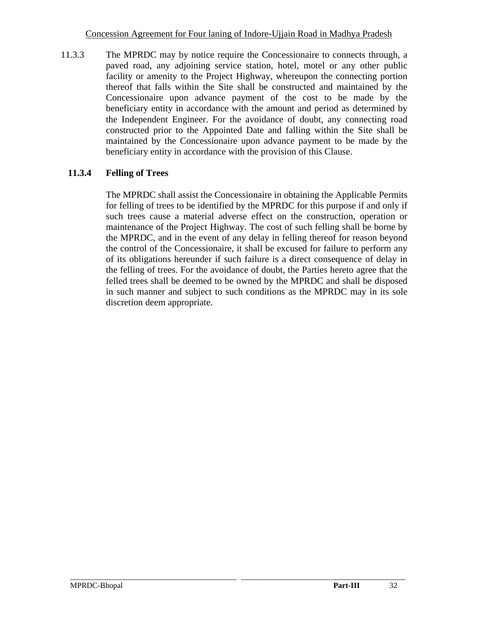11.3.3 The MPRDC may by notice require the Concessionaire to connects through, a paved road, any adjoining service station, hotel, motel or any other public facility or amenity to the Project Highway, whereupon the connecting portion thereof that falls within the Site shall be constructed and maintained by the Concessionaire upon advance payment of the cost to be made by the beneficiary entity in accordance with the amount and period as determined by the Independent Engineer. For the avoidance of doubt, any connecting road constructed prior to the Appointed Date and falling within the Site shall be maintained by the Concessionaire upon advance payment to be made by the beneficiary entity in accordance with the provision of this Clause.

# **11.3.4 Felling of Trees**

The MPRDC shall assist the Concessionaire in obtaining the Applicable Permits for felling of trees to be identified by the MPRDC for this purpose if and only if such trees cause a material adverse effect on the construction, operation or maintenance of the Project Highway. The cost of such felling shall be borne by the MPRDC, and in the event of any delay in felling thereof for reason beyond the control of the Concessionaire, it shall be excused for failure to perform any of its obligations hereunder if such failure is a direct consequence of delay in the felling of trees. For the avoidance of doubt, the Parties hereto agree that the felled trees shall be deemed to be owned by the MPRDC and shall be disposed in such manner and subject to such conditions as the MPRDC may in its sole discretion deem appropriate.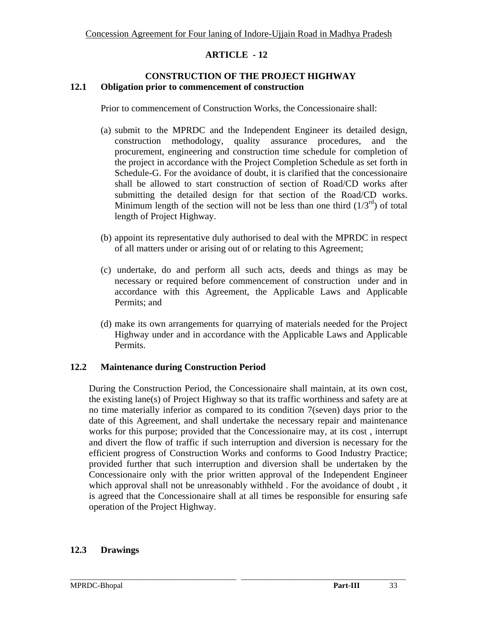#### **CONSTRUCTION OF THE PROJECT HIGHWAY 12.1 Obligation prior to commencement of construction**

Prior to commencement of Construction Works, the Concessionaire shall:

- (a) submit to the MPRDC and the Independent Engineer its detailed design, construction methodology, quality assurance procedures, and the procurement, engineering and construction time schedule for completion of the project in accordance with the Project Completion Schedule as set forth in Schedule-G. For the avoidance of doubt, it is clarified that the concessionaire shall be allowed to start construction of section of Road/CD works after submitting the detailed design for that section of the Road/CD works. Minimum length of the section will not be less than one third  $(1/3<sup>rd</sup>)$  of total length of Project Highway.
- (b) appoint its representative duly authorised to deal with the MPRDC in respect of all matters under or arising out of or relating to this Agreement;
- (c) undertake, do and perform all such acts, deeds and things as may be necessary or required before commencement of construction under and in accordance with this Agreement, the Applicable Laws and Applicable Permits; and
- (d) make its own arrangements for quarrying of materials needed for the Project Highway under and in accordance with the Applicable Laws and Applicable Permits.

# **12.2 Maintenance during Construction Period**

During the Construction Period, the Concessionaire shall maintain, at its own cost, the existing lane(s) of Project Highway so that its traffic worthiness and safety are at no time materially inferior as compared to its condition 7(seven) days prior to the date of this Agreement, and shall undertake the necessary repair and maintenance works for this purpose; provided that the Concessionaire may, at its cost , interrupt and divert the flow of traffic if such interruption and diversion is necessary for the efficient progress of Construction Works and conforms to Good Industry Practice; provided further that such interruption and diversion shall be undertaken by the Concessionaire only with the prior written approval of the Independent Engineer which approval shall not be unreasonably withheld . For the avoidance of doubt , it is agreed that the Concessionaire shall at all times be responsible for ensuring safe operation of the Project Highway.

\_\_\_\_\_\_\_\_\_\_\_\_\_\_\_\_\_\_\_\_\_\_\_\_\_\_\_\_\_\_\_\_\_\_\_\_\_\_\_\_\_\_\_\_\_\_\_\_\_\_\_\_\_\_\_\_\_\_\_\_\_\_\_\_\_\_\_\_\_\_\_\_\_\_\_\_\_\_\_\_\_\_\_\_\_\_

### **12.3 Drawings**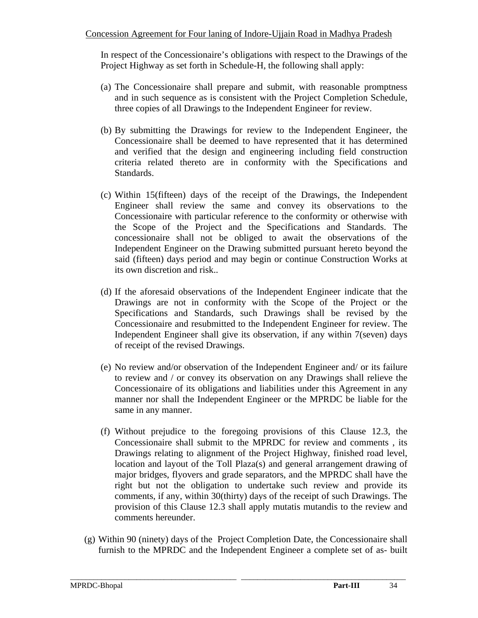In respect of the Concessionaire's obligations with respect to the Drawings of the Project Highway as set forth in Schedule-H, the following shall apply:

- (a) The Concessionaire shall prepare and submit, with reasonable promptness and in such sequence as is consistent with the Project Completion Schedule, three copies of all Drawings to the Independent Engineer for review.
- (b) By submitting the Drawings for review to the Independent Engineer, the Concessionaire shall be deemed to have represented that it has determined and verified that the design and engineering including field construction criteria related thereto are in conformity with the Specifications and Standards.
- (c) Within 15(fifteen) days of the receipt of the Drawings, the Independent Engineer shall review the same and convey its observations to the Concessionaire with particular reference to the conformity or otherwise with the Scope of the Project and the Specifications and Standards. The concessionaire shall not be obliged to await the observations of the Independent Engineer on the Drawing submitted pursuant hereto beyond the said (fifteen) days period and may begin or continue Construction Works at its own discretion and risk..
- (d) If the aforesaid observations of the Independent Engineer indicate that the Drawings are not in conformity with the Scope of the Project or the Specifications and Standards, such Drawings shall be revised by the Concessionaire and resubmitted to the Independent Engineer for review. The Independent Engineer shall give its observation, if any within 7(seven) days of receipt of the revised Drawings.
- (e) No review and/or observation of the Independent Engineer and/ or its failure to review and / or convey its observation on any Drawings shall relieve the Concessionaire of its obligations and liabilities under this Agreement in any manner nor shall the Independent Engineer or the MPRDC be liable for the same in any manner.
- (f) Without prejudice to the foregoing provisions of this Clause 12.3, the Concessionaire shall submit to the MPRDC for review and comments , its Drawings relating to alignment of the Project Highway, finished road level, location and layout of the Toll Plaza(s) and general arrangement drawing of major bridges, flyovers and grade separators, and the MPRDC shall have the right but not the obligation to undertake such review and provide its comments, if any, within 30(thirty) days of the receipt of such Drawings. The provision of this Clause 12.3 shall apply mutatis mutandis to the review and comments hereunder.
- (g) Within 90 (ninety) days of the Project Completion Date, the Concessionaire shall furnish to the MPRDC and the Independent Engineer a complete set of as- built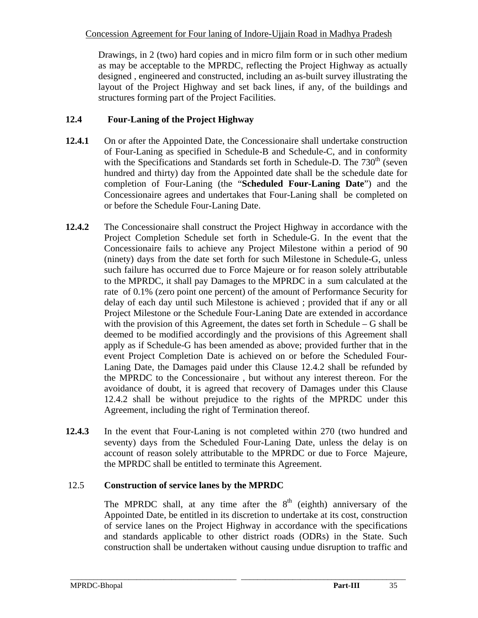Drawings, in 2 (two) hard copies and in micro film form or in such other medium as may be acceptable to the MPRDC, reflecting the Project Highway as actually designed , engineered and constructed, including an as-built survey illustrating the layout of the Project Highway and set back lines, if any, of the buildings and structures forming part of the Project Facilities.

# **12.4 Four-Laning of the Project Highway**

- **12.4.1** On or after the Appointed Date, the Concessionaire shall undertake construction of Four-Laning as specified in Schedule-B and Schedule-C, and in conformity with the Specifications and Standards set forth in Schedule-D. The  $730<sup>th</sup>$  (seven hundred and thirty) day from the Appointed date shall be the schedule date for completion of Four-Laning (the "**Scheduled Four-Laning Date**") and the Concessionaire agrees and undertakes that Four-Laning shall be completed on or before the Schedule Four-Laning Date.
- **12.4.2** The Concessionaire shall construct the Project Highway in accordance with the Project Completion Schedule set forth in Schedule-G. In the event that the Concessionaire fails to achieve any Project Milestone within a period of 90 (ninety) days from the date set forth for such Milestone in Schedule-G, unless such failure has occurred due to Force Majeure or for reason solely attributable to the MPRDC, it shall pay Damages to the MPRDC in a sum calculated at the rate of 0.1% (zero point one percent) of the amount of Performance Security for delay of each day until such Milestone is achieved ; provided that if any or all Project Milestone or the Schedule Four-Laning Date are extended in accordance with the provision of this Agreement, the dates set forth in Schedule – G shall be deemed to be modified accordingly and the provisions of this Agreement shall apply as if Schedule-G has been amended as above; provided further that in the event Project Completion Date is achieved on or before the Scheduled Four-Laning Date, the Damages paid under this Clause 12.4.2 shall be refunded by the MPRDC to the Concessionaire , but without any interest thereon. For the avoidance of doubt, it is agreed that recovery of Damages under this Clause 12.4.2 shall be without prejudice to the rights of the MPRDC under this Agreement, including the right of Termination thereof.
- **12.4.3** In the event that Four-Laning is not completed within 270 (two hundred and seventy) days from the Scheduled Four-Laning Date, unless the delay is on account of reason solely attributable to the MPRDC or due to Force Majeure, the MPRDC shall be entitled to terminate this Agreement.

# 12.5 **Construction of service lanes by the MPRDC**

The MPRDC shall, at any time after the  $8<sup>th</sup>$  (eighth) anniversary of the Appointed Date, be entitled in its discretion to undertake at its cost, construction of service lanes on the Project Highway in accordance with the specifications and standards applicable to other district roads (ODRs) in the State. Such construction shall be undertaken without causing undue disruption to traffic and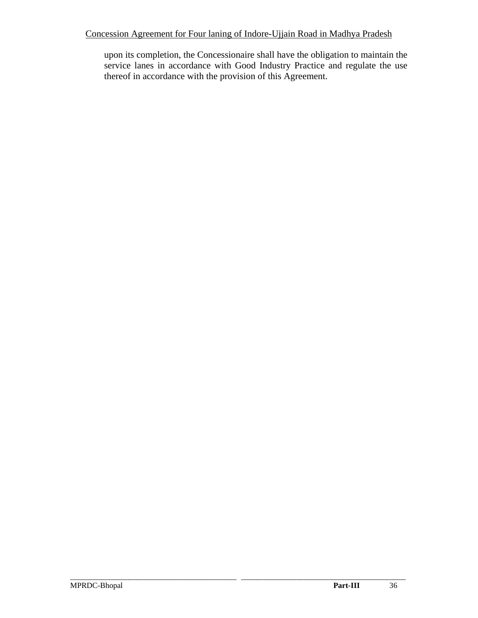upon its completion, the Concessionaire shall have the obligation to maintain the service lanes in accordance with Good Industry Practice and regulate the use thereof in accordance with the provision of this Agreement.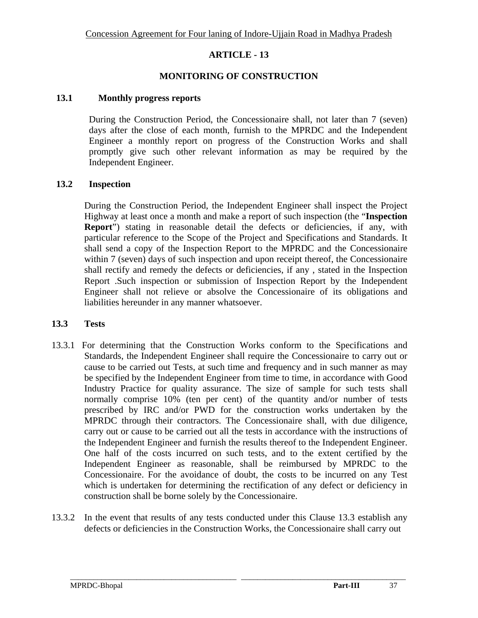#### **MONITORING OF CONSTRUCTION**

#### **13.1 Monthly progress reports**

During the Construction Period, the Concessionaire shall, not later than 7 (seven) days after the close of each month, furnish to the MPRDC and the Independent Engineer a monthly report on progress of the Construction Works and shall promptly give such other relevant information as may be required by the Independent Engineer.

#### **13.2 Inspection**

During the Construction Period, the Independent Engineer shall inspect the Project Highway at least once a month and make a report of such inspection (the "**Inspection Report**") stating in reasonable detail the defects or deficiencies, if any, with particular reference to the Scope of the Project and Specifications and Standards. It shall send a copy of the Inspection Report to the MPRDC and the Concessionaire within 7 (seven) days of such inspection and upon receipt thereof, the Concessionaire shall rectify and remedy the defects or deficiencies, if any , stated in the Inspection Report .Such inspection or submission of Inspection Report by the Independent Engineer shall not relieve or absolve the Concessionaire of its obligations and liabilities hereunder in any manner whatsoever.

#### **13.3 Tests**

- 13.3.1 For determining that the Construction Works conform to the Specifications and Standards, the Independent Engineer shall require the Concessionaire to carry out or cause to be carried out Tests, at such time and frequency and in such manner as may be specified by the Independent Engineer from time to time, in accordance with Good Industry Practice for quality assurance. The size of sample for such tests shall normally comprise 10% (ten per cent) of the quantity and/or number of tests prescribed by IRC and/or PWD for the construction works undertaken by the MPRDC through their contractors. The Concessionaire shall, with due diligence, carry out or cause to be carried out all the tests in accordance with the instructions of the Independent Engineer and furnish the results thereof to the Independent Engineer. One half of the costs incurred on such tests, and to the extent certified by the Independent Engineer as reasonable, shall be reimbursed by MPRDC to the Concessionaire. For the avoidance of doubt, the costs to be incurred on any Test which is undertaken for determining the rectification of any defect or deficiency in construction shall be borne solely by the Concessionaire.
- 13.3.2 In the event that results of any tests conducted under this Clause 13.3 establish any defects or deficiencies in the Construction Works, the Concessionaire shall carry out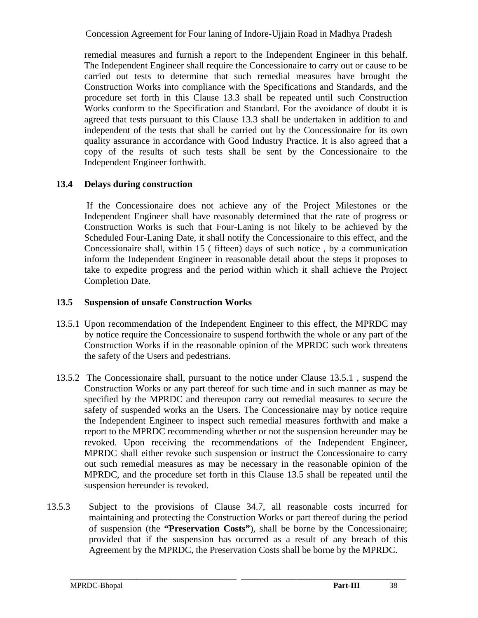remedial measures and furnish a report to the Independent Engineer in this behalf. The Independent Engineer shall require the Concessionaire to carry out or cause to be carried out tests to determine that such remedial measures have brought the Construction Works into compliance with the Specifications and Standards, and the procedure set forth in this Clause 13.3 shall be repeated until such Construction Works conform to the Specification and Standard. For the avoidance of doubt it is agreed that tests pursuant to this Clause 13.3 shall be undertaken in addition to and independent of the tests that shall be carried out by the Concessionaire for its own quality assurance in accordance with Good Industry Practice. It is also agreed that a copy of the results of such tests shall be sent by the Concessionaire to the Independent Engineer forthwith.

# **13.4 Delays during construction**

 If the Concessionaire does not achieve any of the Project Milestones or the Independent Engineer shall have reasonably determined that the rate of progress or Construction Works is such that Four-Laning is not likely to be achieved by the Scheduled Four-Laning Date, it shall notify the Concessionaire to this effect, and the Concessionaire shall, within 15 ( fifteen) days of such notice , by a communication inform the Independent Engineer in reasonable detail about the steps it proposes to take to expedite progress and the period within which it shall achieve the Project Completion Date.

# **13.5 Suspension of unsafe Construction Works**

- 13.5.1 Upon recommendation of the Independent Engineer to this effect, the MPRDC may by notice require the Concessionaire to suspend forthwith the whole or any part of the Construction Works if in the reasonable opinion of the MPRDC such work threatens the safety of the Users and pedestrians.
- 13.5.2 The Concessionaire shall, pursuant to the notice under Clause 13.5.1 , suspend the Construction Works or any part thereof for such time and in such manner as may be specified by the MPRDC and thereupon carry out remedial measures to secure the safety of suspended works an the Users. The Concessionaire may by notice require the Independent Engineer to inspect such remedial measures forthwith and make a report to the MPRDC recommending whether or not the suspension hereunder may be revoked. Upon receiving the recommendations of the Independent Engineer, MPRDC shall either revoke such suspension or instruct the Concessionaire to carry out such remedial measures as may be necessary in the reasonable opinion of the MPRDC, and the procedure set forth in this Clause 13.5 shall be repeated until the suspension hereunder is revoked.
- 13.5.3 Subject to the provisions of Clause 34.7, all reasonable costs incurred for maintaining and protecting the Construction Works or part thereof during the period of suspension (the **"Preservation Costs"**), shall be borne by the Concessionaire; provided that if the suspension has occurred as a result of any breach of this Agreement by the MPRDC, the Preservation Costs shall be borne by the MPRDC.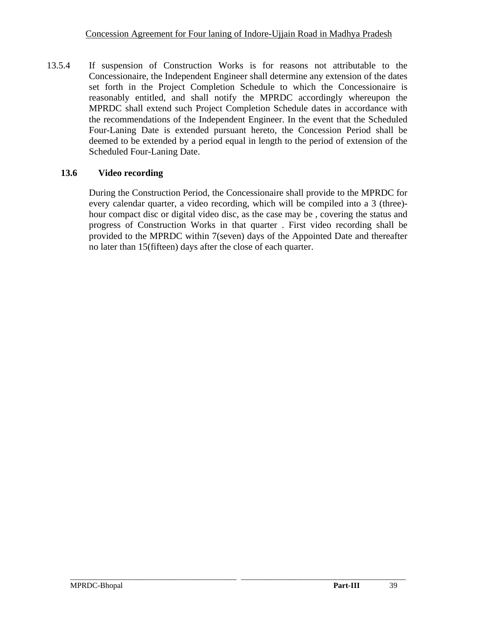13.5.4 If suspension of Construction Works is for reasons not attributable to the Concessionaire, the Independent Engineer shall determine any extension of the dates set forth in the Project Completion Schedule to which the Concessionaire is reasonably entitled, and shall notify the MPRDC accordingly whereupon the MPRDC shall extend such Project Completion Schedule dates in accordance with the recommendations of the Independent Engineer. In the event that the Scheduled Four-Laning Date is extended pursuant hereto, the Concession Period shall be deemed to be extended by a period equal in length to the period of extension of the Scheduled Four-Laning Date.

# **13.6 Video recording**

During the Construction Period, the Concessionaire shall provide to the MPRDC for every calendar quarter, a video recording, which will be compiled into a 3 (three) hour compact disc or digital video disc, as the case may be , covering the status and progress of Construction Works in that quarter . First video recording shall be provided to the MPRDC within 7(seven) days of the Appointed Date and thereafter no later than 15(fifteen) days after the close of each quarter.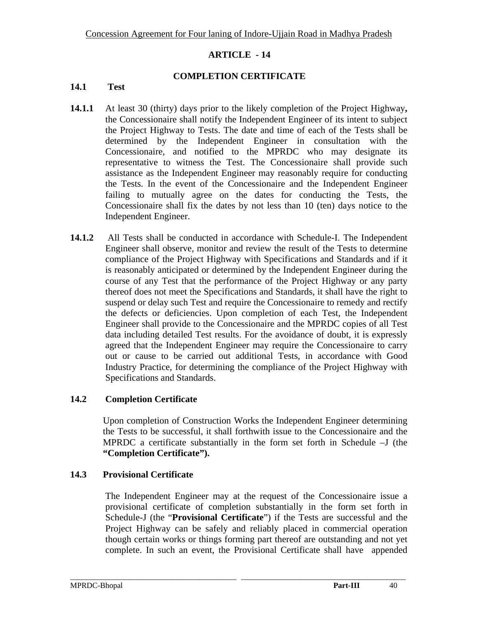#### **COMPLETION CERTIFICATE**

#### **14.1 Test**

- **14.1.1** At least 30 (thirty) days prior to the likely completion of the Project Highway**,** the Concessionaire shall notify the Independent Engineer of its intent to subject the Project Highway to Tests. The date and time of each of the Tests shall be determined by the Independent Engineer in consultation with the Concessionaire, and notified to the MPRDC who may designate its representative to witness the Test. The Concessionaire shall provide such assistance as the Independent Engineer may reasonably require for conducting the Tests. In the event of the Concessionaire and the Independent Engineer failing to mutually agree on the dates for conducting the Tests, the Concessionaire shall fix the dates by not less than 10 (ten) days notice to the Independent Engineer.
- **14.1.2** All Tests shall be conducted in accordance with Schedule-I. The Independent Engineer shall observe, monitor and review the result of the Tests to determine compliance of the Project Highway with Specifications and Standards and if it is reasonably anticipated or determined by the Independent Engineer during the course of any Test that the performance of the Project Highway or any party thereof does not meet the Specifications and Standards, it shall have the right to suspend or delay such Test and require the Concessionaire to remedy and rectify the defects or deficiencies. Upon completion of each Test, the Independent Engineer shall provide to the Concessionaire and the MPRDC copies of all Test data including detailed Test results. For the avoidance of doubt, it is expressly agreed that the Independent Engineer may require the Concessionaire to carry out or cause to be carried out additional Tests, in accordance with Good Industry Practice, for determining the compliance of the Project Highway with Specifications and Standards.

## **14.2 Completion Certificate**

Upon completion of Construction Works the Independent Engineer determining the Tests to be successful, it shall forthwith issue to the Concessionaire and the MPRDC a certificate substantially in the form set forth in Schedule –J (the **"Completion Certificate").**

#### **14.3 Provisional Certificate**

The Independent Engineer may at the request of the Concessionaire issue a provisional certificate of completion substantially in the form set forth in Schedule-J (the "**Provisional Certificate**") if the Tests are successful and the Project Highway can be safely and reliably placed in commercial operation though certain works or things forming part thereof are outstanding and not yet complete. In such an event, the Provisional Certificate shall have appended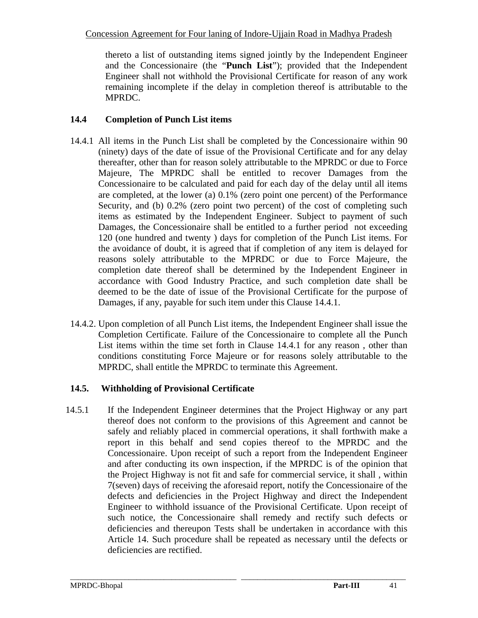thereto a list of outstanding items signed jointly by the Independent Engineer and the Concessionaire (the "**Punch List**"); provided that the Independent Engineer shall not withhold the Provisional Certificate for reason of any work remaining incomplete if the delay in completion thereof is attributable to the MPRDC.

## **14.4 Completion of Punch List items**

- 14.4.1 All items in the Punch List shall be completed by the Concessionaire within 90 (ninety) days of the date of issue of the Provisional Certificate and for any delay thereafter, other than for reason solely attributable to the MPRDC or due to Force Majeure, The MPRDC shall be entitled to recover Damages from the Concessionaire to be calculated and paid for each day of the delay until all items are completed, at the lower (a) 0.1% (zero point one percent) of the Performance Security, and (b) 0.2% (zero point two percent) of the cost of completing such items as estimated by the Independent Engineer. Subject to payment of such Damages, the Concessionaire shall be entitled to a further period not exceeding 120 (one hundred and twenty ) days for completion of the Punch List items. For the avoidance of doubt, it is agreed that if completion of any item is delayed for reasons solely attributable to the MPRDC or due to Force Majeure, the completion date thereof shall be determined by the Independent Engineer in accordance with Good Industry Practice, and such completion date shall be deemed to be the date of issue of the Provisional Certificate for the purpose of Damages, if any, payable for such item under this Clause 14.4.1.
- 14.4.2. Upon completion of all Punch List items, the Independent Engineer shall issue the Completion Certificate. Failure of the Concessionaire to complete all the Punch List items within the time set forth in Clause 14.4.1 for any reason , other than conditions constituting Force Majeure or for reasons solely attributable to the MPRDC, shall entitle the MPRDC to terminate this Agreement.

# **14.5. Withholding of Provisional Certificate**

14.5.1 If the Independent Engineer determines that the Project Highway or any part thereof does not conform to the provisions of this Agreement and cannot be safely and reliably placed in commercial operations, it shall forthwith make a report in this behalf and send copies thereof to the MPRDC and the Concessionaire. Upon receipt of such a report from the Independent Engineer and after conducting its own inspection, if the MPRDC is of the opinion that the Project Highway is not fit and safe for commercial service, it shall , within 7(seven) days of receiving the aforesaid report, notify the Concessionaire of the defects and deficiencies in the Project Highway and direct the Independent Engineer to withhold issuance of the Provisional Certificate. Upon receipt of such notice, the Concessionaire shall remedy and rectify such defects or deficiencies and thereupon Tests shall be undertaken in accordance with this Article 14. Such procedure shall be repeated as necessary until the defects or deficiencies are rectified.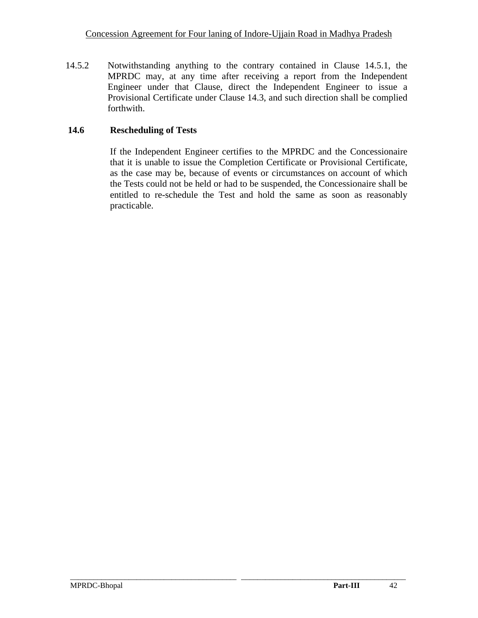14.5.2 Notwithstanding anything to the contrary contained in Clause 14.5.1, the MPRDC may, at any time after receiving a report from the Independent Engineer under that Clause, direct the Independent Engineer to issue a Provisional Certificate under Clause 14.3, and such direction shall be complied forthwith.

# **14.6 Rescheduling of Tests**

If the Independent Engineer certifies to the MPRDC and the Concessionaire that it is unable to issue the Completion Certificate or Provisional Certificate, as the case may be, because of events or circumstances on account of which the Tests could not be held or had to be suspended, the Concessionaire shall be entitled to re-schedule the Test and hold the same as soon as reasonably practicable.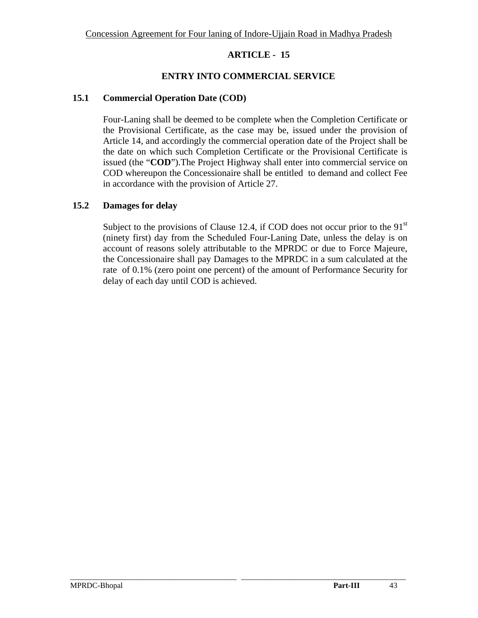## **ENTRY INTO COMMERCIAL SERVICE**

### **15.1 Commercial Operation Date (COD)**

Four-Laning shall be deemed to be complete when the Completion Certificate or the Provisional Certificate, as the case may be, issued under the provision of Article 14, and accordingly the commercial operation date of the Project shall be the date on which such Completion Certificate or the Provisional Certificate is issued (the "**COD**").The Project Highway shall enter into commercial service on COD whereupon the Concessionaire shall be entitled to demand and collect Fee in accordance with the provision of Article 27.

## **15.2 Damages for delay**

Subject to the provisions of Clause 12.4, if COD does not occur prior to the  $91<sup>st</sup>$ (ninety first) day from the Scheduled Four-Laning Date, unless the delay is on account of reasons solely attributable to the MPRDC or due to Force Majeure, the Concessionaire shall pay Damages to the MPRDC in a sum calculated at the rate of 0.1% (zero point one percent) of the amount of Performance Security for delay of each day until COD is achieved.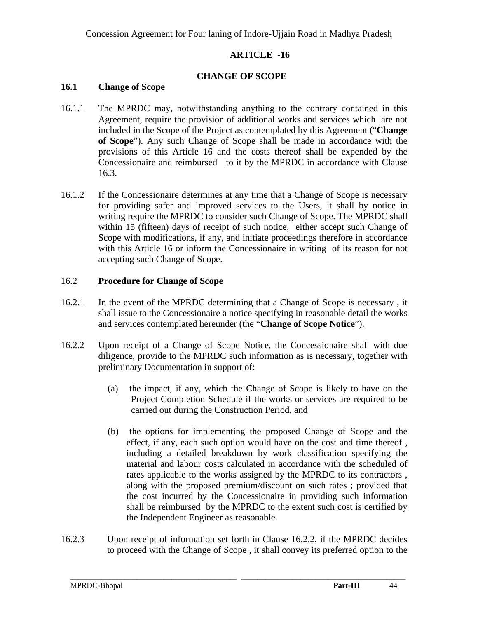#### **CHANGE OF SCOPE**

## **16.1 Change of Scope**

- 16.1.1 The MPRDC may, notwithstanding anything to the contrary contained in this Agreement, require the provision of additional works and services which are not included in the Scope of the Project as contemplated by this Agreement ("**Change of Scope**"). Any such Change of Scope shall be made in accordance with the provisions of this Article 16 and the costs thereof shall be expended by the Concessionaire and reimbursed to it by the MPRDC in accordance with Clause 16.3.
- 16.1.2 If the Concessionaire determines at any time that a Change of Scope is necessary for providing safer and improved services to the Users, it shall by notice in writing require the MPRDC to consider such Change of Scope. The MPRDC shall within 15 (fifteen) days of receipt of such notice, either accept such Change of Scope with modifications, if any, and initiate proceedings therefore in accordance with this Article 16 or inform the Concessionaire in writing of its reason for not accepting such Change of Scope.

#### 16.2 **Procedure for Change of Scope**

- 16.2.1 In the event of the MPRDC determining that a Change of Scope is necessary , it shall issue to the Concessionaire a notice specifying in reasonable detail the works and services contemplated hereunder (the "**Change of Scope Notice**").
- 16.2.2 Upon receipt of a Change of Scope Notice, the Concessionaire shall with due diligence, provide to the MPRDC such information as is necessary, together with preliminary Documentation in support of:
	- (a) the impact, if any, which the Change of Scope is likely to have on the Project Completion Schedule if the works or services are required to be carried out during the Construction Period, and
	- (b) the options for implementing the proposed Change of Scope and the effect, if any, each such option would have on the cost and time thereof , including a detailed breakdown by work classification specifying the material and labour costs calculated in accordance with the scheduled of rates applicable to the works assigned by the MPRDC to its contractors , along with the proposed premium/discount on such rates ; provided that the cost incurred by the Concessionaire in providing such information shall be reimbursed by the MPRDC to the extent such cost is certified by the Independent Engineer as reasonable.
- 16.2.3 Upon receipt of information set forth in Clause 16.2.2, if the MPRDC decides to proceed with the Change of Scope , it shall convey its preferred option to the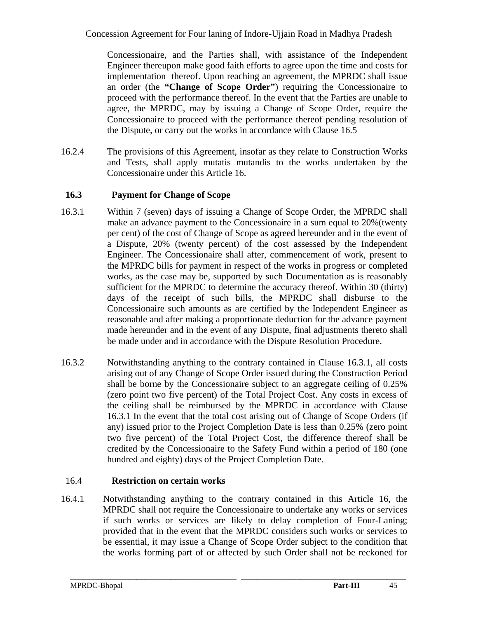Concessionaire, and the Parties shall, with assistance of the Independent Engineer thereupon make good faith efforts to agree upon the time and costs for implementation thereof. Upon reaching an agreement, the MPRDC shall issue an order (the **"Change of Scope Order"**) requiring the Concessionaire to proceed with the performance thereof. In the event that the Parties are unable to agree, the MPRDC, may by issuing a Change of Scope Order, require the Concessionaire to proceed with the performance thereof pending resolution of the Dispute, or carry out the works in accordance with Clause 16.5

16.2.4 The provisions of this Agreement, insofar as they relate to Construction Works and Tests, shall apply mutatis mutandis to the works undertaken by the Concessionaire under this Article 16.

## **16.3 Payment for Change of Scope**

- 16.3.1 Within 7 (seven) days of issuing a Change of Scope Order, the MPRDC shall make an advance payment to the Concessionaire in a sum equal to 20%(twenty per cent) of the cost of Change of Scope as agreed hereunder and in the event of a Dispute, 20% (twenty percent) of the cost assessed by the Independent Engineer. The Concessionaire shall after, commencement of work, present to the MPRDC bills for payment in respect of the works in progress or completed works, as the case may be, supported by such Documentation as is reasonably sufficient for the MPRDC to determine the accuracy thereof. Within 30 (thirty) days of the receipt of such bills, the MPRDC shall disburse to the Concessionaire such amounts as are certified by the Independent Engineer as reasonable and after making a proportionate deduction for the advance payment made hereunder and in the event of any Dispute, final adjustments thereto shall be made under and in accordance with the Dispute Resolution Procedure.
- 16.3.2 Notwithstanding anything to the contrary contained in Clause 16.3.1, all costs arising out of any Change of Scope Order issued during the Construction Period shall be borne by the Concessionaire subject to an aggregate ceiling of 0.25% (zero point two five percent) of the Total Project Cost. Any costs in excess of the ceiling shall be reimbursed by the MPRDC in accordance with Clause 16.3.1 In the event that the total cost arising out of Change of Scope Orders (if any) issued prior to the Project Completion Date is less than 0.25% (zero point two five percent) of the Total Project Cost, the difference thereof shall be credited by the Concessionaire to the Safety Fund within a period of 180 (one hundred and eighty) days of the Project Completion Date.

## 16.4 **Restriction on certain works**

16.4.1 Notwithstanding anything to the contrary contained in this Article 16, the MPRDC shall not require the Concessionaire to undertake any works or services if such works or services are likely to delay completion of Four-Laning; provided that in the event that the MPRDC considers such works or services to be essential, it may issue a Change of Scope Order subject to the condition that the works forming part of or affected by such Order shall not be reckoned for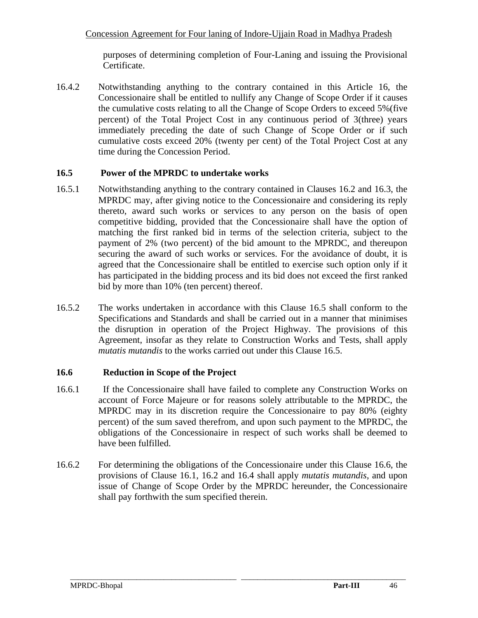purposes of determining completion of Four-Laning and issuing the Provisional Certificate.

16.4.2 Notwithstanding anything to the contrary contained in this Article 16, the Concessionaire shall be entitled to nullify any Change of Scope Order if it causes the cumulative costs relating to all the Change of Scope Orders to exceed 5%(five percent) of the Total Project Cost in any continuous period of 3(three) years immediately preceding the date of such Change of Scope Order or if such cumulative costs exceed 20% (twenty per cent) of the Total Project Cost at any time during the Concession Period.

## **16.5 Power of the MPRDC to undertake works**

- 16.5.1 Notwithstanding anything to the contrary contained in Clauses 16.2 and 16.3, the MPRDC may, after giving notice to the Concessionaire and considering its reply thereto, award such works or services to any person on the basis of open competitive bidding, provided that the Concessionaire shall have the option of matching the first ranked bid in terms of the selection criteria, subject to the payment of 2% (two percent) of the bid amount to the MPRDC, and thereupon securing the award of such works or services. For the avoidance of doubt, it is agreed that the Concessionaire shall be entitled to exercise such option only if it has participated in the bidding process and its bid does not exceed the first ranked bid by more than 10% (ten percent) thereof.
- 16.5.2 The works undertaken in accordance with this Clause 16.5 shall conform to the Specifications and Standards and shall be carried out in a manner that minimises the disruption in operation of the Project Highway. The provisions of this Agreement, insofar as they relate to Construction Works and Tests, shall apply *mutatis mutandis* to the works carried out under this Clause 16.5.

## **16.6 Reduction in Scope of the Project**

- 16.6.1 If the Concessionaire shall have failed to complete any Construction Works on account of Force Majeure or for reasons solely attributable to the MPRDC, the MPRDC may in its discretion require the Concessionaire to pay 80% (eighty percent) of the sum saved therefrom, and upon such payment to the MPRDC, the obligations of the Concessionaire in respect of such works shall be deemed to have been fulfilled.
- 16.6.2 For determining the obligations of the Concessionaire under this Clause 16.6, the provisions of Clause 16.1, 16.2 and 16.4 shall apply *mutatis mutandis*, and upon issue of Change of Scope Order by the MPRDC hereunder, the Concessionaire shall pay forthwith the sum specified therein.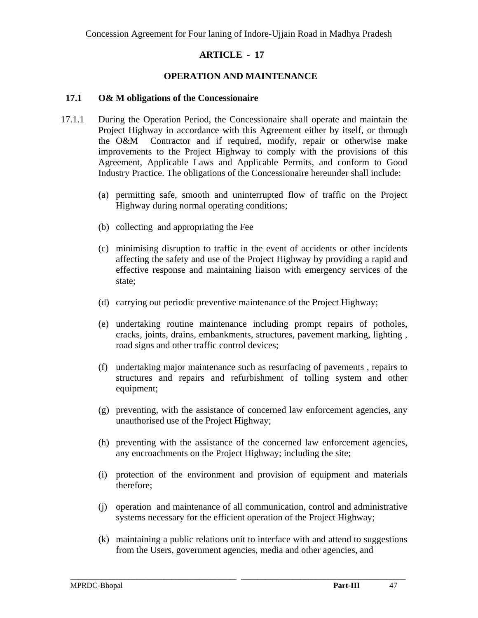## **OPERATION AND MAINTENANCE**

#### **17.1 O& M obligations of the Concessionaire**

- 17.1.1 During the Operation Period, the Concessionaire shall operate and maintain the Project Highway in accordance with this Agreement either by itself, or through the O&M Contractor and if required, modify, repair or otherwise make improvements to the Project Highway to comply with the provisions of this Agreement, Applicable Laws and Applicable Permits, and conform to Good Industry Practice. The obligations of the Concessionaire hereunder shall include:
	- (a) permitting safe, smooth and uninterrupted flow of traffic on the Project Highway during normal operating conditions;
	- (b) collecting and appropriating the Fee
	- (c) minimising disruption to traffic in the event of accidents or other incidents affecting the safety and use of the Project Highway by providing a rapid and effective response and maintaining liaison with emergency services of the state;
	- (d) carrying out periodic preventive maintenance of the Project Highway;
	- (e) undertaking routine maintenance including prompt repairs of potholes, cracks, joints, drains, embankments, structures, pavement marking, lighting , road signs and other traffic control devices;
	- (f) undertaking major maintenance such as resurfacing of pavements , repairs to structures and repairs and refurbishment of tolling system and other equipment;
	- (g) preventing, with the assistance of concerned law enforcement agencies, any unauthorised use of the Project Highway;
	- (h) preventing with the assistance of the concerned law enforcement agencies, any encroachments on the Project Highway; including the site;
	- (i) protection of the environment and provision of equipment and materials therefore;
	- (j) operation and maintenance of all communication, control and administrative systems necessary for the efficient operation of the Project Highway;
	- (k) maintaining a public relations unit to interface with and attend to suggestions from the Users, government agencies, media and other agencies, and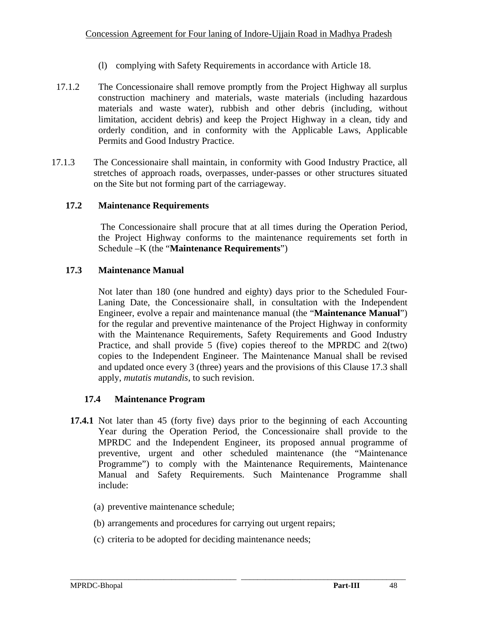- (l) complying with Safety Requirements in accordance with Article 18.
- 17.1.2 The Concessionaire shall remove promptly from the Project Highway all surplus construction machinery and materials, waste materials (including hazardous materials and waste water), rubbish and other debris (including, without limitation, accident debris) and keep the Project Highway in a clean, tidy and orderly condition, and in conformity with the Applicable Laws, Applicable Permits and Good Industry Practice.
- 17.1.3 The Concessionaire shall maintain, in conformity with Good Industry Practice, all stretches of approach roads, overpasses, under-passes or other structures situated on the Site but not forming part of the carriageway.

## **17.2 Maintenance Requirements**

 The Concessionaire shall procure that at all times during the Operation Period, the Project Highway conforms to the maintenance requirements set forth in Schedule –K (the "**Maintenance Requirements**")

## **17.3 Maintenance Manual**

Not later than 180 (one hundred and eighty) days prior to the Scheduled Four-Laning Date, the Concessionaire shall, in consultation with the Independent Engineer, evolve a repair and maintenance manual (the "**Maintenance Manual**") for the regular and preventive maintenance of the Project Highway in conformity with the Maintenance Requirements, Safety Requirements and Good Industry Practice, and shall provide 5 (five) copies thereof to the MPRDC and 2(two) copies to the Independent Engineer. The Maintenance Manual shall be revised and updated once every 3 (three) years and the provisions of this Clause 17.3 shall apply, *mutatis mutandis*, to such revision.

## **17.4 Maintenance Program**

**17.4.1** Not later than 45 (forty five) days prior to the beginning of each Accounting Year during the Operation Period, the Concessionaire shall provide to the MPRDC and the Independent Engineer, its proposed annual programme of preventive, urgent and other scheduled maintenance (the "Maintenance Programme") to comply with the Maintenance Requirements, Maintenance Manual and Safety Requirements. Such Maintenance Programme shall include:

- (a) preventive maintenance schedule;
- (b) arrangements and procedures for carrying out urgent repairs;
- (c) criteria to be adopted for deciding maintenance needs;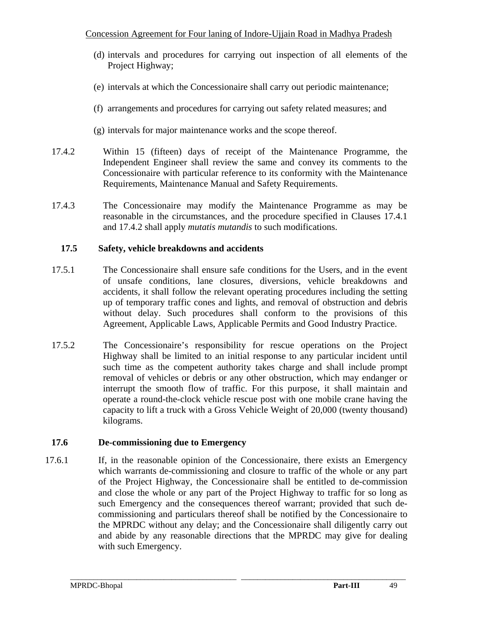- (d) intervals and procedures for carrying out inspection of all elements of the Project Highway;
- (e) intervals at which the Concessionaire shall carry out periodic maintenance;
- (f) arrangements and procedures for carrying out safety related measures; and
- (g) intervals for major maintenance works and the scope thereof.
- 17.4.2 Within 15 (fifteen) days of receipt of the Maintenance Programme, the Independent Engineer shall review the same and convey its comments to the Concessionaire with particular reference to its conformity with the Maintenance Requirements, Maintenance Manual and Safety Requirements.
- 17.4.3 The Concessionaire may modify the Maintenance Programme as may be reasonable in the circumstances, and the procedure specified in Clauses 17.4.1 and 17.4.2 shall apply *mutatis mutandis* to such modifications.

## **17.5 Safety, vehicle breakdowns and accidents**

- 17.5.1 The Concessionaire shall ensure safe conditions for the Users, and in the event of unsafe conditions, lane closures, diversions, vehicle breakdowns and accidents, it shall follow the relevant operating procedures including the setting up of temporary traffic cones and lights, and removal of obstruction and debris without delay. Such procedures shall conform to the provisions of this Agreement, Applicable Laws, Applicable Permits and Good Industry Practice.
- 17.5.2 The Concessionaire's responsibility for rescue operations on the Project Highway shall be limited to an initial response to any particular incident until such time as the competent authority takes charge and shall include prompt removal of vehicles or debris or any other obstruction, which may endanger or interrupt the smooth flow of traffic. For this purpose, it shall maintain and operate a round-the-clock vehicle rescue post with one mobile crane having the capacity to lift a truck with a Gross Vehicle Weight of 20,000 (twenty thousand) kilograms.

# **17.6 De-commissioning due to Emergency**

17.6.1 If, in the reasonable opinion of the Concessionaire, there exists an Emergency which warrants de-commissioning and closure to traffic of the whole or any part of the Project Highway, the Concessionaire shall be entitled to de-commission and close the whole or any part of the Project Highway to traffic for so long as such Emergency and the consequences thereof warrant; provided that such decommissioning and particulars thereof shall be notified by the Concessionaire to the MPRDC without any delay; and the Concessionaire shall diligently carry out and abide by any reasonable directions that the MPRDC may give for dealing with such Emergency.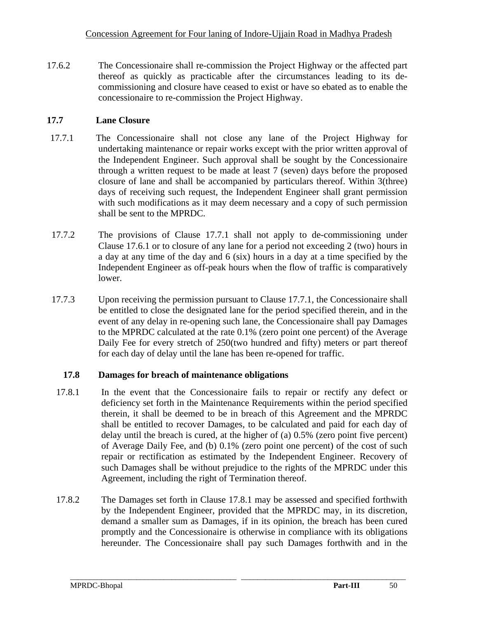17.6.2 The Concessionaire shall re-commission the Project Highway or the affected part thereof as quickly as practicable after the circumstances leading to its decommissioning and closure have ceased to exist or have so ebated as to enable the concessionaire to re-commission the Project Highway.

# **17.7 Lane Closure**

- 17.7.1 The Concessionaire shall not close any lane of the Project Highway for undertaking maintenance or repair works except with the prior written approval of the Independent Engineer. Such approval shall be sought by the Concessionaire through a written request to be made at least 7 (seven) days before the proposed closure of lane and shall be accompanied by particulars thereof. Within 3(three) days of receiving such request, the Independent Engineer shall grant permission with such modifications as it may deem necessary and a copy of such permission shall be sent to the MPRDC.
- 17.7.2 The provisions of Clause 17.7.1 shall not apply to de-commissioning under Clause 17.6.1 or to closure of any lane for a period not exceeding 2 (two) hours in a day at any time of the day and 6 (six) hours in a day at a time specified by the Independent Engineer as off-peak hours when the flow of traffic is comparatively lower.
- 17.7.3 Upon receiving the permission pursuant to Clause 17.7.1, the Concessionaire shall be entitled to close the designated lane for the period specified therein, and in the event of any delay in re-opening such lane, the Concessionaire shall pay Damages to the MPRDC calculated at the rate 0.1% (zero point one percent) of the Average Daily Fee for every stretch of 250(two hundred and fifty) meters or part thereof for each day of delay until the lane has been re-opened for traffic.

# **17.8 Damages for breach of maintenance obligations**

- 17.8.1 In the event that the Concessionaire fails to repair or rectify any defect or deficiency set forth in the Maintenance Requirements within the period specified therein, it shall be deemed to be in breach of this Agreement and the MPRDC shall be entitled to recover Damages, to be calculated and paid for each day of delay until the breach is cured, at the higher of (a) 0.5% (zero point five percent) of Average Daily Fee, and (b) 0.1% (zero point one percent) of the cost of such repair or rectification as estimated by the Independent Engineer. Recovery of such Damages shall be without prejudice to the rights of the MPRDC under this Agreement, including the right of Termination thereof.
- 17.8.2 The Damages set forth in Clause 17.8.1 may be assessed and specified forthwith by the Independent Engineer, provided that the MPRDC may, in its discretion, demand a smaller sum as Damages, if in its opinion, the breach has been cured promptly and the Concessionaire is otherwise in compliance with its obligations hereunder. The Concessionaire shall pay such Damages forthwith and in the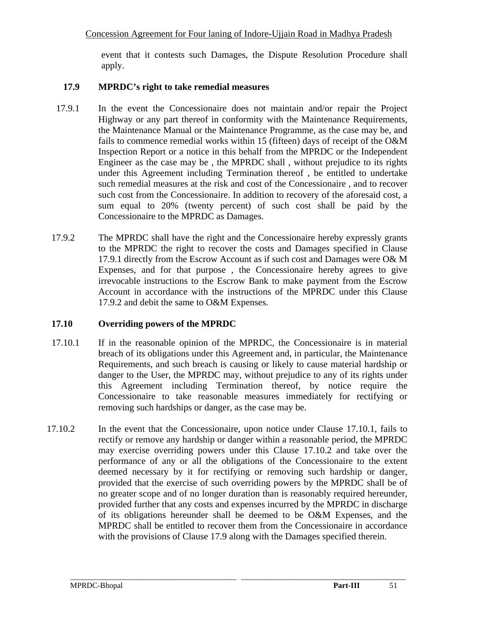event that it contests such Damages, the Dispute Resolution Procedure shall apply.

## **17.9 MPRDC's right to take remedial measures**

- 17.9.1 In the event the Concessionaire does not maintain and/or repair the Project Highway or any part thereof in conformity with the Maintenance Requirements, the Maintenance Manual or the Maintenance Programme, as the case may be, and fails to commence remedial works within 15 (fifteen) days of receipt of the O&M Inspection Report or a notice in this behalf from the MPRDC or the Independent Engineer as the case may be , the MPRDC shall , without prejudice to its rights under this Agreement including Termination thereof , be entitled to undertake such remedial measures at the risk and cost of the Concessionaire , and to recover such cost from the Concessionaire. In addition to recovery of the aforesaid cost, a sum equal to 20% (twenty percent) of such cost shall be paid by the Concessionaire to the MPRDC as Damages.
- 17.9.2 The MPRDC shall have the right and the Concessionaire hereby expressly grants to the MPRDC the right to recover the costs and Damages specified in Clause 17.9.1 directly from the Escrow Account as if such cost and Damages were O& M Expenses, and for that purpose , the Concessionaire hereby agrees to give irrevocable instructions to the Escrow Bank to make payment from the Escrow Account in accordance with the instructions of the MPRDC under this Clause 17.9.2 and debit the same to O&M Expenses.

## **17.10 Overriding powers of the MPRDC**

- 17.10.1 If in the reasonable opinion of the MPRDC, the Concessionaire is in material breach of its obligations under this Agreement and, in particular, the Maintenance Requirements, and such breach is causing or likely to cause material hardship or danger to the User, the MPRDC may, without prejudice to any of its rights under this Agreement including Termination thereof, by notice require the Concessionaire to take reasonable measures immediately for rectifying or removing such hardships or danger, as the case may be.
- 17.10.2 In the event that the Concessionaire, upon notice under Clause 17.10.1, fails to rectify or remove any hardship or danger within a reasonable period, the MPRDC may exercise overriding powers under this Clause 17.10.2 and take over the performance of any or all the obligations of the Concessionaire to the extent deemed necessary by it for rectifying or removing such hardship or danger, provided that the exercise of such overriding powers by the MPRDC shall be of no greater scope and of no longer duration than is reasonably required hereunder, provided further that any costs and expenses incurred by the MPRDC in discharge of its obligations hereunder shall be deemed to be O&M Expenses, and the MPRDC shall be entitled to recover them from the Concessionaire in accordance with the provisions of Clause 17.9 along with the Damages specified therein.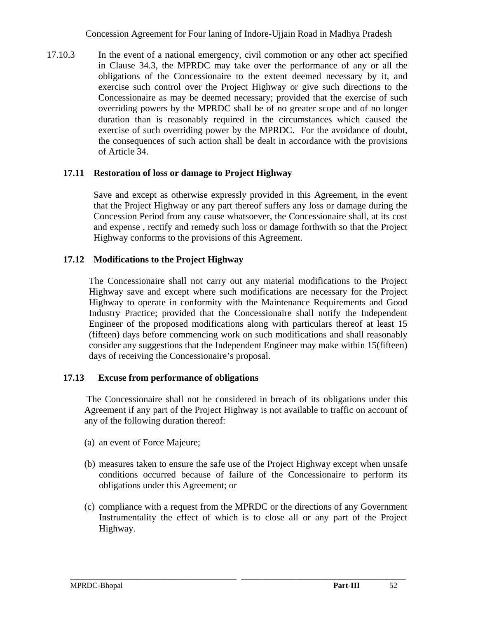17.10.3 In the event of a national emergency, civil commotion or any other act specified in Clause 34.3, the MPRDC may take over the performance of any or all the obligations of the Concessionaire to the extent deemed necessary by it, and exercise such control over the Project Highway or give such directions to the Concessionaire as may be deemed necessary; provided that the exercise of such overriding powers by the MPRDC shall be of no greater scope and of no longer duration than is reasonably required in the circumstances which caused the exercise of such overriding power by the MPRDC. For the avoidance of doubt, the consequences of such action shall be dealt in accordance with the provisions of Article 34.

#### **17.11 Restoration of loss or damage to Project Highway**

Save and except as otherwise expressly provided in this Agreement, in the event that the Project Highway or any part thereof suffers any loss or damage during the Concession Period from any cause whatsoever, the Concessionaire shall, at its cost and expense , rectify and remedy such loss or damage forthwith so that the Project Highway conforms to the provisions of this Agreement.

#### **17.12 Modifications to the Project Highway**

The Concessionaire shall not carry out any material modifications to the Project Highway save and except where such modifications are necessary for the Project Highway to operate in conformity with the Maintenance Requirements and Good Industry Practice; provided that the Concessionaire shall notify the Independent Engineer of the proposed modifications along with particulars thereof at least 15 (fifteen) days before commencing work on such modifications and shall reasonably consider any suggestions that the Independent Engineer may make within 15(fifteen) days of receiving the Concessionaire's proposal.

#### **17.13 Excuse from performance of obligations**

 The Concessionaire shall not be considered in breach of its obligations under this Agreement if any part of the Project Highway is not available to traffic on account of any of the following duration thereof:

- (a) an event of Force Majeure;
- (b) measures taken to ensure the safe use of the Project Highway except when unsafe conditions occurred because of failure of the Concessionaire to perform its obligations under this Agreement; or
- (c) compliance with a request from the MPRDC or the directions of any Government Instrumentality the effect of which is to close all or any part of the Project Highway.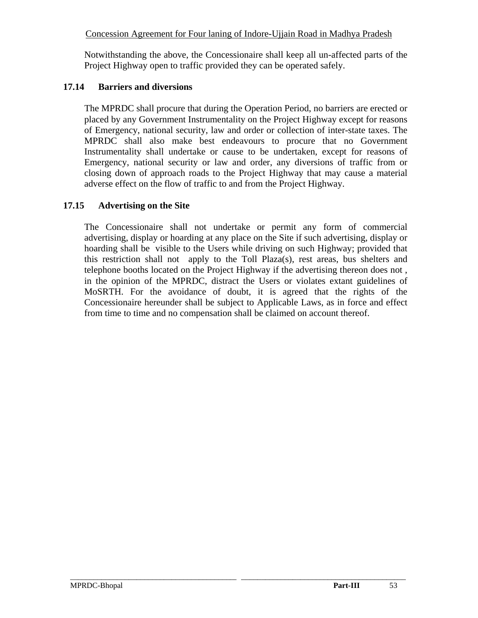Notwithstanding the above, the Concessionaire shall keep all un-affected parts of the Project Highway open to traffic provided they can be operated safely.

## **17.14 Barriers and diversions**

 The MPRDC shall procure that during the Operation Period, no barriers are erected or placed by any Government Instrumentality on the Project Highway except for reasons of Emergency, national security, law and order or collection of inter-state taxes. The MPRDC shall also make best endeavours to procure that no Government Instrumentality shall undertake or cause to be undertaken, except for reasons of Emergency, national security or law and order, any diversions of traffic from or closing down of approach roads to the Project Highway that may cause a material adverse effect on the flow of traffic to and from the Project Highway.

## **17.15 Advertising on the Site**

The Concessionaire shall not undertake or permit any form of commercial advertising, display or hoarding at any place on the Site if such advertising, display or hoarding shall be visible to the Users while driving on such Highway; provided that this restriction shall not apply to the Toll Plaza(s), rest areas, bus shelters and telephone booths located on the Project Highway if the advertising thereon does not , in the opinion of the MPRDC, distract the Users or violates extant guidelines of MoSRTH. For the avoidance of doubt, it is agreed that the rights of the Concessionaire hereunder shall be subject to Applicable Laws, as in force and effect from time to time and no compensation shall be claimed on account thereof.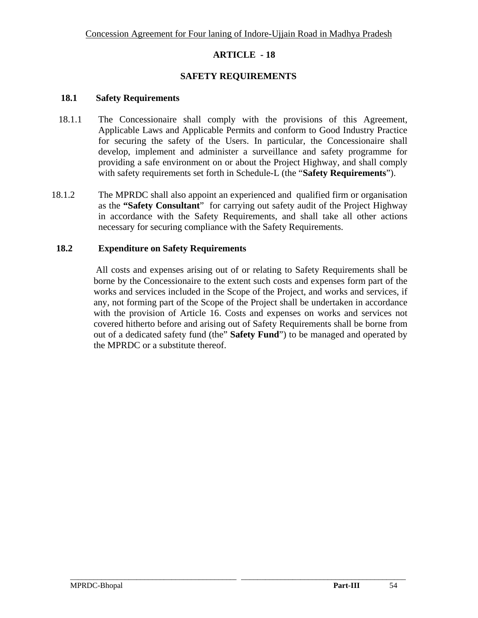### **SAFETY REQUIREMENTS**

#### **18.1 Safety Requirements**

- 18.1.1 The Concessionaire shall comply with the provisions of this Agreement, Applicable Laws and Applicable Permits and conform to Good Industry Practice for securing the safety of the Users. In particular, the Concessionaire shall develop, implement and administer a surveillance and safety programme for providing a safe environment on or about the Project Highway, and shall comply with safety requirements set forth in Schedule-L (the "**Safety Requirements**").
- 18.1.2 The MPRDC shall also appoint an experienced and qualified firm or organisation as the **"Safety Consultant**" for carrying out safety audit of the Project Highway in accordance with the Safety Requirements, and shall take all other actions necessary for securing compliance with the Safety Requirements.

#### **18.2 Expenditure on Safety Requirements**

 All costs and expenses arising out of or relating to Safety Requirements shall be borne by the Concessionaire to the extent such costs and expenses form part of the works and services included in the Scope of the Project, and works and services, if any, not forming part of the Scope of the Project shall be undertaken in accordance with the provision of Article 16. Costs and expenses on works and services not covered hitherto before and arising out of Safety Requirements shall be borne from out of a dedicated safety fund (the" **Safety Fund**") to be managed and operated by the MPRDC or a substitute thereof.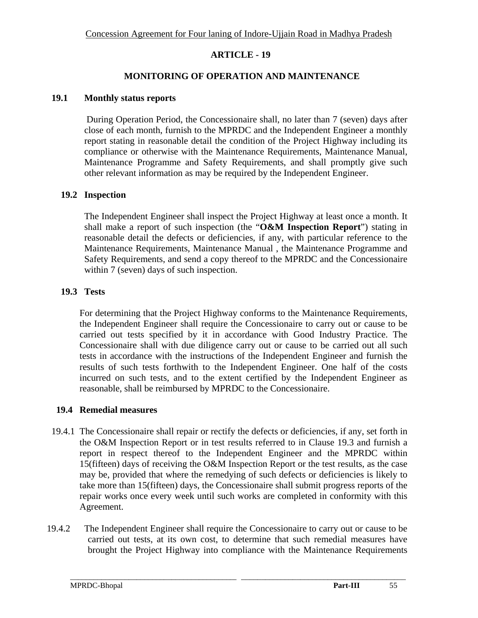#### **MONITORING OF OPERATION AND MAINTENANCE**

#### **19.1 Monthly status reports**

During Operation Period, the Concessionaire shall, no later than 7 (seven) days after close of each month, furnish to the MPRDC and the Independent Engineer a monthly report stating in reasonable detail the condition of the Project Highway including its compliance or otherwise with the Maintenance Requirements, Maintenance Manual, Maintenance Programme and Safety Requirements, and shall promptly give such other relevant information as may be required by the Independent Engineer.

#### **19.2 Inspection**

 The Independent Engineer shall inspect the Project Highway at least once a month. It shall make a report of such inspection (the "**O&M Inspection Report**") stating in reasonable detail the defects or deficiencies, if any, with particular reference to the Maintenance Requirements, Maintenance Manual , the Maintenance Programme and Safety Requirements, and send a copy thereof to the MPRDC and the Concessionaire within 7 (seven) days of such inspection.

#### **19.3 Tests**

For determining that the Project Highway conforms to the Maintenance Requirements, the Independent Engineer shall require the Concessionaire to carry out or cause to be carried out tests specified by it in accordance with Good Industry Practice. The Concessionaire shall with due diligence carry out or cause to be carried out all such tests in accordance with the instructions of the Independent Engineer and furnish the results of such tests forthwith to the Independent Engineer. One half of the costs incurred on such tests, and to the extent certified by the Independent Engineer as reasonable, shall be reimbursed by MPRDC to the Concessionaire.

#### **19.4 Remedial measures**

- 19.4.1 The Concessionaire shall repair or rectify the defects or deficiencies, if any, set forth in the O&M Inspection Report or in test results referred to in Clause 19.3 and furnish a report in respect thereof to the Independent Engineer and the MPRDC within 15(fifteen) days of receiving the O&M Inspection Report or the test results, as the case may be, provided that where the remedying of such defects or deficiencies is likely to take more than 15(fifteen) days, the Concessionaire shall submit progress reports of the repair works once every week until such works are completed in conformity with this Agreement.
- 19.4.2 The Independent Engineer shall require the Concessionaire to carry out or cause to be carried out tests, at its own cost, to determine that such remedial measures have brought the Project Highway into compliance with the Maintenance Requirements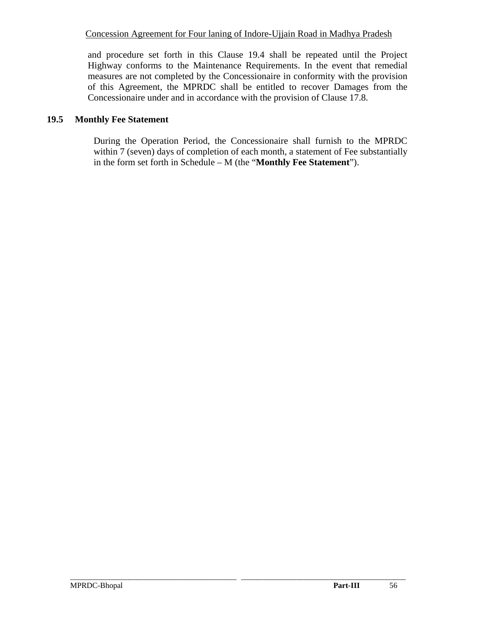and procedure set forth in this Clause 19.4 shall be repeated until the Project Highway conforms to the Maintenance Requirements. In the event that remedial measures are not completed by the Concessionaire in conformity with the provision of this Agreement, the MPRDC shall be entitled to recover Damages from the Concessionaire under and in accordance with the provision of Clause 17.8.

## **19.5 Monthly Fee Statement**

During the Operation Period, the Concessionaire shall furnish to the MPRDC within 7 (seven) days of completion of each month, a statement of Fee substantially in the form set forth in Schedule – M (the "**Monthly Fee Statement**").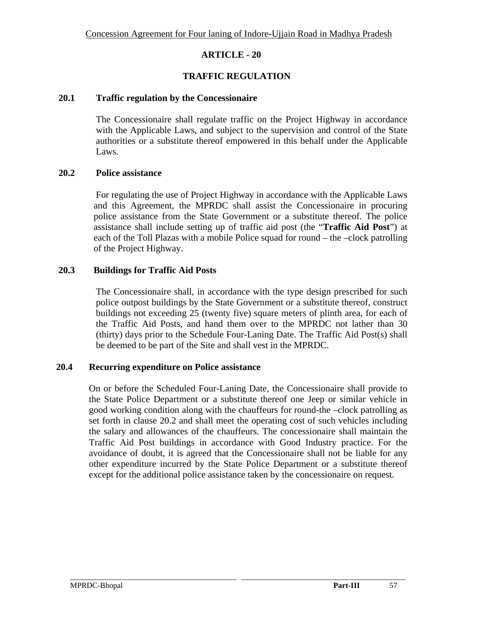## **TRAFFIC REGULATION**

#### **20.1 Traffic regulation by the Concessionaire**

The Concessionaire shall regulate traffic on the Project Highway in accordance with the Applicable Laws, and subject to the supervision and control of the State authorities or a substitute thereof empowered in this behalf under the Applicable Laws.

## **20.2 Police assistance**

For regulating the use of Project Highway in accordance with the Applicable Laws and this Agreement, the MPRDC shall assist the Concessionaire in procuring police assistance from the State Government or a substitute thereof. The police assistance shall include setting up of traffic aid post (the "**Traffic Aid Post**") at each of the Toll Plazas with a mobile Police squad for round – the –clock patrolling of the Project Highway.

## **20.3 Buildings for Traffic Aid Posts**

The Concessionaire shall, in accordance with the type design prescribed for such police outpost buildings by the State Government or a substitute thereof, construct buildings not exceeding 25 (twenty five) square meters of plinth area, for each of the Traffic Aid Posts, and hand them over to the MPRDC not lather than 30 (thirty) days prior to the Schedule Four-Laning Date. The Traffic Aid Post(s) shall be deemed to be part of the Site and shall vest in the MPRDC.

#### **20.4 Recurring expenditure on Police assistance**

On or before the Scheduled Four-Laning Date, the Concessionaire shall provide to the State Police Department or a substitute thereof one Jeep or similar vehicle in good working condition along with the chauffeurs for round-the –clock patrolling as set forth in clause 20.2 and shall meet the operating cost of such vehicles including the salary and allowances of the chauffeurs. The concessionaire shall maintain the Traffic Aid Post buildings in accordance with Good Industry practice. For the avoidance of doubt, it is agreed that the Concessionaire shall not be liable for any other expenditure incurred by the State Police Department or a substitute thereof except for the additional police assistance taken by the concessionaire on request.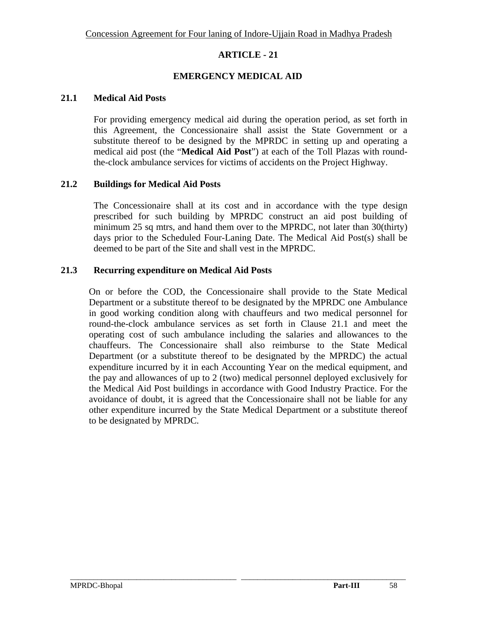## **EMERGENCY MEDICAL AID**

#### **21.1 Medical Aid Posts**

For providing emergency medical aid during the operation period, as set forth in this Agreement, the Concessionaire shall assist the State Government or a substitute thereof to be designed by the MPRDC in setting up and operating a medical aid post (the "**Medical Aid Post**") at each of the Toll Plazas with roundthe-clock ambulance services for victims of accidents on the Project Highway.

#### **21.2 Buildings for Medical Aid Posts**

The Concessionaire shall at its cost and in accordance with the type design prescribed for such building by MPRDC construct an aid post building of minimum 25 sq mtrs, and hand them over to the MPRDC, not later than 30(thirty) days prior to the Scheduled Four-Laning Date. The Medical Aid Post(s) shall be deemed to be part of the Site and shall vest in the MPRDC.

#### **21.3 Recurring expenditure on Medical Aid Posts**

On or before the COD, the Concessionaire shall provide to the State Medical Department or a substitute thereof to be designated by the MPRDC one Ambulance in good working condition along with chauffeurs and two medical personnel for round-the-clock ambulance services as set forth in Clause 21.1 and meet the operating cost of such ambulance including the salaries and allowances to the chauffeurs. The Concessionaire shall also reimburse to the State Medical Department (or a substitute thereof to be designated by the MPRDC) the actual expenditure incurred by it in each Accounting Year on the medical equipment, and the pay and allowances of up to 2 (two) medical personnel deployed exclusively for the Medical Aid Post buildings in accordance with Good Industry Practice. For the avoidance of doubt, it is agreed that the Concessionaire shall not be liable for any other expenditure incurred by the State Medical Department or a substitute thereof to be designated by MPRDC.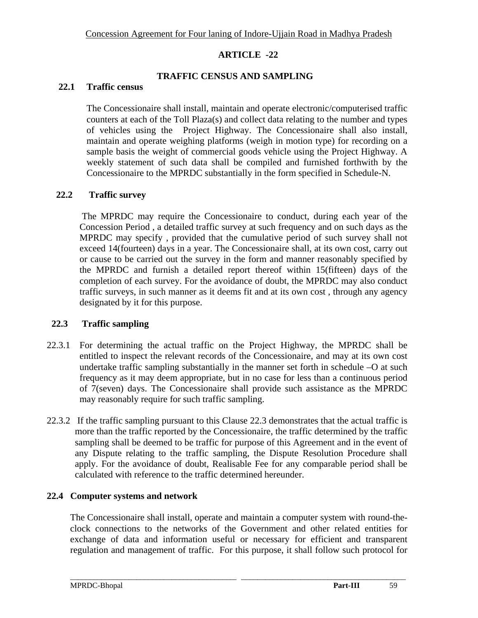## **TRAFFIC CENSUS AND SAMPLING**

## **22.1 Traffic census**

The Concessionaire shall install, maintain and operate electronic/computerised traffic counters at each of the Toll Plaza(s) and collect data relating to the number and types of vehicles using the Project Highway. The Concessionaire shall also install, maintain and operate weighing platforms (weigh in motion type) for recording on a sample basis the weight of commercial goods vehicle using the Project Highway. A weekly statement of such data shall be compiled and furnished forthwith by the Concessionaire to the MPRDC substantially in the form specified in Schedule-N.

## **22.2 Traffic survey**

The MPRDC may require the Concessionaire to conduct, during each year of the Concession Period , a detailed traffic survey at such frequency and on such days as the MPRDC may specify , provided that the cumulative period of such survey shall not exceed 14(fourteen) days in a year. The Concessionaire shall, at its own cost, carry out or cause to be carried out the survey in the form and manner reasonably specified by the MPRDC and furnish a detailed report thereof within 15(fifteen) days of the completion of each survey. For the avoidance of doubt, the MPRDC may also conduct traffic surveys, in such manner as it deems fit and at its own cost , through any agency designated by it for this purpose.

## **22.3 Traffic sampling**

- 22.3.1 For determining the actual traffic on the Project Highway, the MPRDC shall be entitled to inspect the relevant records of the Concessionaire, and may at its own cost undertake traffic sampling substantially in the manner set forth in schedule –O at such frequency as it may deem appropriate, but in no case for less than a continuous period of 7(seven) days. The Concessionaire shall provide such assistance as the MPRDC may reasonably require for such traffic sampling.
- 22.3.2 If the traffic sampling pursuant to this Clause 22.3 demonstrates that the actual traffic is more than the traffic reported by the Concessionaire, the traffic determined by the traffic sampling shall be deemed to be traffic for purpose of this Agreement and in the event of any Dispute relating to the traffic sampling, the Dispute Resolution Procedure shall apply. For the avoidance of doubt, Realisable Fee for any comparable period shall be calculated with reference to the traffic determined hereunder.

## **22.4 Computer systems and network**

The Concessionaire shall install, operate and maintain a computer system with round-theclock connections to the networks of the Government and other related entities for exchange of data and information useful or necessary for efficient and transparent regulation and management of traffic. For this purpose, it shall follow such protocol for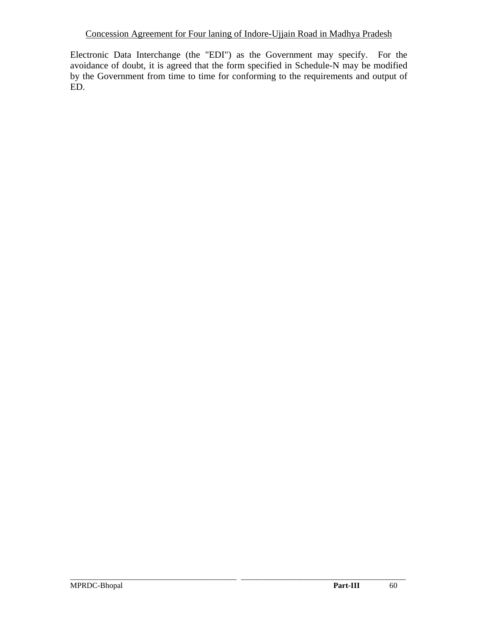Electronic Data Interchange (the "EDI") as the Government may specify. For the avoidance of doubt, it is agreed that the form specified in Schedule-N may be modified by the Government from time to time for conforming to the requirements and output of ED.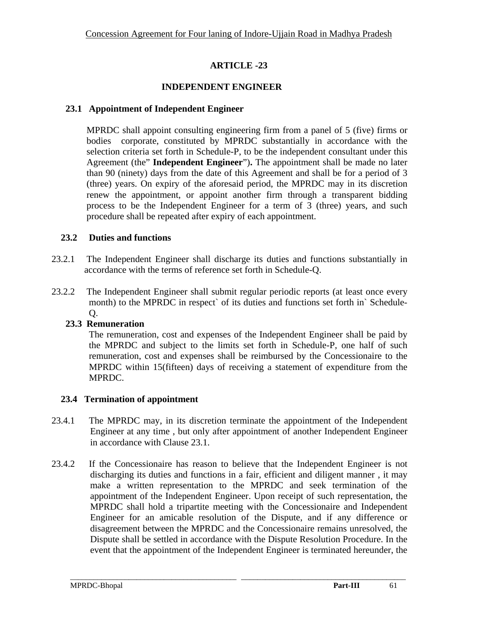## **INDEPENDENT ENGINEER**

### **23.1 Appointment of Independent Engineer**

MPRDC shall appoint consulting engineering firm from a panel of 5 (five) firms or bodies corporate, constituted by MPRDC substantially in accordance with the selection criteria set forth in Schedule-P, to be the independent consultant under this Agreement (the" **Independent Engineer**")**.** The appointment shall be made no later than 90 (ninety) days from the date of this Agreement and shall be for a period of 3 (three) years. On expiry of the aforesaid period, the MPRDC may in its discretion renew the appointment, or appoint another firm through a transparent bidding process to be the Independent Engineer for a term of 3 (three) years, and such procedure shall be repeated after expiry of each appointment.

## **23.2 Duties and functions**

- 23.2.1 The Independent Engineer shall discharge its duties and functions substantially in accordance with the terms of reference set forth in Schedule-Q.
- 23.2.2 The Independent Engineer shall submit regular periodic reports (at least once every month) to the MPRDC in respect` of its duties and functions set forth in` Schedule-Q.

## **23.3 Remuneration**

The remuneration, cost and expenses of the Independent Engineer shall be paid by the MPRDC and subject to the limits set forth in Schedule-P, one half of such remuneration, cost and expenses shall be reimbursed by the Concessionaire to the MPRDC within 15(fifteen) days of receiving a statement of expenditure from the MPRDC.

## **23.4 Termination of appointment**

- 23.4.1 The MPRDC may, in its discretion terminate the appointment of the Independent Engineer at any time , but only after appointment of another Independent Engineer in accordance with Clause 23.1.
- 23.4.2 If the Concessionaire has reason to believe that the Independent Engineer is not discharging its duties and functions in a fair, efficient and diligent manner , it may make a written representation to the MPRDC and seek termination of the appointment of the Independent Engineer. Upon receipt of such representation, the MPRDC shall hold a tripartite meeting with the Concessionaire and Independent Engineer for an amicable resolution of the Dispute, and if any difference or disagreement between the MPRDC and the Concessionaire remains unresolved, the Dispute shall be settled in accordance with the Dispute Resolution Procedure. In the event that the appointment of the Independent Engineer is terminated hereunder, the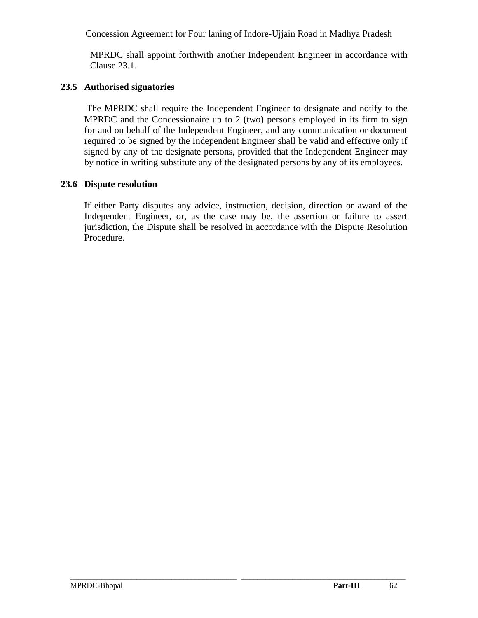MPRDC shall appoint forthwith another Independent Engineer in accordance with Clause 23.1.

## **23.5 Authorised signatories**

 The MPRDC shall require the Independent Engineer to designate and notify to the MPRDC and the Concessionaire up to 2 (two) persons employed in its firm to sign for and on behalf of the Independent Engineer, and any communication or document required to be signed by the Independent Engineer shall be valid and effective only if signed by any of the designate persons, provided that the Independent Engineer may by notice in writing substitute any of the designated persons by any of its employees.

# **23.6 Dispute resolution**

If either Party disputes any advice, instruction, decision, direction or award of the Independent Engineer, or, as the case may be, the assertion or failure to assert jurisdiction, the Dispute shall be resolved in accordance with the Dispute Resolution Procedure.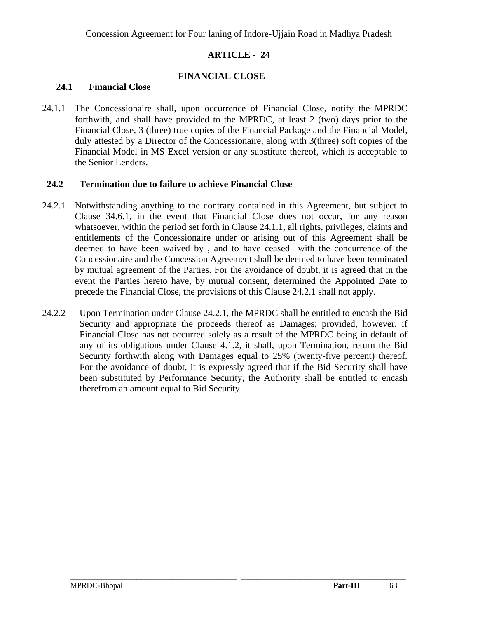## **FINANCIAL CLOSE**

### **24.1 Financial Close**

24.1.1 The Concessionaire shall, upon occurrence of Financial Close, notify the MPRDC forthwith, and shall have provided to the MPRDC, at least 2 (two) days prior to the Financial Close, 3 (three) true copies of the Financial Package and the Financial Model, duly attested by a Director of the Concessionaire, along with 3(three) soft copies of the Financial Model in MS Excel version or any substitute thereof, which is acceptable to the Senior Lenders.

#### **24.2 Termination due to failure to achieve Financial Close**

- 24.2.1 Notwithstanding anything to the contrary contained in this Agreement, but subject to Clause 34.6.1, in the event that Financial Close does not occur, for any reason whatsoever, within the period set forth in Clause 24.1.1, all rights, privileges, claims and entitlements of the Concessionaire under or arising out of this Agreement shall be deemed to have been waived by , and to have ceased with the concurrence of the Concessionaire and the Concession Agreement shall be deemed to have been terminated by mutual agreement of the Parties. For the avoidance of doubt, it is agreed that in the event the Parties hereto have, by mutual consent, determined the Appointed Date to precede the Financial Close, the provisions of this Clause 24.2.1 shall not apply.
- 24.2.2 Upon Termination under Clause 24.2.1, the MPRDC shall be entitled to encash the Bid Security and appropriate the proceeds thereof as Damages; provided, however, if Financial Close has not occurred solely as a result of the MPRDC being in default of any of its obligations under Clause 4.1.2, it shall, upon Termination, return the Bid Security forthwith along with Damages equal to 25% (twenty-five percent) thereof. For the avoidance of doubt, it is expressly agreed that if the Bid Security shall have been substituted by Performance Security, the Authority shall be entitled to encash therefrom an amount equal to Bid Security.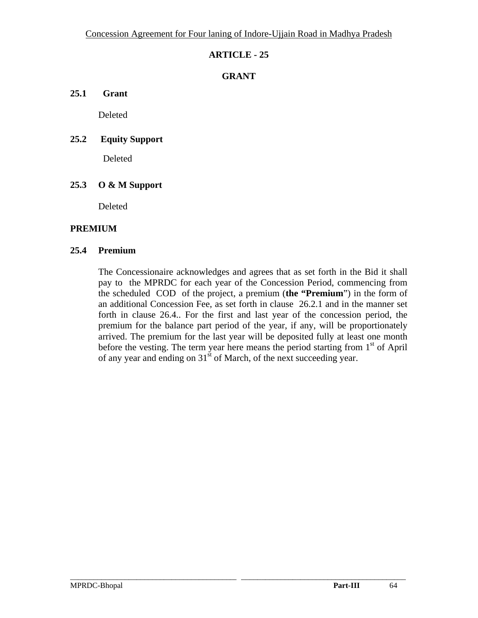## **GRANT**

**25.1 Grant** 

Deleted

## **25.2 Equity Support**

Deleted

# **25.3 O & M Support**

Deleted

## **PREMIUM**

#### **25.4 Premium**

The Concessionaire acknowledges and agrees that as set forth in the Bid it shall pay to the MPRDC for each year of the Concession Period, commencing from the scheduled COD of the project, a premium (**the "Premium**") in the form of an additional Concession Fee, as set forth in clause 26.2.1 and in the manner set forth in clause 26.4.. For the first and last year of the concession period, the premium for the balance part period of the year, if any, will be proportionately arrived. The premium for the last year will be deposited fully at least one month before the vesting. The term year here means the period starting from  $1<sup>st</sup>$  of April of any year and ending on 31<sup>st</sup> of March, of the next succeeding year.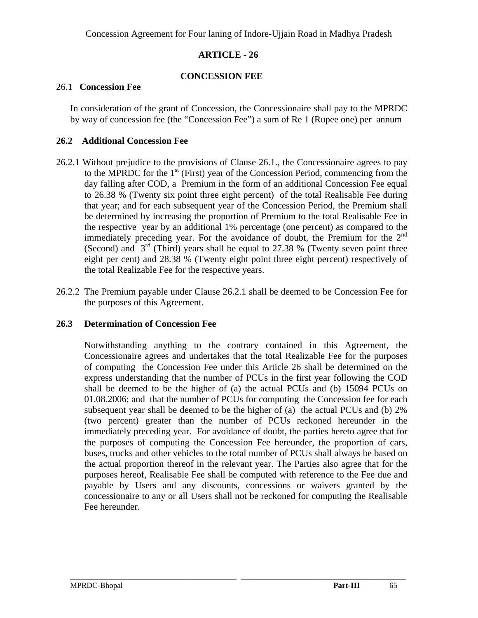## **CONCESSION FEE**

#### 26.1 **Concession Fee**

In consideration of the grant of Concession, the Concessionaire shall pay to the MPRDC by way of concession fee (the "Concession Fee") a sum of Re 1 (Rupee one) per annum

## **26.2 Additional Concession Fee**

- 26.2.1 Without prejudice to the provisions of Clause 26.1., the Concessionaire agrees to pay to the MPRDC for the  $1<sup>st</sup>$  (First) year of the Concession Period, commencing from the day falling after COD, a Premium in the form of an additional Concession Fee equal to 26.38 % (Twenty six point three eight percent) of the total Realisable Fee during that year; and for each subsequent year of the Concession Period, the Premium shall be determined by increasing the proportion of Premium to the total Realisable Fee in the respective year by an additional 1% percentage (one percent) as compared to the immediately preceding year. For the avoidance of doubt, the Premium for the  $2<sup>nd</sup>$ (Second) and  $3<sup>rd</sup>$  (Third) years shall be equal to 27.38 % (Twenty seven point three eight per cent) and 28.38 % (Twenty eight point three eight percent) respectively of the total Realizable Fee for the respective years.
- 26.2.2 The Premium payable under Clause 26.2.1 shall be deemed to be Concession Fee for the purposes of this Agreement.

## **26.3 Determination of Concession Fee**

Notwithstanding anything to the contrary contained in this Agreement, the Concessionaire agrees and undertakes that the total Realizable Fee for the purposes of computing the Concession Fee under this Article 26 shall be determined on the express understanding that the number of PCUs in the first year following the COD shall be deemed to be the higher of (a) the actual PCUs and (b) 15094 PCUs on 01.08.2006; and that the number of PCUs for computing the Concession fee for each subsequent year shall be deemed to be the higher of (a) the actual PCUs and (b) 2% (two percent) greater than the number of PCUs reckoned hereunder in the immediately preceding year. For avoidance of doubt, the parties hereto agree that for the purposes of computing the Concession Fee hereunder, the proportion of cars, buses, trucks and other vehicles to the total number of PCUs shall always be based on the actual proportion thereof in the relevant year. The Parties also agree that for the purposes hereof, Realisable Fee shall be computed with reference to the Fee due and payable by Users and any discounts, concessions or waivers granted by the concessionaire to any or all Users shall not be reckoned for computing the Realisable Fee hereunder.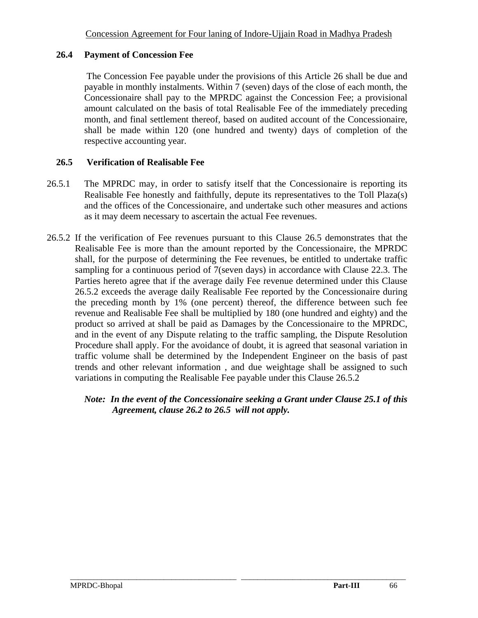### **26.4 Payment of Concession Fee**

The Concession Fee payable under the provisions of this Article 26 shall be due and payable in monthly instalments. Within 7 (seven) days of the close of each month, the Concessionaire shall pay to the MPRDC against the Concession Fee; a provisional amount calculated on the basis of total Realisable Fee of the immediately preceding month, and final settlement thereof, based on audited account of the Concessionaire, shall be made within 120 (one hundred and twenty) days of completion of the respective accounting year.

## **26.5 Verification of Realisable Fee**

- 26.5.1 The MPRDC may, in order to satisfy itself that the Concessionaire is reporting its Realisable Fee honestly and faithfully, depute its representatives to the Toll Plaza(s) and the offices of the Concessionaire, and undertake such other measures and actions as it may deem necessary to ascertain the actual Fee revenues.
- 26.5.2 If the verification of Fee revenues pursuant to this Clause 26.5 demonstrates that the Realisable Fee is more than the amount reported by the Concessionaire, the MPRDC shall, for the purpose of determining the Fee revenues, be entitled to undertake traffic sampling for a continuous period of 7(seven days) in accordance with Clause 22.3. The Parties hereto agree that if the average daily Fee revenue determined under this Clause 26.5.2 exceeds the average daily Realisable Fee reported by the Concessionaire during the preceding month by 1% (one percent) thereof, the difference between such fee revenue and Realisable Fee shall be multiplied by 180 (one hundred and eighty) and the product so arrived at shall be paid as Damages by the Concessionaire to the MPRDC, and in the event of any Dispute relating to the traffic sampling, the Dispute Resolution Procedure shall apply. For the avoidance of doubt, it is agreed that seasonal variation in traffic volume shall be determined by the Independent Engineer on the basis of past trends and other relevant information , and due weightage shall be assigned to such variations in computing the Realisable Fee payable under this Clause 26.5.2

## *Note: In the event of the Concessionaire seeking a Grant under Clause 25.1 of this Agreement, clause 26.2 to 26.5 will not apply.*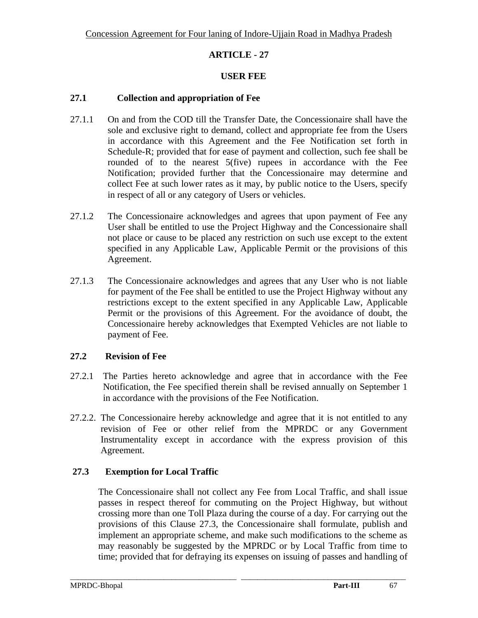## **USER FEE**

## **27.1 Collection and appropriation of Fee**

- 27.1.1 On and from the COD till the Transfer Date, the Concessionaire shall have the sole and exclusive right to demand, collect and appropriate fee from the Users in accordance with this Agreement and the Fee Notification set forth in Schedule-R; provided that for ease of payment and collection, such fee shall be rounded of to the nearest 5(five) rupees in accordance with the Fee Notification; provided further that the Concessionaire may determine and collect Fee at such lower rates as it may, by public notice to the Users, specify in respect of all or any category of Users or vehicles.
- 27.1.2 The Concessionaire acknowledges and agrees that upon payment of Fee any User shall be entitled to use the Project Highway and the Concessionaire shall not place or cause to be placed any restriction on such use except to the extent specified in any Applicable Law, Applicable Permit or the provisions of this Agreement.
- 27.1.3 The Concessionaire acknowledges and agrees that any User who is not liable for payment of the Fee shall be entitled to use the Project Highway without any restrictions except to the extent specified in any Applicable Law, Applicable Permit or the provisions of this Agreement. For the avoidance of doubt, the Concessionaire hereby acknowledges that Exempted Vehicles are not liable to payment of Fee.

## **27.2 Revision of Fee**

- 27.2.1 The Parties hereto acknowledge and agree that in accordance with the Fee Notification, the Fee specified therein shall be revised annually on September 1 in accordance with the provisions of the Fee Notification.
- 27.2.2. The Concessionaire hereby acknowledge and agree that it is not entitled to any revision of Fee or other relief from the MPRDC or any Government Instrumentality except in accordance with the express provision of this Agreement.

# **27.3 Exemption for Local Traffic**

The Concessionaire shall not collect any Fee from Local Traffic, and shall issue passes in respect thereof for commuting on the Project Highway, but without crossing more than one Toll Plaza during the course of a day. For carrying out the provisions of this Clause 27.3, the Concessionaire shall formulate, publish and implement an appropriate scheme, and make such modifications to the scheme as may reasonably be suggested by the MPRDC or by Local Traffic from time to time; provided that for defraying its expenses on issuing of passes and handling of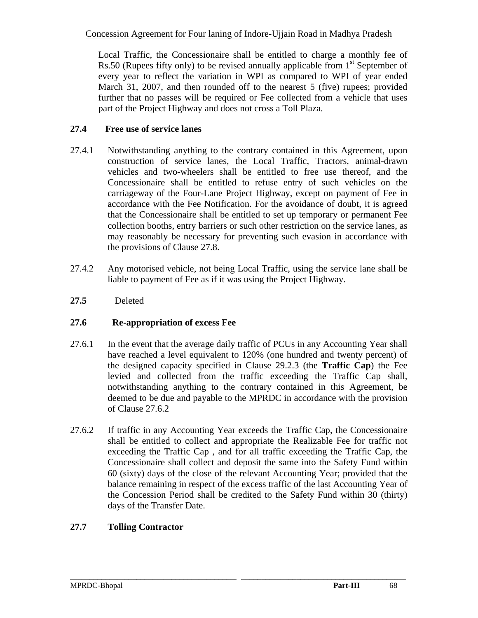Local Traffic, the Concessionaire shall be entitled to charge a monthly fee of Rs.50 (Rupees fifty only) to be revised annually applicable from  $1<sup>st</sup>$  September of every year to reflect the variation in WPI as compared to WPI of year ended March 31, 2007, and then rounded off to the nearest 5 (five) rupees; provided further that no passes will be required or Fee collected from a vehicle that uses part of the Project Highway and does not cross a Toll Plaza.

# **27.4 Free use of service lanes**

- 27.4.1 Notwithstanding anything to the contrary contained in this Agreement, upon construction of service lanes, the Local Traffic, Tractors, animal-drawn vehicles and two-wheelers shall be entitled to free use thereof, and the Concessionaire shall be entitled to refuse entry of such vehicles on the carriageway of the Four-Lane Project Highway, except on payment of Fee in accordance with the Fee Notification. For the avoidance of doubt, it is agreed that the Concessionaire shall be entitled to set up temporary or permanent Fee collection booths, entry barriers or such other restriction on the service lanes, as may reasonably be necessary for preventing such evasion in accordance with the provisions of Clause 27.8.
- 27.4.2 Any motorised vehicle, not being Local Traffic, using the service lane shall be liable to payment of Fee as if it was using the Project Highway.
- **27.5** Deleted

## **27.6 Re-appropriation of excess Fee**

- 27.6.1 In the event that the average daily traffic of PCUs in any Accounting Year shall have reached a level equivalent to 120% (one hundred and twenty percent) of the designed capacity specified in Clause 29.2.3 (the **Traffic Cap**) the Fee levied and collected from the traffic exceeding the Traffic Cap shall, notwithstanding anything to the contrary contained in this Agreement, be deemed to be due and payable to the MPRDC in accordance with the provision of Clause 27.6.2
- 27.6.2 If traffic in any Accounting Year exceeds the Traffic Cap, the Concessionaire shall be entitled to collect and appropriate the Realizable Fee for traffic not exceeding the Traffic Cap , and for all traffic exceeding the Traffic Cap, the Concessionaire shall collect and deposit the same into the Safety Fund within 60 (sixty) days of the close of the relevant Accounting Year; provided that the balance remaining in respect of the excess traffic of the last Accounting Year of the Concession Period shall be credited to the Safety Fund within 30 (thirty) days of the Transfer Date.

\_\_\_\_\_\_\_\_\_\_\_\_\_\_\_\_\_\_\_\_\_\_\_\_\_\_\_\_\_\_\_\_\_\_\_\_\_\_\_\_\_\_\_\_\_\_\_\_\_\_\_\_\_\_\_\_\_\_\_\_\_\_\_\_\_\_\_\_\_\_\_\_\_\_\_\_\_\_\_\_\_\_\_\_\_\_

# **27.7 Tolling Contractor**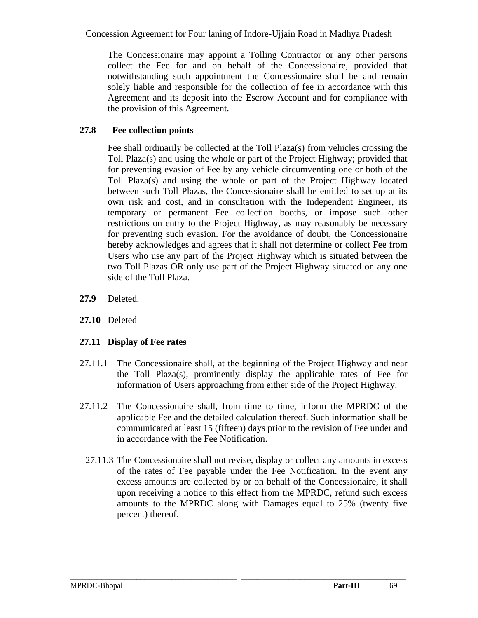The Concessionaire may appoint a Tolling Contractor or any other persons collect the Fee for and on behalf of the Concessionaire, provided that notwithstanding such appointment the Concessionaire shall be and remain solely liable and responsible for the collection of fee in accordance with this Agreement and its deposit into the Escrow Account and for compliance with the provision of this Agreement.

# **27.8 Fee collection points**

Fee shall ordinarily be collected at the Toll Plaza(s) from vehicles crossing the Toll Plaza(s) and using the whole or part of the Project Highway; provided that for preventing evasion of Fee by any vehicle circumventing one or both of the Toll Plaza(s) and using the whole or part of the Project Highway located between such Toll Plazas, the Concessionaire shall be entitled to set up at its own risk and cost, and in consultation with the Independent Engineer, its temporary or permanent Fee collection booths, or impose such other restrictions on entry to the Project Highway, as may reasonably be necessary for preventing such evasion. For the avoidance of doubt, the Concessionaire hereby acknowledges and agrees that it shall not determine or collect Fee from Users who use any part of the Project Highway which is situated between the two Toll Plazas OR only use part of the Project Highway situated on any one side of the Toll Plaza.

- **27.9** Deleted.
- **27.10** Deleted

## **27.11 Display of Fee rates**

- 27.11.1 The Concessionaire shall, at the beginning of the Project Highway and near the Toll Plaza(s), prominently display the applicable rates of Fee for information of Users approaching from either side of the Project Highway.
- 27.11.2 The Concessionaire shall, from time to time, inform the MPRDC of the applicable Fee and the detailed calculation thereof. Such information shall be communicated at least 15 (fifteen) days prior to the revision of Fee under and in accordance with the Fee Notification.
	- 27.11.3 The Concessionaire shall not revise, display or collect any amounts in excess of the rates of Fee payable under the Fee Notification. In the event any excess amounts are collected by or on behalf of the Concessionaire, it shall upon receiving a notice to this effect from the MPRDC, refund such excess amounts to the MPRDC along with Damages equal to 25% (twenty five percent) thereof.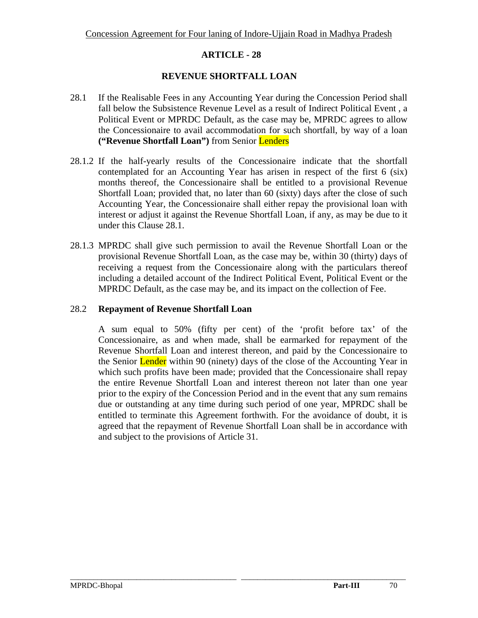## **REVENUE SHORTFALL LOAN**

- 28.1 If the Realisable Fees in any Accounting Year during the Concession Period shall fall below the Subsistence Revenue Level as a result of Indirect Political Event , a Political Event or MPRDC Default, as the case may be, MPRDC agrees to allow the Concessionaire to avail accommodation for such shortfall, by way of a loan **("Revenue Shortfall Loan")** from Senior Lenders
- 28.1.2 If the half-yearly results of the Concessionaire indicate that the shortfall contemplated for an Accounting Year has arisen in respect of the first 6 (six) months thereof, the Concessionaire shall be entitled to a provisional Revenue Shortfall Loan; provided that, no later than 60 (sixty) days after the close of such Accounting Year, the Concessionaire shall either repay the provisional loan with interest or adjust it against the Revenue Shortfall Loan, if any, as may be due to it under this Clause 28.1.
- 28.1.3 MPRDC shall give such permission to avail the Revenue Shortfall Loan or the provisional Revenue Shortfall Loan, as the case may be, within 30 (thirty) days of receiving a request from the Concessionaire along with the particulars thereof including a detailed account of the Indirect Political Event, Political Event or the MPRDC Default, as the case may be, and its impact on the collection of Fee.

## 28.2 **Repayment of Revenue Shortfall Loan**

A sum equal to 50% (fifty per cent) of the 'profit before tax' of the Concessionaire, as and when made, shall be earmarked for repayment of the Revenue Shortfall Loan and interest thereon, and paid by the Concessionaire to the Senior Lender within 90 (ninety) days of the close of the Accounting Year in which such profits have been made; provided that the Concessionaire shall repay the entire Revenue Shortfall Loan and interest thereon not later than one year prior to the expiry of the Concession Period and in the event that any sum remains due or outstanding at any time during such period of one year, MPRDC shall be entitled to terminate this Agreement forthwith. For the avoidance of doubt, it is agreed that the repayment of Revenue Shortfall Loan shall be in accordance with and subject to the provisions of Article 31.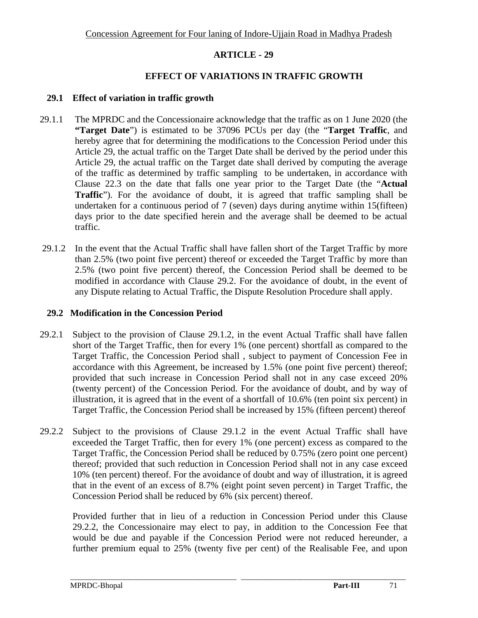#### **EFFECT OF VARIATIONS IN TRAFFIC GROWTH**

#### **29.1 Effect of variation in traffic growth**

- 29.1.1 The MPRDC and the Concessionaire acknowledge that the traffic as on 1 June 2020 (the **"Target Date**") is estimated to be 37096 PCUs per day (the "**Target Traffic**, and hereby agree that for determining the modifications to the Concession Period under this Article 29, the actual traffic on the Target Date shall be derived by the period under this Article 29, the actual traffic on the Target date shall derived by computing the average of the traffic as determined by traffic sampling to be undertaken, in accordance with Clause 22.3 on the date that falls one year prior to the Target Date (the "**Actual Traffic**"). For the avoidance of doubt, it is agreed that traffic sampling shall be undertaken for a continuous period of 7 (seven) days during anytime within 15(fifteen) days prior to the date specified herein and the average shall be deemed to be actual traffic.
- 29.1.2 In the event that the Actual Traffic shall have fallen short of the Target Traffic by more than 2.5% (two point five percent) thereof or exceeded the Target Traffic by more than 2.5% (two point five percent) thereof, the Concession Period shall be deemed to be modified in accordance with Clause 29.2. For the avoidance of doubt, in the event of any Dispute relating to Actual Traffic, the Dispute Resolution Procedure shall apply.

#### **29.2 Modification in the Concession Period**

- 29.2.1 Subject to the provision of Clause 29.1.2, in the event Actual Traffic shall have fallen short of the Target Traffic, then for every 1% (one percent) shortfall as compared to the Target Traffic, the Concession Period shall , subject to payment of Concession Fee in accordance with this Agreement, be increased by 1.5% (one point five percent) thereof; provided that such increase in Concession Period shall not in any case exceed 20% (twenty percent) of the Concession Period. For the avoidance of doubt, and by way of illustration, it is agreed that in the event of a shortfall of 10.6% (ten point six percent) in Target Traffic, the Concession Period shall be increased by 15% (fifteen percent) thereof
- 29.2.2 Subject to the provisions of Clause 29.1.2 in the event Actual Traffic shall have exceeded the Target Traffic, then for every 1% (one percent) excess as compared to the Target Traffic, the Concession Period shall be reduced by 0.75% (zero point one percent) thereof; provided that such reduction in Concession Period shall not in any case exceed 10% (ten percent) thereof. For the avoidance of doubt and way of illustration, it is agreed that in the event of an excess of 8.7% (eight point seven percent) in Target Traffic, the Concession Period shall be reduced by 6% (six percent) thereof.

Provided further that in lieu of a reduction in Concession Period under this Clause 29.2.2, the Concessionaire may elect to pay, in addition to the Concession Fee that would be due and payable if the Concession Period were not reduced hereunder, a further premium equal to 25% (twenty five per cent) of the Realisable Fee, and upon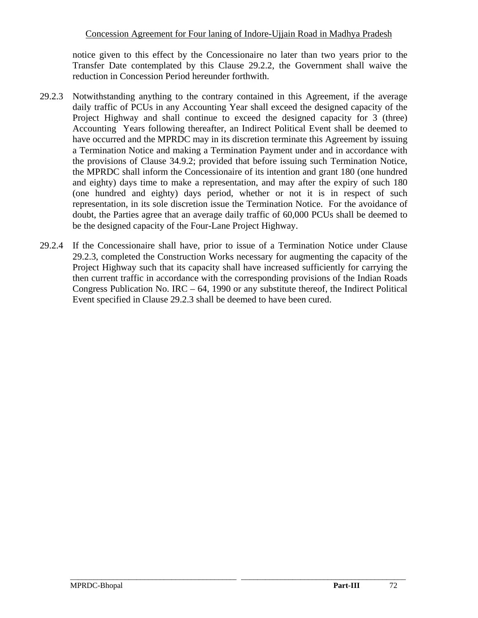notice given to this effect by the Concessionaire no later than two years prior to the Transfer Date contemplated by this Clause 29.2.2, the Government shall waive the reduction in Concession Period hereunder forthwith.

- 29.2.3 Notwithstanding anything to the contrary contained in this Agreement, if the average daily traffic of PCUs in any Accounting Year shall exceed the designed capacity of the Project Highway and shall continue to exceed the designed capacity for 3 (three) Accounting Years following thereafter, an Indirect Political Event shall be deemed to have occurred and the MPRDC may in its discretion terminate this Agreement by issuing a Termination Notice and making a Termination Payment under and in accordance with the provisions of Clause 34.9.2; provided that before issuing such Termination Notice, the MPRDC shall inform the Concessionaire of its intention and grant 180 (one hundred and eighty) days time to make a representation, and may after the expiry of such 180 (one hundred and eighty) days period, whether or not it is in respect of such representation, in its sole discretion issue the Termination Notice. For the avoidance of doubt, the Parties agree that an average daily traffic of 60,000 PCUs shall be deemed to be the designed capacity of the Four-Lane Project Highway.
- 29.2.4 If the Concessionaire shall have, prior to issue of a Termination Notice under Clause 29.2.3, completed the Construction Works necessary for augmenting the capacity of the Project Highway such that its capacity shall have increased sufficiently for carrying the then current traffic in accordance with the corresponding provisions of the Indian Roads Congress Publication No. IRC – 64, 1990 or any substitute thereof, the Indirect Political Event specified in Clause 29.2.3 shall be deemed to have been cured.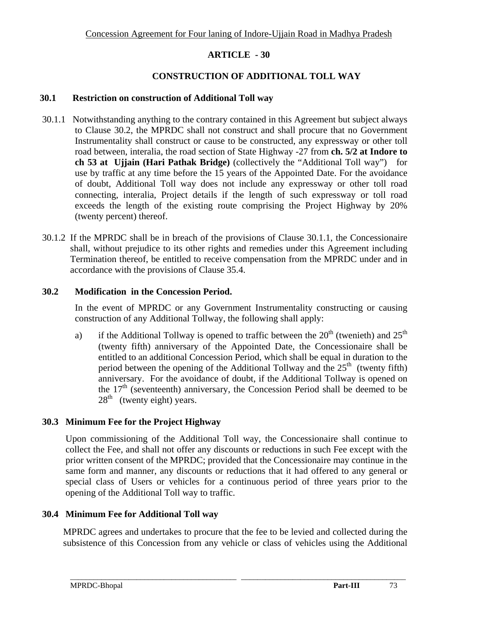### **CONSTRUCTION OF ADDITIONAL TOLL WAY**

#### **30.1 Restriction on construction of Additional Toll way**

- 30.1.1 Notwithstanding anything to the contrary contained in this Agreement but subject always to Clause 30.2, the MPRDC shall not construct and shall procure that no Government Instrumentality shall construct or cause to be constructed, any expressway or other toll road between, interalia, the road section of State Highway -27 from **ch. 5/2 at Indore to ch 53 at Ujjain (Hari Pathak Bridge)** (collectively the "Additional Toll way")for use by traffic at any time before the 15 years of the Appointed Date. For the avoidance of doubt, Additional Toll way does not include any expressway or other toll road connecting, interalia, Project details if the length of such expressway or toll road exceeds the length of the existing route comprising the Project Highway by 20% (twenty percent) thereof.
- 30.1.2 If the MPRDC shall be in breach of the provisions of Clause 30.1.1, the Concessionaire shall, without prejudice to its other rights and remedies under this Agreement including Termination thereof, be entitled to receive compensation from the MPRDC under and in accordance with the provisions of Clause 35.4.

### **30.2 Modification in the Concession Period.**

In the event of MPRDC or any Government Instrumentality constructing or causing construction of any Additional Tollway, the following shall apply:

a) if the Additional Tollway is opened to traffic between the  $20<sup>th</sup>$  (twenieth) and  $25<sup>th</sup>$ (twenty fifth) anniversary of the Appointed Date, the Concessionaire shall be entitled to an additional Concession Period, which shall be equal in duration to the period between the opening of the Additional Tollway and the  $25<sup>th</sup>$  (twenty fifth) anniversary. For the avoidance of doubt, if the Additional Tollway is opened on the  $17<sup>th</sup>$  (seventeenth) anniversary, the Concession Period shall be deemed to be  $28<sup>th</sup>$  (twenty eight) years.

### **30.3 Minimum Fee for the Project Highway**

Upon commissioning of the Additional Toll way, the Concessionaire shall continue to collect the Fee, and shall not offer any discounts or reductions in such Fee except with the prior written consent of the MPRDC; provided that the Concessionaire may continue in the same form and manner, any discounts or reductions that it had offered to any general or special class of Users or vehicles for a continuous period of three years prior to the opening of the Additional Toll way to traffic.

### **30.4 Minimum Fee for Additional Toll way**

MPRDC agrees and undertakes to procure that the fee to be levied and collected during the subsistence of this Concession from any vehicle or class of vehicles using the Additional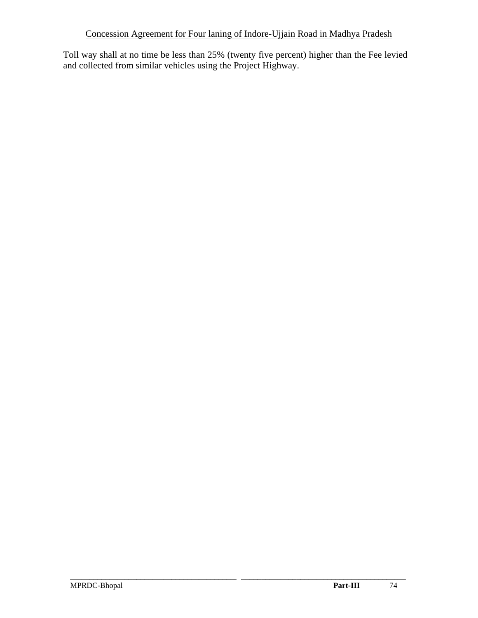Toll way shall at no time be less than 25% (twenty five percent) higher than the Fee levied and collected from similar vehicles using the Project Highway.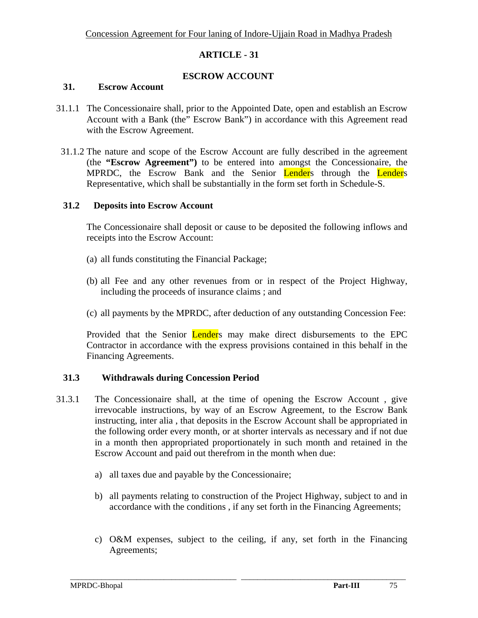### **ESCROW ACCOUNT**

#### **31. Escrow Account**

- 31.1.1 The Concessionaire shall, prior to the Appointed Date, open and establish an Escrow Account with a Bank (the" Escrow Bank") in accordance with this Agreement read with the Escrow Agreement.
- 31.1.2 The nature and scope of the Escrow Account are fully described in the agreement (the **"Escrow Agreement")** to be entered into amongst the Concessionaire, the MPRDC, the Escrow Bank and the Senior Lenders through the Lenders Representative, which shall be substantially in the form set forth in Schedule-S.

#### **31.2 Deposits into Escrow Account**

The Concessionaire shall deposit or cause to be deposited the following inflows and receipts into the Escrow Account:

- (a) all funds constituting the Financial Package;
- (b) all Fee and any other revenues from or in respect of the Project Highway, including the proceeds of insurance claims ; and
- (c) all payments by the MPRDC, after deduction of any outstanding Concession Fee:

Provided that the Senior **Lender**s may make direct disbursements to the EPC Contractor in accordance with the express provisions contained in this behalf in the Financing Agreements.

### **31.3 Withdrawals during Concession Period**

- 31.3.1 The Concessionaire shall, at the time of opening the Escrow Account , give irrevocable instructions, by way of an Escrow Agreement, to the Escrow Bank instructing, inter alia , that deposits in the Escrow Account shall be appropriated in the following order every month, or at shorter intervals as necessary and if not due in a month then appropriated proportionately in such month and retained in the Escrow Account and paid out therefrom in the month when due:
	- a) all taxes due and payable by the Concessionaire;
	- b) all payments relating to construction of the Project Highway, subject to and in accordance with the conditions , if any set forth in the Financing Agreements;
	- c) O&M expenses, subject to the ceiling, if any, set forth in the Financing Agreements;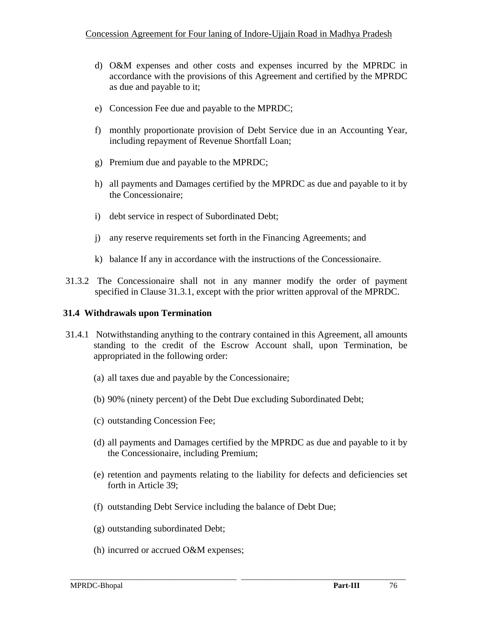- d) O&M expenses and other costs and expenses incurred by the MPRDC in accordance with the provisions of this Agreement and certified by the MPRDC as due and payable to it;
- e) Concession Fee due and payable to the MPRDC;
- f) monthly proportionate provision of Debt Service due in an Accounting Year, including repayment of Revenue Shortfall Loan;
- g) Premium due and payable to the MPRDC;
- h) all payments and Damages certified by the MPRDC as due and payable to it by the Concessionaire;
- i) debt service in respect of Subordinated Debt;
- j) any reserve requirements set forth in the Financing Agreements; and
- k) balance If any in accordance with the instructions of the Concessionaire.
- 31.3.2 The Concessionaire shall not in any manner modify the order of payment specified in Clause 31.3.1, except with the prior written approval of the MPRDC.

#### **31.4 Withdrawals upon Termination**

- 31.4.1 Notwithstanding anything to the contrary contained in this Agreement, all amounts standing to the credit of the Escrow Account shall, upon Termination, be appropriated in the following order:
	- (a) all taxes due and payable by the Concessionaire;
	- (b) 90% (ninety percent) of the Debt Due excluding Subordinated Debt;
	- (c) outstanding Concession Fee;
	- (d) all payments and Damages certified by the MPRDC as due and payable to it by the Concessionaire, including Premium;
	- (e) retention and payments relating to the liability for defects and deficiencies set forth in Article 39;

- (f) outstanding Debt Service including the balance of Debt Due;
- (g) outstanding subordinated Debt;
- (h) incurred or accrued O&M expenses;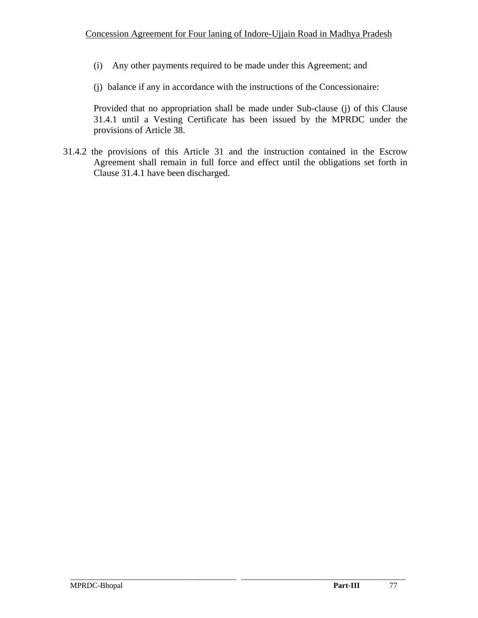- (i) Any other payments required to be made under this Agreement; and
- (j) balance if any in accordance with the instructions of the Concessionaire:

Provided that no appropriation shall be made under Sub-clause (j) of this Clause 31.4.1 until a Vesting Certificate has been issued by the MPRDC under the provisions of Article 38.

 31.4.2 the provisions of this Article 31 and the instruction contained in the Escrow Agreement shall remain in full force and effect until the obligations set forth in Clause 31.4.1 have been discharged.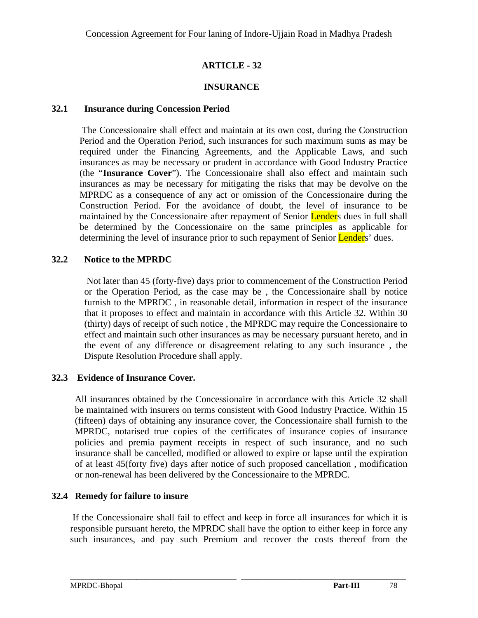### **INSURANCE**

#### **32.1 Insurance during Concession Period**

 The Concessionaire shall effect and maintain at its own cost, during the Construction Period and the Operation Period, such insurances for such maximum sums as may be required under the Financing Agreements, and the Applicable Laws, and such insurances as may be necessary or prudent in accordance with Good Industry Practice (the "**Insurance Cover**"). The Concessionaire shall also effect and maintain such insurances as may be necessary for mitigating the risks that may be devolve on the MPRDC as a consequence of any act or omission of the Concessionaire during the Construction Period. For the avoidance of doubt, the level of insurance to be maintained by the Concessionaire after repayment of Senior **Lender**s dues in full shall be determined by the Concessionaire on the same principles as applicable for determining the level of insurance prior to such repayment of Senior Lenders' dues.

### **32.2 Notice to the MPRDC**

 Not later than 45 (forty-five) days prior to commencement of the Construction Period or the Operation Period, as the case may be , the Concessionaire shall by notice furnish to the MPRDC , in reasonable detail, information in respect of the insurance that it proposes to effect and maintain in accordance with this Article 32. Within 30 (thirty) days of receipt of such notice , the MPRDC may require the Concessionaire to effect and maintain such other insurances as may be necessary pursuant hereto, and in the event of any difference or disagreement relating to any such insurance , the Dispute Resolution Procedure shall apply.

### **32.3 Evidence of Insurance Cover.**

All insurances obtained by the Concessionaire in accordance with this Article 32 shall be maintained with insurers on terms consistent with Good Industry Practice. Within 15 (fifteen) days of obtaining any insurance cover, the Concessionaire shall furnish to the MPRDC, notarised true copies of the certificates of insurance copies of insurance policies and premia payment receipts in respect of such insurance, and no such insurance shall be cancelled, modified or allowed to expire or lapse until the expiration of at least 45(forty five) days after notice of such proposed cancellation , modification or non-renewal has been delivered by the Concessionaire to the MPRDC.

# **32.4 Remedy for failure to insure**

 If the Concessionaire shall fail to effect and keep in force all insurances for which it is responsible pursuant hereto, the MPRDC shall have the option to either keep in force any such insurances, and pay such Premium and recover the costs thereof from the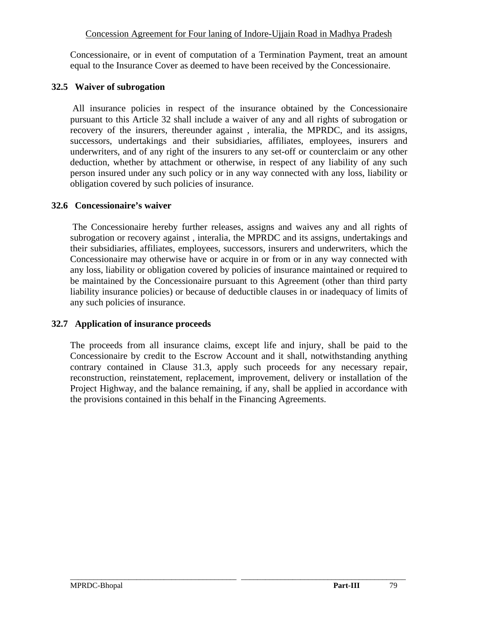Concessionaire, or in event of computation of a Termination Payment, treat an amount equal to the Insurance Cover as deemed to have been received by the Concessionaire.

#### **32.5 Waiver of subrogation**

 All insurance policies in respect of the insurance obtained by the Concessionaire pursuant to this Article 32 shall include a waiver of any and all rights of subrogation or recovery of the insurers, thereunder against , interalia, the MPRDC, and its assigns, successors, undertakings and their subsidiaries, affiliates, employees, insurers and underwriters, and of any right of the insurers to any set-off or counterclaim or any other deduction, whether by attachment or otherwise, in respect of any liability of any such person insured under any such policy or in any way connected with any loss, liability or obligation covered by such policies of insurance.

#### **32.6 Concessionaire's waiver**

 The Concessionaire hereby further releases, assigns and waives any and all rights of subrogation or recovery against , interalia, the MPRDC and its assigns, undertakings and their subsidiaries, affiliates, employees, successors, insurers and underwriters, which the Concessionaire may otherwise have or acquire in or from or in any way connected with any loss, liability or obligation covered by policies of insurance maintained or required to be maintained by the Concessionaire pursuant to this Agreement (other than third party liability insurance policies) or because of deductible clauses in or inadequacy of limits of any such policies of insurance.

### **32.7 Application of insurance proceeds**

The proceeds from all insurance claims, except life and injury, shall be paid to the Concessionaire by credit to the Escrow Account and it shall, notwithstanding anything contrary contained in Clause 31.3, apply such proceeds for any necessary repair, reconstruction, reinstatement, replacement, improvement, delivery or installation of the Project Highway, and the balance remaining, if any, shall be applied in accordance with the provisions contained in this behalf in the Financing Agreements.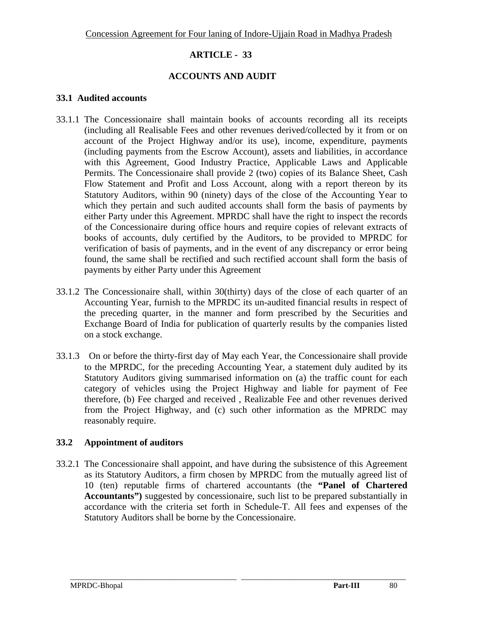### **ACCOUNTS AND AUDIT**

#### **33.1 Audited accounts**

- 33.1.1 The Concessionaire shall maintain books of accounts recording all its receipts (including all Realisable Fees and other revenues derived/collected by it from or on account of the Project Highway and/or its use), income, expenditure, payments (including payments from the Escrow Account), assets and liabilities, in accordance with this Agreement, Good Industry Practice, Applicable Laws and Applicable Permits. The Concessionaire shall provide 2 (two) copies of its Balance Sheet, Cash Flow Statement and Profit and Loss Account, along with a report thereon by its Statutory Auditors, within 90 (ninety) days of the close of the Accounting Year to which they pertain and such audited accounts shall form the basis of payments by either Party under this Agreement. MPRDC shall have the right to inspect the records of the Concessionaire during office hours and require copies of relevant extracts of books of accounts, duly certified by the Auditors, to be provided to MPRDC for verification of basis of payments, and in the event of any discrepancy or error being found, the same shall be rectified and such rectified account shall form the basis of payments by either Party under this Agreement
- 33.1.2 The Concessionaire shall, within 30(thirty) days of the close of each quarter of an Accounting Year, furnish to the MPRDC its un-audited financial results in respect of the preceding quarter, in the manner and form prescribed by the Securities and Exchange Board of India for publication of quarterly results by the companies listed on a stock exchange.
- 33.1.3 On or before the thirty-first day of May each Year, the Concessionaire shall provide to the MPRDC, for the preceding Accounting Year, a statement duly audited by its Statutory Auditors giving summarised information on (a) the traffic count for each category of vehicles using the Project Highway and liable for payment of Fee therefore, (b) Fee charged and received , Realizable Fee and other revenues derived from the Project Highway, and (c) such other information as the MPRDC may reasonably require.

### **33.2 Appointment of auditors**

33.2.1 The Concessionaire shall appoint, and have during the subsistence of this Agreement as its Statutory Auditors, a firm chosen by MPRDC from the mutually agreed list of 10 (ten) reputable firms of chartered accountants (the **"Panel of Chartered Accountants")** suggested by concessionaire, such list to be prepared substantially in accordance with the criteria set forth in Schedule-T. All fees and expenses of the Statutory Auditors shall be borne by the Concessionaire.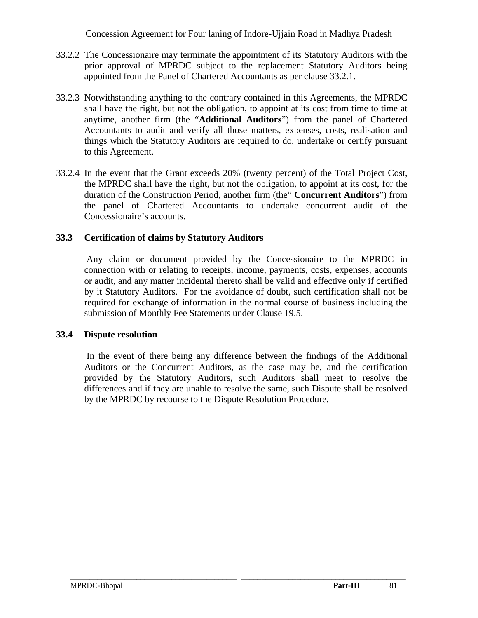- 33.2.2 The Concessionaire may terminate the appointment of its Statutory Auditors with the prior approval of MPRDC subject to the replacement Statutory Auditors being appointed from the Panel of Chartered Accountants as per clause 33.2.1.
- 33.2.3 Notwithstanding anything to the contrary contained in this Agreements, the MPRDC shall have the right, but not the obligation, to appoint at its cost from time to time at anytime, another firm (the "**Additional Auditors**") from the panel of Chartered Accountants to audit and verify all those matters, expenses, costs, realisation and things which the Statutory Auditors are required to do, undertake or certify pursuant to this Agreement.
- 33.2.4 In the event that the Grant exceeds 20% (twenty percent) of the Total Project Cost, the MPRDC shall have the right, but not the obligation, to appoint at its cost, for the duration of the Construction Period, another firm (the" **Concurrent Auditors**") from the panel of Chartered Accountants to undertake concurrent audit of the Concessionaire's accounts.

### **33.3 Certification of claims by Statutory Auditors**

Any claim or document provided by the Concessionaire to the MPRDC in connection with or relating to receipts, income, payments, costs, expenses, accounts or audit, and any matter incidental thereto shall be valid and effective only if certified by it Statutory Auditors. For the avoidance of doubt, such certification shall not be required for exchange of information in the normal course of business including the submission of Monthly Fee Statements under Clause 19.5.

### **33.4 Dispute resolution**

 In the event of there being any difference between the findings of the Additional Auditors or the Concurrent Auditors, as the case may be, and the certification provided by the Statutory Auditors, such Auditors shall meet to resolve the differences and if they are unable to resolve the same, such Dispute shall be resolved by the MPRDC by recourse to the Dispute Resolution Procedure.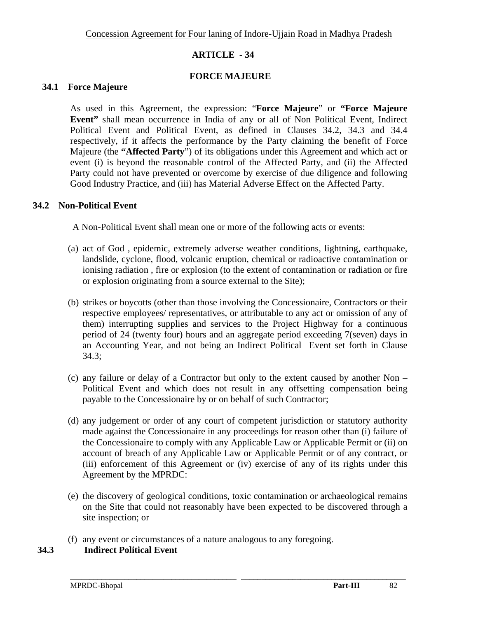### **FORCE MAJEURE**

#### **34.1 Force Majeure**

As used in this Agreement, the expression: "**Force Majeure**" or **"Force Majeure Event"** shall mean occurrence in India of any or all of Non Political Event, Indirect Political Event and Political Event, as defined in Clauses 34.2, 34.3 and 34.4 respectively, if it affects the performance by the Party claiming the benefit of Force Majeure (the **"Affected Party**") of its obligations under this Agreement and which act or event (i) is beyond the reasonable control of the Affected Party, and (ii) the Affected Party could not have prevented or overcome by exercise of due diligence and following Good Industry Practice, and (iii) has Material Adverse Effect on the Affected Party.

#### **34.2 Non-Political Event**

A Non-Political Event shall mean one or more of the following acts or events:

- (a) act of God , epidemic, extremely adverse weather conditions, lightning, earthquake, landslide, cyclone, flood, volcanic eruption, chemical or radioactive contamination or ionising radiation , fire or explosion (to the extent of contamination or radiation or fire or explosion originating from a source external to the Site);
- (b) strikes or boycotts (other than those involving the Concessionaire, Contractors or their respective employees/ representatives, or attributable to any act or omission of any of them) interrupting supplies and services to the Project Highway for a continuous period of 24 (twenty four) hours and an aggregate period exceeding 7(seven) days in an Accounting Year, and not being an Indirect Political Event set forth in Clause 34.3;
- (c) any failure or delay of a Contractor but only to the extent caused by another Non Political Event and which does not result in any offsetting compensation being payable to the Concessionaire by or on behalf of such Contractor;
- (d) any judgement or order of any court of competent jurisdiction or statutory authority made against the Concessionaire in any proceedings for reason other than (i) failure of the Concessionaire to comply with any Applicable Law or Applicable Permit or (ii) on account of breach of any Applicable Law or Applicable Permit or of any contract, or (iii) enforcement of this Agreement or (iv) exercise of any of its rights under this Agreement by the MPRDC:
- (e) the discovery of geological conditions, toxic contamination or archaeological remains on the Site that could not reasonably have been expected to be discovered through a site inspection; or

\_\_\_\_\_\_\_\_\_\_\_\_\_\_\_\_\_\_\_\_\_\_\_\_\_\_\_\_\_\_\_\_\_\_\_\_\_\_\_\_\_\_\_\_\_\_\_\_\_\_\_\_\_\_\_\_\_\_\_\_\_\_\_\_\_\_\_\_\_\_\_\_\_\_\_\_\_\_\_\_\_\_\_\_\_\_

(f) any event or circumstances of a nature analogous to any foregoing.

### **34.3 Indirect Political Event**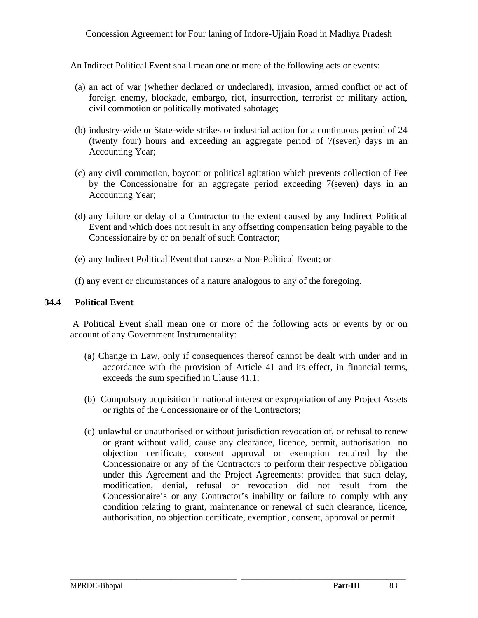An Indirect Political Event shall mean one or more of the following acts or events:

- (a) an act of war (whether declared or undeclared), invasion, armed conflict or act of foreign enemy, blockade, embargo, riot, insurrection, terrorist or military action, civil commotion or politically motivated sabotage;
- (b) industry-wide or State-wide strikes or industrial action for a continuous period of 24 (twenty four) hours and exceeding an aggregate period of 7(seven) days in an Accounting Year;
- (c) any civil commotion, boycott or political agitation which prevents collection of Fee by the Concessionaire for an aggregate period exceeding 7(seven) days in an Accounting Year;
- (d) any failure or delay of a Contractor to the extent caused by any Indirect Political Event and which does not result in any offsetting compensation being payable to the Concessionaire by or on behalf of such Contractor;
- (e) any Indirect Political Event that causes a Non-Political Event; or
- (f) any event or circumstances of a nature analogous to any of the foregoing.

#### **34.4 Political Event**

 A Political Event shall mean one or more of the following acts or events by or on account of any Government Instrumentality:

- (a) Change in Law, only if consequences thereof cannot be dealt with under and in accordance with the provision of Article 41 and its effect, in financial terms, exceeds the sum specified in Clause 41.1;
- (b) Compulsory acquisition in national interest or expropriation of any Project Assets or rights of the Concessionaire or of the Contractors;
- (c) unlawful or unauthorised or without jurisdiction revocation of, or refusal to renew or grant without valid, cause any clearance, licence, permit, authorisation no objection certificate, consent approval or exemption required by the Concessionaire or any of the Contractors to perform their respective obligation under this Agreement and the Project Agreements: provided that such delay, modification, denial, refusal or revocation did not result from the Concessionaire's or any Contractor's inability or failure to comply with any condition relating to grant, maintenance or renewal of such clearance, licence, authorisation, no objection certificate, exemption, consent, approval or permit.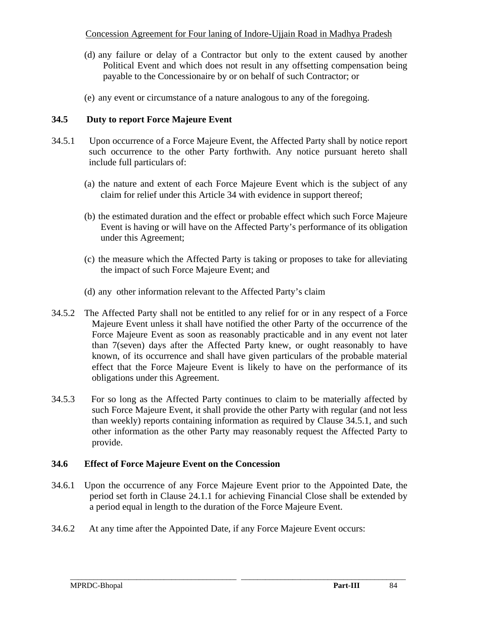- (d) any failure or delay of a Contractor but only to the extent caused by another Political Event and which does not result in any offsetting compensation being payable to the Concessionaire by or on behalf of such Contractor; or
- (e) any event or circumstance of a nature analogous to any of the foregoing.

# **34.5 Duty to report Force Majeure Event**

- 34.5.1 Upon occurrence of a Force Majeure Event, the Affected Party shall by notice report such occurrence to the other Party forthwith. Any notice pursuant hereto shall include full particulars of:
	- (a) the nature and extent of each Force Majeure Event which is the subject of any claim for relief under this Article 34 with evidence in support thereof;
	- (b) the estimated duration and the effect or probable effect which such Force Majeure Event is having or will have on the Affected Party's performance of its obligation under this Agreement;
	- (c) the measure which the Affected Party is taking or proposes to take for alleviating the impact of such Force Majeure Event; and
	- (d) any other information relevant to the Affected Party's claim
- 34.5.2 The Affected Party shall not be entitled to any relief for or in any respect of a Force Majeure Event unless it shall have notified the other Party of the occurrence of the Force Majeure Event as soon as reasonably practicable and in any event not later than 7(seven) days after the Affected Party knew, or ought reasonably to have known, of its occurrence and shall have given particulars of the probable material effect that the Force Majeure Event is likely to have on the performance of its obligations under this Agreement.
- 34.5.3 For so long as the Affected Party continues to claim to be materially affected by such Force Majeure Event, it shall provide the other Party with regular (and not less than weekly) reports containing information as required by Clause 34.5.1, and such other information as the other Party may reasonably request the Affected Party to provide.

# **34.6 Effect of Force Majeure Event on the Concession**

- 34.6.1 Upon the occurrence of any Force Majeure Event prior to the Appointed Date, the period set forth in Clause 24.1.1 for achieving Financial Close shall be extended by a period equal in length to the duration of the Force Majeure Event.
- 34.6.2 At any time after the Appointed Date, if any Force Majeure Event occurs: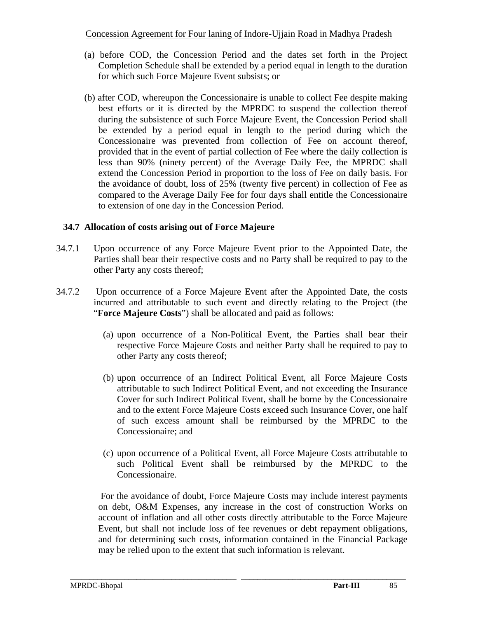- (a) before COD, the Concession Period and the dates set forth in the Project Completion Schedule shall be extended by a period equal in length to the duration for which such Force Majeure Event subsists; or
- (b) after COD, whereupon the Concessionaire is unable to collect Fee despite making best efforts or it is directed by the MPRDC to suspend the collection thereof during the subsistence of such Force Majeure Event, the Concession Period shall be extended by a period equal in length to the period during which the Concessionaire was prevented from collection of Fee on account thereof, provided that in the event of partial collection of Fee where the daily collection is less than 90% (ninety percent) of the Average Daily Fee, the MPRDC shall extend the Concession Period in proportion to the loss of Fee on daily basis. For the avoidance of doubt, loss of 25% (twenty five percent) in collection of Fee as compared to the Average Daily Fee for four days shall entitle the Concessionaire to extension of one day in the Concession Period.

# **34.7 Allocation of costs arising out of Force Majeure**

- 34.7.1 Upon occurrence of any Force Majeure Event prior to the Appointed Date, the Parties shall bear their respective costs and no Party shall be required to pay to the other Party any costs thereof;
- 34.7.2 Upon occurrence of a Force Majeure Event after the Appointed Date, the costs incurred and attributable to such event and directly relating to the Project (the "**Force Majeure Costs**") shall be allocated and paid as follows:
	- (a) upon occurrence of a Non-Political Event, the Parties shall bear their respective Force Majeure Costs and neither Party shall be required to pay to other Party any costs thereof;
	- (b) upon occurrence of an Indirect Political Event, all Force Majeure Costs attributable to such Indirect Political Event, and not exceeding the Insurance Cover for such Indirect Political Event, shall be borne by the Concessionaire and to the extent Force Majeure Costs exceed such Insurance Cover, one half of such excess amount shall be reimbursed by the MPRDC to the Concessionaire; and
	- (c) upon occurrence of a Political Event, all Force Majeure Costs attributable to such Political Event shall be reimbursed by the MPRDC to the Concessionaire.

 For the avoidance of doubt, Force Majeure Costs may include interest payments on debt, O&M Expenses, any increase in the cost of construction Works on account of inflation and all other costs directly attributable to the Force Majeure Event, but shall not include loss of fee revenues or debt repayment obligations, and for determining such costs, information contained in the Financial Package may be relied upon to the extent that such information is relevant.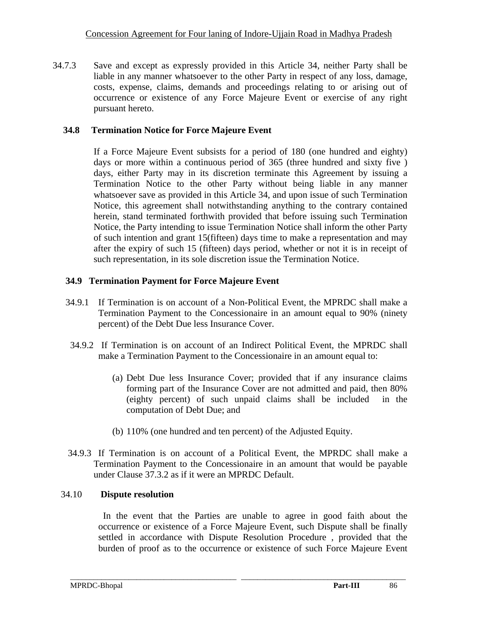34.7.3 Save and except as expressly provided in this Article 34, neither Party shall be liable in any manner whatsoever to the other Party in respect of any loss, damage, costs, expense, claims, demands and proceedings relating to or arising out of occurrence or existence of any Force Majeure Event or exercise of any right pursuant hereto.

### **34.8 Termination Notice for Force Majeure Event**

If a Force Majeure Event subsists for a period of 180 (one hundred and eighty) days or more within a continuous period of 365 (three hundred and sixty five ) days, either Party may in its discretion terminate this Agreement by issuing a Termination Notice to the other Party without being liable in any manner whatsoever save as provided in this Article 34, and upon issue of such Termination Notice, this agreement shall notwithstanding anything to the contrary contained herein, stand terminated forthwith provided that before issuing such Termination Notice, the Party intending to issue Termination Notice shall inform the other Party of such intention and grant 15(fifteen) days time to make a representation and may after the expiry of such 15 (fifteen) days period, whether or not it is in receipt of such representation, in its sole discretion issue the Termination Notice.

# **34.9 Termination Payment for Force Majeure Event**

- 34.9.1 If Termination is on account of a Non-Political Event, the MPRDC shall make a Termination Payment to the Concessionaire in an amount equal to 90% (ninety percent) of the Debt Due less Insurance Cover.
- 34.9.2 If Termination is on account of an Indirect Political Event, the MPRDC shall make a Termination Payment to the Concessionaire in an amount equal to:
	- (a) Debt Due less Insurance Cover; provided that if any insurance claims forming part of the Insurance Cover are not admitted and paid, then 80% (eighty percent) of such unpaid claims shall be included in the computation of Debt Due; and
	- (b) 110% (one hundred and ten percent) of the Adjusted Equity.
- 34.9.3 If Termination is on account of a Political Event, the MPRDC shall make a Termination Payment to the Concessionaire in an amount that would be payable under Clause 37.3.2 as if it were an MPRDC Default.

\_\_\_\_\_\_\_\_\_\_\_\_\_\_\_\_\_\_\_\_\_\_\_\_\_\_\_\_\_\_\_\_\_\_\_\_\_\_\_\_\_\_\_\_\_\_\_\_\_\_\_\_\_\_\_\_\_\_\_\_\_\_\_\_\_\_\_\_\_\_\_\_\_\_\_\_\_\_\_\_\_\_\_\_\_\_

### 34.10 **Dispute resolution**

 In the event that the Parties are unable to agree in good faith about the occurrence or existence of a Force Majeure Event, such Dispute shall be finally settled in accordance with Dispute Resolution Procedure , provided that the burden of proof as to the occurrence or existence of such Force Majeure Event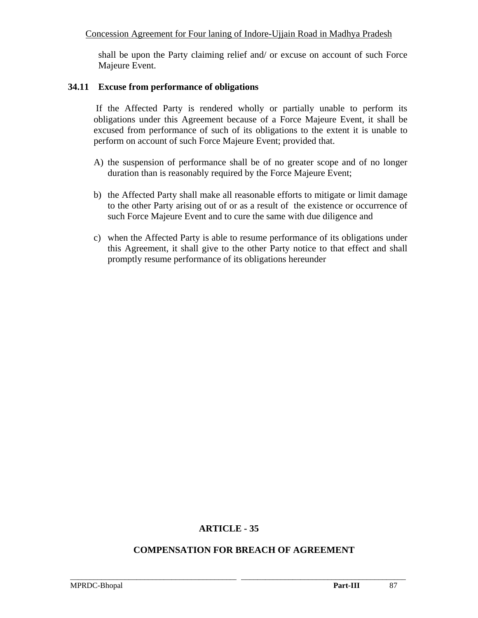shall be upon the Party claiming relief and/ or excuse on account of such Force Majeure Event.

#### **34.11 Excuse from performance of obligations**

 If the Affected Party is rendered wholly or partially unable to perform its obligations under this Agreement because of a Force Majeure Event, it shall be excused from performance of such of its obligations to the extent it is unable to perform on account of such Force Majeure Event; provided that.

- A) the suspension of performance shall be of no greater scope and of no longer duration than is reasonably required by the Force Majeure Event;
- b) the Affected Party shall make all reasonable efforts to mitigate or limit damage to the other Party arising out of or as a result of the existence or occurrence of such Force Majeure Event and to cure the same with due diligence and
- c) when the Affected Party is able to resume performance of its obligations under this Agreement, it shall give to the other Party notice to that effect and shall promptly resume performance of its obligations hereunder

### **ARTICLE - 35**

### **COMPENSATION FOR BREACH OF AGREEMENT**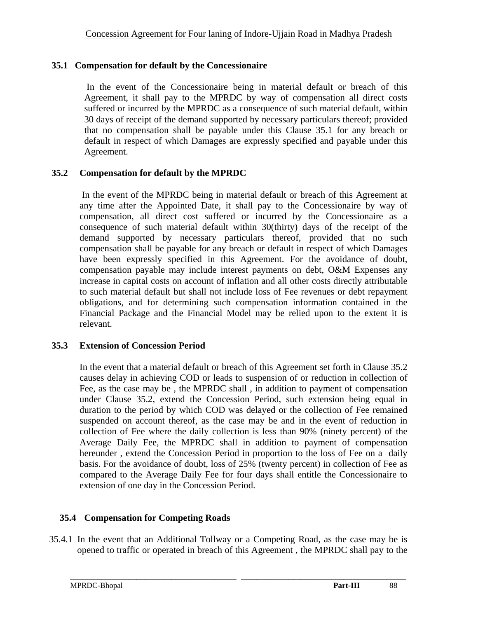# **35.1 Compensation for default by the Concessionaire**

In the event of the Concessionaire being in material default or breach of this Agreement, it shall pay to the MPRDC by way of compensation all direct costs suffered or incurred by the MPRDC as a consequence of such material default, within 30 days of receipt of the demand supported by necessary particulars thereof; provided that no compensation shall be payable under this Clause 35.1 for any breach or default in respect of which Damages are expressly specified and payable under this Agreement.

### **35.2 Compensation for default by the MPRDC**

 In the event of the MPRDC being in material default or breach of this Agreement at any time after the Appointed Date, it shall pay to the Concessionaire by way of compensation, all direct cost suffered or incurred by the Concessionaire as a consequence of such material default within 30(thirty) days of the receipt of the demand supported by necessary particulars thereof, provided that no such compensation shall be payable for any breach or default in respect of which Damages have been expressly specified in this Agreement. For the avoidance of doubt, compensation payable may include interest payments on debt, O&M Expenses any increase in capital costs on account of inflation and all other costs directly attributable to such material default but shall not include loss of Fee revenues or debt repayment obligations, and for determining such compensation information contained in the Financial Package and the Financial Model may be relied upon to the extent it is relevant.

### **35.3 Extension of Concession Period**

In the event that a material default or breach of this Agreement set forth in Clause 35.2 causes delay in achieving COD or leads to suspension of or reduction in collection of Fee, as the case may be , the MPRDC shall , in addition to payment of compensation under Clause 35.2, extend the Concession Period, such extension being equal in duration to the period by which COD was delayed or the collection of Fee remained suspended on account thereof, as the case may be and in the event of reduction in collection of Fee where the daily collection is less than 90% (ninety percent) of the Average Daily Fee, the MPRDC shall in addition to payment of compensation hereunder , extend the Concession Period in proportion to the loss of Fee on a daily basis. For the avoidance of doubt, loss of 25% (twenty percent) in collection of Fee as compared to the Average Daily Fee for four days shall entitle the Concessionaire to extension of one day in the Concession Period.

# **35.4 Compensation for Competing Roads**

35.4.1 In the event that an Additional Tollway or a Competing Road, as the case may be is opened to traffic or operated in breach of this Agreement , the MPRDC shall pay to the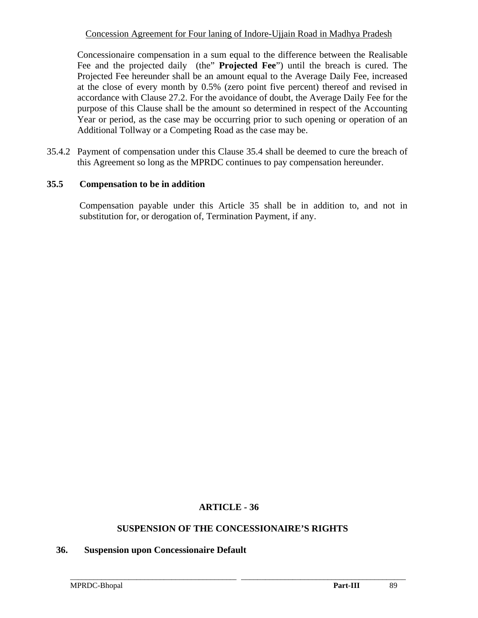Concessionaire compensation in a sum equal to the difference between the Realisable Fee and the projected daily (the" **Projected Fee**") until the breach is cured. The Projected Fee hereunder shall be an amount equal to the Average Daily Fee, increased at the close of every month by 0.5% (zero point five percent) thereof and revised in accordance with Clause 27.2. For the avoidance of doubt, the Average Daily Fee for the purpose of this Clause shall be the amount so determined in respect of the Accounting Year or period, as the case may be occurring prior to such opening or operation of an Additional Tollway or a Competing Road as the case may be.

35.4.2 Payment of compensation under this Clause 35.4 shall be deemed to cure the breach of this Agreement so long as the MPRDC continues to pay compensation hereunder.

### **35.5 Compensation to be in addition**

Compensation payable under this Article 35 shall be in addition to, and not in substitution for, or derogation of, Termination Payment, if any.

### **ARTICLE - 36**

#### **SUSPENSION OF THE CONCESSIONAIRE'S RIGHTS**

\_\_\_\_\_\_\_\_\_\_\_\_\_\_\_\_\_\_\_\_\_\_\_\_\_\_\_\_\_\_\_\_\_\_\_\_\_\_\_\_\_\_\_\_\_\_\_\_\_\_\_\_\_\_\_\_\_\_\_\_\_\_\_\_\_\_\_\_\_\_\_\_\_\_\_\_\_\_\_\_\_\_\_\_\_\_

#### **36. Suspension upon Concessionaire Default**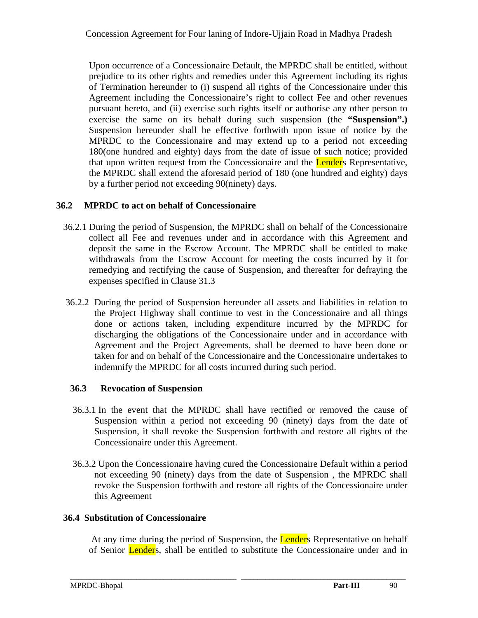Upon occurrence of a Concessionaire Default, the MPRDC shall be entitled, without prejudice to its other rights and remedies under this Agreement including its rights of Termination hereunder to (i) suspend all rights of the Concessionaire under this Agreement including the Concessionaire's right to collect Fee and other revenues pursuant hereto, and (ii) exercise such rights itself or authorise any other person to exercise the same on its behalf during such suspension (the **"Suspension".)** Suspension hereunder shall be effective forthwith upon issue of notice by the MPRDC to the Concessionaire and may extend up to a period not exceeding 180(one hundred and eighty) days from the date of issue of such notice; provided that upon written request from the Concessionaire and the **Lender**s Representative, the MPRDC shall extend the aforesaid period of 180 (one hundred and eighty) days by a further period not exceeding 90(ninety) days.

# **36.2 MPRDC to act on behalf of Concessionaire**

- 36.2.1 During the period of Suspension, the MPRDC shall on behalf of the Concessionaire collect all Fee and revenues under and in accordance with this Agreement and deposit the same in the Escrow Account. The MPRDC shall be entitled to make withdrawals from the Escrow Account for meeting the costs incurred by it for remedying and rectifying the cause of Suspension, and thereafter for defraying the expenses specified in Clause 31.3
- 36.2.2 During the period of Suspension hereunder all assets and liabilities in relation to the Project Highway shall continue to vest in the Concessionaire and all things done or actions taken, including expenditure incurred by the MPRDC for discharging the obligations of the Concessionaire under and in accordance with Agreement and the Project Agreements, shall be deemed to have been done or taken for and on behalf of the Concessionaire and the Concessionaire undertakes to indemnify the MPRDC for all costs incurred during such period.

# **36.3 Revocation of Suspension**

- 36.3.1 In the event that the MPRDC shall have rectified or removed the cause of Suspension within a period not exceeding 90 (ninety) days from the date of Suspension, it shall revoke the Suspension forthwith and restore all rights of the Concessionaire under this Agreement.
- 36.3.2 Upon the Concessionaire having cured the Concessionaire Default within a period not exceeding 90 (ninety) days from the date of Suspension , the MPRDC shall revoke the Suspension forthwith and restore all rights of the Concessionaire under this Agreement

### **36.4 Substitution of Concessionaire**

At any time during the period of Suspension, the **Lender**s Representative on behalf of Senior Lenders, shall be entitled to substitute the Concessionaire under and in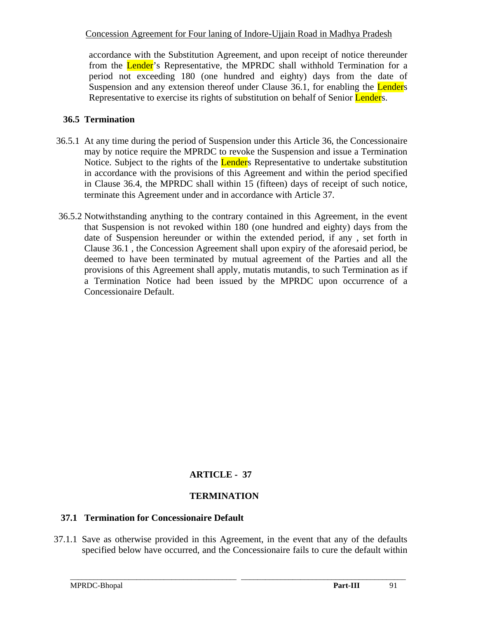accordance with the Substitution Agreement, and upon receipt of notice thereunder from the Lender's Representative, the MPRDC shall withhold Termination for a period not exceeding 180 (one hundred and eighty) days from the date of Suspension and any extension thereof under Clause 36.1, for enabling the Lenders Representative to exercise its rights of substitution on behalf of Senior Lenders.

### **36.5 Termination**

- 36.5.1 At any time during the period of Suspension under this Article 36, the Concessionaire may by notice require the MPRDC to revoke the Suspension and issue a Termination Notice. Subject to the rights of the **Lender**s Representative to undertake substitution in accordance with the provisions of this Agreement and within the period specified in Clause 36.4, the MPRDC shall within 15 (fifteen) days of receipt of such notice, terminate this Agreement under and in accordance with Article 37.
- 36.5.2 Notwithstanding anything to the contrary contained in this Agreement, in the event that Suspension is not revoked within 180 (one hundred and eighty) days from the date of Suspension hereunder or within the extended period, if any , set forth in Clause 36.1 , the Concession Agreement shall upon expiry of the aforesaid period, be deemed to have been terminated by mutual agreement of the Parties and all the provisions of this Agreement shall apply, mutatis mutandis, to such Termination as if a Termination Notice had been issued by the MPRDC upon occurrence of a Concessionaire Default.

# **ARTICLE - 37**

# **TERMINATION**

### **37.1 Termination for Concessionaire Default**

 37.1.1 Save as otherwise provided in this Agreement, in the event that any of the defaults specified below have occurred, and the Concessionaire fails to cure the default within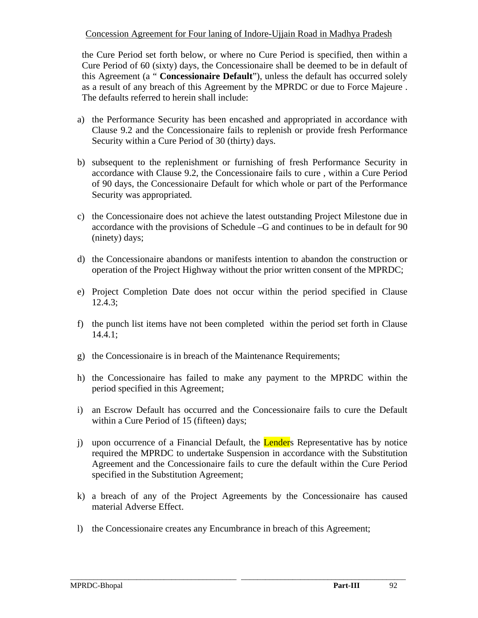the Cure Period set forth below, or where no Cure Period is specified, then within a Cure Period of 60 (sixty) days, the Concessionaire shall be deemed to be in default of this Agreement (a " **Concessionaire Default**"), unless the default has occurred solely as a result of any breach of this Agreement by the MPRDC or due to Force Majeure . The defaults referred to herein shall include:

- a) the Performance Security has been encashed and appropriated in accordance with Clause 9.2 and the Concessionaire fails to replenish or provide fresh Performance Security within a Cure Period of 30 (thirty) days.
- b) subsequent to the replenishment or furnishing of fresh Performance Security in accordance with Clause 9.2, the Concessionaire fails to cure , within a Cure Period of 90 days, the Concessionaire Default for which whole or part of the Performance Security was appropriated.
- c) the Concessionaire does not achieve the latest outstanding Project Milestone due in accordance with the provisions of Schedule –G and continues to be in default for 90 (ninety) days;
- d) the Concessionaire abandons or manifests intention to abandon the construction or operation of the Project Highway without the prior written consent of the MPRDC;
- e) Project Completion Date does not occur within the period specified in Clause 12.4.3;
- f) the punch list items have not been completed within the period set forth in Clause 14.4.1;
- g) the Concessionaire is in breach of the Maintenance Requirements;
- h) the Concessionaire has failed to make any payment to the MPRDC within the period specified in this Agreement;
- i) an Escrow Default has occurred and the Concessionaire fails to cure the Default within a Cure Period of 15 (fifteen) days;
- j) upon occurrence of a Financial Default, the **Lender**s Representative has by notice required the MPRDC to undertake Suspension in accordance with the Substitution Agreement and the Concessionaire fails to cure the default within the Cure Period specified in the Substitution Agreement;
- k) a breach of any of the Project Agreements by the Concessionaire has caused material Adverse Effect.

\_\_\_\_\_\_\_\_\_\_\_\_\_\_\_\_\_\_\_\_\_\_\_\_\_\_\_\_\_\_\_\_\_\_\_\_\_\_\_\_\_\_\_\_\_\_\_\_\_\_\_\_\_\_\_\_\_\_\_\_\_\_\_\_\_\_\_\_\_\_\_\_\_\_\_\_\_\_\_\_\_\_\_\_\_\_

l) the Concessionaire creates any Encumbrance in breach of this Agreement;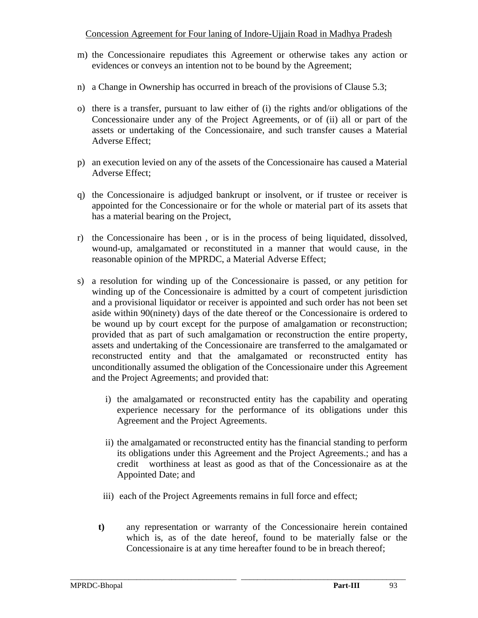- m) the Concessionaire repudiates this Agreement or otherwise takes any action or evidences or conveys an intention not to be bound by the Agreement;
- n) a Change in Ownership has occurred in breach of the provisions of Clause 5.3;
- o) there is a transfer, pursuant to law either of (i) the rights and/or obligations of the Concessionaire under any of the Project Agreements, or of (ii) all or part of the assets or undertaking of the Concessionaire, and such transfer causes a Material Adverse Effect;
- p) an execution levied on any of the assets of the Concessionaire has caused a Material Adverse Effect;
- q) the Concessionaire is adjudged bankrupt or insolvent, or if trustee or receiver is appointed for the Concessionaire or for the whole or material part of its assets that has a material bearing on the Project,
- r) the Concessionaire has been , or is in the process of being liquidated, dissolved, wound-up, amalgamated or reconstituted in a manner that would cause, in the reasonable opinion of the MPRDC, a Material Adverse Effect;
- s) a resolution for winding up of the Concessionaire is passed, or any petition for winding up of the Concessionaire is admitted by a court of competent jurisdiction and a provisional liquidator or receiver is appointed and such order has not been set aside within 90(ninety) days of the date thereof or the Concessionaire is ordered to be wound up by court except for the purpose of amalgamation or reconstruction; provided that as part of such amalgamation or reconstruction the entire property, assets and undertaking of the Concessionaire are transferred to the amalgamated or reconstructed entity and that the amalgamated or reconstructed entity has unconditionally assumed the obligation of the Concessionaire under this Agreement and the Project Agreements; and provided that:
	- i) the amalgamated or reconstructed entity has the capability and operating experience necessary for the performance of its obligations under this Agreement and the Project Agreements.
	- ii) the amalgamated or reconstructed entity has the financial standing to perform its obligations under this Agreement and the Project Agreements.; and has a credit worthiness at least as good as that of the Concessionaire as at the Appointed Date; and
	- iii) each of the Project Agreements remains in full force and effect;
	- **t)** any representation or warranty of the Concessionaire herein contained which is, as of the date hereof, found to be materially false or the Concessionaire is at any time hereafter found to be in breach thereof;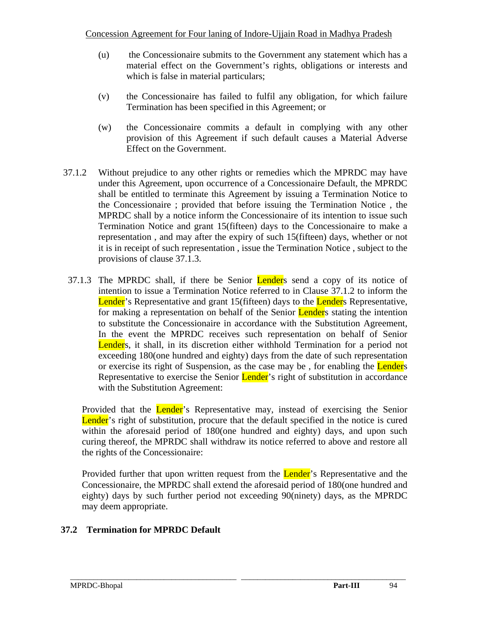- (u) the Concessionaire submits to the Government any statement which has a material effect on the Government's rights, obligations or interests and which is false in material particulars;
- (v) the Concessionaire has failed to fulfil any obligation, for which failure Termination has been specified in this Agreement; or
- (w) the Concessionaire commits a default in complying with any other provision of this Agreement if such default causes a Material Adverse Effect on the Government.
- 37.1.2 Without prejudice to any other rights or remedies which the MPRDC may have under this Agreement, upon occurrence of a Concessionaire Default, the MPRDC shall be entitled to terminate this Agreement by issuing a Termination Notice to the Concessionaire ; provided that before issuing the Termination Notice , the MPRDC shall by a notice inform the Concessionaire of its intention to issue such Termination Notice and grant 15(fifteen) days to the Concessionaire to make a representation , and may after the expiry of such 15(fifteen) days, whether or not it is in receipt of such representation , issue the Termination Notice , subject to the provisions of clause 37.1.3.
- 37.1.3 The MPRDC shall, if there be Senior Lenders send a copy of its notice of intention to issue a Termination Notice referred to in Clause 37.1.2 to inform the Lender's Representative and grant 15(fifteen) days to the Lender's Representative, for making a representation on behalf of the Senior **Lender**s stating the intention to substitute the Concessionaire in accordance with the Substitution Agreement, In the event the MPRDC receives such representation on behalf of Senior Lenders, it shall, in its discretion either withhold Termination for a period not exceeding 180(one hundred and eighty) days from the date of such representation or exercise its right of Suspension, as the case may be, for enabling the **Lenders** Representative to exercise the Senior **Lender**'s right of substitution in accordance with the Substitution Agreement:

Provided that the Lender's Representative may, instead of exercising the Senior Lender's right of substitution, procure that the default specified in the notice is cured within the aforesaid period of 180(one hundred and eighty) days, and upon such curing thereof, the MPRDC shall withdraw its notice referred to above and restore all the rights of the Concessionaire:

Provided further that upon written request from the **Lender**'s Representative and the Concessionaire, the MPRDC shall extend the aforesaid period of 180(one hundred and eighty) days by such further period not exceeding 90(ninety) days, as the MPRDC may deem appropriate.

\_\_\_\_\_\_\_\_\_\_\_\_\_\_\_\_\_\_\_\_\_\_\_\_\_\_\_\_\_\_\_\_\_\_\_\_\_\_\_\_\_\_\_\_\_\_\_\_\_\_\_\_\_\_\_\_\_\_\_\_\_\_\_\_\_\_\_\_\_\_\_\_\_\_\_\_\_\_\_\_\_\_\_\_\_\_

# **37.2 Termination for MPRDC Default**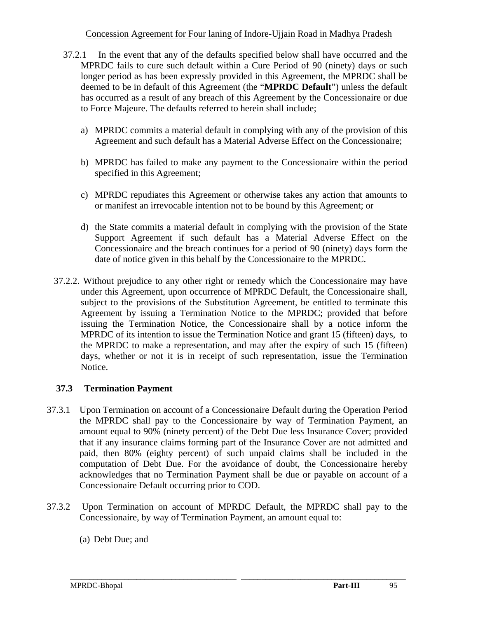- 37.2.1 In the event that any of the defaults specified below shall have occurred and the MPRDC fails to cure such default within a Cure Period of 90 (ninety) days or such longer period as has been expressly provided in this Agreement, the MPRDC shall be deemed to be in default of this Agreement (the "**MPRDC Default**") unless the default has occurred as a result of any breach of this Agreement by the Concessionaire or due to Force Majeure. The defaults referred to herein shall include;
	- a) MPRDC commits a material default in complying with any of the provision of this Agreement and such default has a Material Adverse Effect on the Concessionaire;
	- b) MPRDC has failed to make any payment to the Concessionaire within the period specified in this Agreement;
	- c) MPRDC repudiates this Agreement or otherwise takes any action that amounts to or manifest an irrevocable intention not to be bound by this Agreement; or
	- d) the State commits a material default in complying with the provision of the State Support Agreement if such default has a Material Adverse Effect on the Concessionaire and the breach continues for a period of 90 (ninety) days form the date of notice given in this behalf by the Concessionaire to the MPRDC.
- 37.2.2. Without prejudice to any other right or remedy which the Concessionaire may have under this Agreement, upon occurrence of MPRDC Default, the Concessionaire shall, subject to the provisions of the Substitution Agreement, be entitled to terminate this Agreement by issuing a Termination Notice to the MPRDC; provided that before issuing the Termination Notice, the Concessionaire shall by a notice inform the MPRDC of its intention to issue the Termination Notice and grant 15 (fifteen) days, to the MPRDC to make a representation, and may after the expiry of such 15 (fifteen) days, whether or not it is in receipt of such representation, issue the Termination Notice.

# **37.3 Termination Payment**

- 37.3.1 Upon Termination on account of a Concessionaire Default during the Operation Period the MPRDC shall pay to the Concessionaire by way of Termination Payment, an amount equal to 90% (ninety percent) of the Debt Due less Insurance Cover; provided that if any insurance claims forming part of the Insurance Cover are not admitted and paid, then 80% (eighty percent) of such unpaid claims shall be included in the computation of Debt Due. For the avoidance of doubt, the Concessionaire hereby acknowledges that no Termination Payment shall be due or payable on account of a Concessionaire Default occurring prior to COD.
- 37.3.2 Upon Termination on account of MPRDC Default, the MPRDC shall pay to the Concessionaire, by way of Termination Payment, an amount equal to:

\_\_\_\_\_\_\_\_\_\_\_\_\_\_\_\_\_\_\_\_\_\_\_\_\_\_\_\_\_\_\_\_\_\_\_\_\_\_\_\_\_\_\_\_\_\_\_\_\_\_\_\_\_\_\_\_\_\_\_\_\_\_\_\_\_\_\_\_\_\_\_\_\_\_\_\_\_\_\_\_\_\_\_\_\_\_

(a) Debt Due; and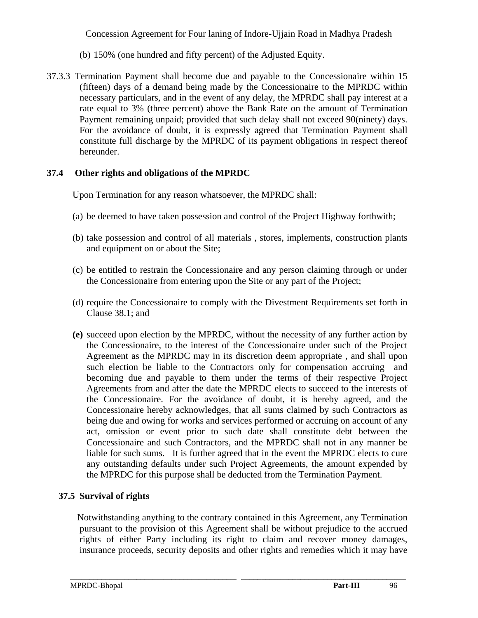- (b) 150% (one hundred and fifty percent) of the Adjusted Equity.
- 37.3.3 Termination Payment shall become due and payable to the Concessionaire within 15 (fifteen) days of a demand being made by the Concessionaire to the MPRDC within necessary particulars, and in the event of any delay, the MPRDC shall pay interest at a rate equal to 3% (three percent) above the Bank Rate on the amount of Termination Payment remaining unpaid; provided that such delay shall not exceed 90(ninety) days. For the avoidance of doubt, it is expressly agreed that Termination Payment shall constitute full discharge by the MPRDC of its payment obligations in respect thereof hereunder.

# **37.4 Other rights and obligations of the MPRDC**

Upon Termination for any reason whatsoever, the MPRDC shall:

- (a) be deemed to have taken possession and control of the Project Highway forthwith;
- (b) take possession and control of all materials , stores, implements, construction plants and equipment on or about the Site;
- (c) be entitled to restrain the Concessionaire and any person claiming through or under the Concessionaire from entering upon the Site or any part of the Project;
- (d) require the Concessionaire to comply with the Divestment Requirements set forth in Clause 38.1; and
- **(e)** succeed upon election by the MPRDC, without the necessity of any further action by the Concessionaire, to the interest of the Concessionaire under such of the Project Agreement as the MPRDC may in its discretion deem appropriate , and shall upon such election be liable to the Contractors only for compensation accruing and becoming due and payable to them under the terms of their respective Project Agreements from and after the date the MPRDC elects to succeed to the interests of the Concessionaire. For the avoidance of doubt, it is hereby agreed, and the Concessionaire hereby acknowledges, that all sums claimed by such Contractors as being due and owing for works and services performed or accruing on account of any act, omission or event prior to such date shall constitute debt between the Concessionaire and such Contractors, and the MPRDC shall not in any manner be liable for such sums. It is further agreed that in the event the MPRDC elects to cure any outstanding defaults under such Project Agreements, the amount expended by the MPRDC for this purpose shall be deducted from the Termination Payment.

# **37.5 Survival of rights**

 Notwithstanding anything to the contrary contained in this Agreement, any Termination pursuant to the provision of this Agreement shall be without prejudice to the accrued rights of either Party including its right to claim and recover money damages, insurance proceeds, security deposits and other rights and remedies which it may have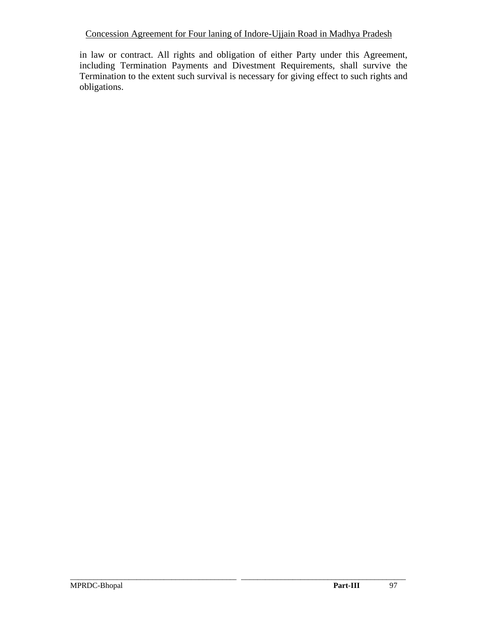in law or contract. All rights and obligation of either Party under this Agreement, including Termination Payments and Divestment Requirements, shall survive the Termination to the extent such survival is necessary for giving effect to such rights and obligations.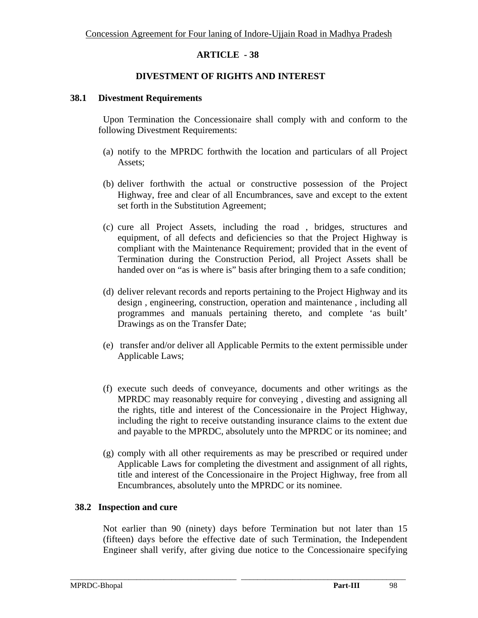### **DIVESTMENT OF RIGHTS AND INTEREST**

#### **38.1 Divestment Requirements**

 Upon Termination the Concessionaire shall comply with and conform to the following Divestment Requirements:

- (a) notify to the MPRDC forthwith the location and particulars of all Project Assets;
- (b) deliver forthwith the actual or constructive possession of the Project Highway, free and clear of all Encumbrances, save and except to the extent set forth in the Substitution Agreement;
- (c) cure all Project Assets, including the road , bridges, structures and equipment, of all defects and deficiencies so that the Project Highway is compliant with the Maintenance Requirement; provided that in the event of Termination during the Construction Period, all Project Assets shall be handed over on "as is where is" basis after bringing them to a safe condition;
- (d) deliver relevant records and reports pertaining to the Project Highway and its design , engineering, construction, operation and maintenance , including all programmes and manuals pertaining thereto, and complete 'as built' Drawings as on the Transfer Date;
- (e) transfer and/or deliver all Applicable Permits to the extent permissible under Applicable Laws;
- (f) execute such deeds of conveyance, documents and other writings as the MPRDC may reasonably require for conveying , divesting and assigning all the rights, title and interest of the Concessionaire in the Project Highway, including the right to receive outstanding insurance claims to the extent due and payable to the MPRDC, absolutely unto the MPRDC or its nominee; and
- (g) comply with all other requirements as may be prescribed or required under Applicable Laws for completing the divestment and assignment of all rights, title and interest of the Concessionaire in the Project Highway, free from all Encumbrances, absolutely unto the MPRDC or its nominee.

### **38.2 Inspection and cure**

Not earlier than 90 (ninety) days before Termination but not later than 15 (fifteen) days before the effective date of such Termination, the Independent Engineer shall verify, after giving due notice to the Concessionaire specifying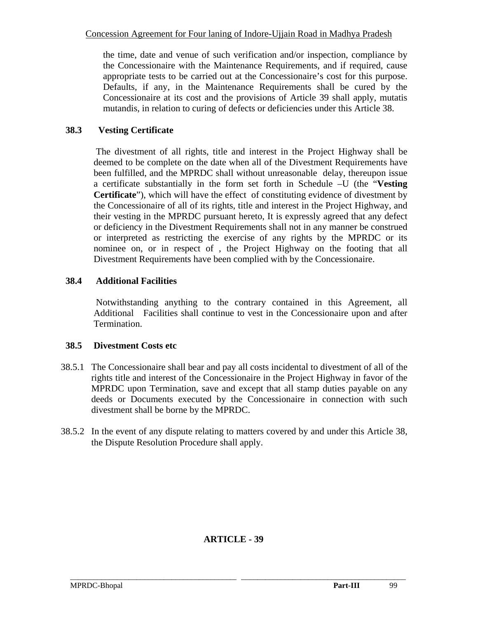the time, date and venue of such verification and/or inspection, compliance by the Concessionaire with the Maintenance Requirements, and if required, cause appropriate tests to be carried out at the Concessionaire's cost for this purpose. Defaults, if any, in the Maintenance Requirements shall be cured by the Concessionaire at its cost and the provisions of Article 39 shall apply, mutatis mutandis, in relation to curing of defects or deficiencies under this Article 38.

# **38.3 Vesting Certificate**

 The divestment of all rights, title and interest in the Project Highway shall be deemed to be complete on the date when all of the Divestment Requirements have been fulfilled, and the MPRDC shall without unreasonable delay, thereupon issue a certificate substantially in the form set forth in Schedule –U (the "**Vesting Certificate**"), which will have the effect of constituting evidence of divestment by the Concessionaire of all of its rights, title and interest in the Project Highway, and their vesting in the MPRDC pursuant hereto, It is expressly agreed that any defect or deficiency in the Divestment Requirements shall not in any manner be construed or interpreted as restricting the exercise of any rights by the MPRDC or its nominee on, or in respect of , the Project Highway on the footing that all Divestment Requirements have been complied with by the Concessionaire.

# **38.4 Additional Facilities**

Notwithstanding anything to the contrary contained in this Agreement, all Additional Facilities shall continue to vest in the Concessionaire upon and after Termination.

# **38.5 Divestment Costs etc**

- 38.5.1 The Concessionaire shall bear and pay all costs incidental to divestment of all of the rights title and interest of the Concessionaire in the Project Highway in favor of the MPRDC upon Termination, save and except that all stamp duties payable on any deeds or Documents executed by the Concessionaire in connection with such divestment shall be borne by the MPRDC.
- 38.5.2 In the event of any dispute relating to matters covered by and under this Article 38, the Dispute Resolution Procedure shall apply.

# **ARTICLE - 39**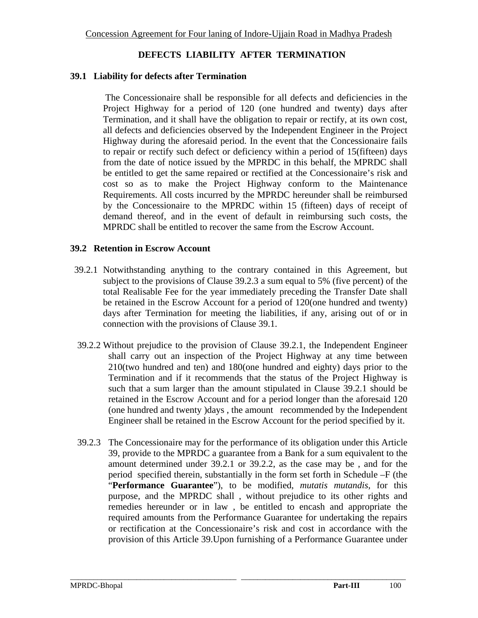### **DEFECTS LIABILITY AFTER TERMINATION**

#### **39.1 Liability for defects after Termination**

The Concessionaire shall be responsible for all defects and deficiencies in the Project Highway for a period of 120 (one hundred and twenty) days after Termination, and it shall have the obligation to repair or rectify, at its own cost, all defects and deficiencies observed by the Independent Engineer in the Project Highway during the aforesaid period. In the event that the Concessionaire fails to repair or rectify such defect or deficiency within a period of 15(fifteen) days from the date of notice issued by the MPRDC in this behalf, the MPRDC shall be entitled to get the same repaired or rectified at the Concessionaire's risk and cost so as to make the Project Highway conform to the Maintenance Requirements. All costs incurred by the MPRDC hereunder shall be reimbursed by the Concessionaire to the MPRDC within 15 (fifteen) days of receipt of demand thereof, and in the event of default in reimbursing such costs, the MPRDC shall be entitled to recover the same from the Escrow Account.

#### **39.2 Retention in Escrow Account**

- 39.2.1 Notwithstanding anything to the contrary contained in this Agreement, but subject to the provisions of Clause 39.2.3 a sum equal to 5% (five percent) of the total Realisable Fee for the year immediately preceding the Transfer Date shall be retained in the Escrow Account for a period of 120(one hundred and twenty) days after Termination for meeting the liabilities, if any, arising out of or in connection with the provisions of Clause 39.1.
- 39.2.2 Without prejudice to the provision of Clause 39.2.1, the Independent Engineer shall carry out an inspection of the Project Highway at any time between 210(two hundred and ten) and 180(one hundred and eighty) days prior to the Termination and if it recommends that the status of the Project Highway is such that a sum larger than the amount stipulated in Clause 39.2.1 should be retained in the Escrow Account and for a period longer than the aforesaid 120 (one hundred and twenty )days , the amount recommended by the Independent Engineer shall be retained in the Escrow Account for the period specified by it.
- 39.2.3 The Concessionaire may for the performance of its obligation under this Article 39, provide to the MPRDC a guarantee from a Bank for a sum equivalent to the amount determined under 39.2.1 or 39.2.2, as the case may be , and for the period specified therein, substantially in the form set forth in Schedule –F (the "**Performance Guarantee**"), to be modified, *mutatis mutandis*, for this purpose, and the MPRDC shall , without prejudice to its other rights and remedies hereunder or in law , be entitled to encash and appropriate the required amounts from the Performance Guarantee for undertaking the repairs or rectification at the Concessionaire's risk and cost in accordance with the provision of this Article 39.Upon furnishing of a Performance Guarantee under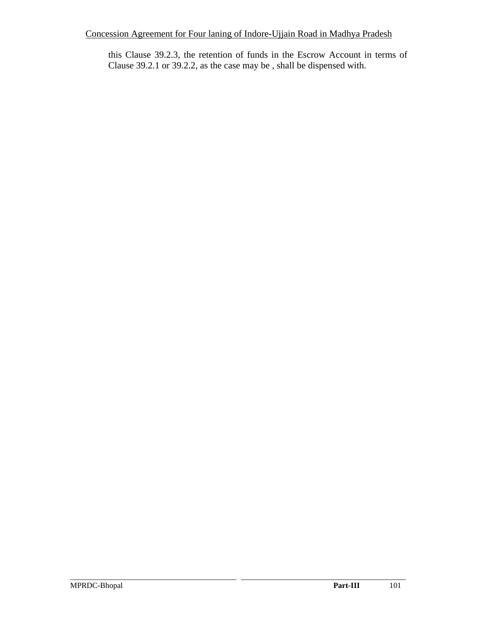this Clause 39.2.3, the retention of funds in the Escrow Account in terms of Clause 39.2.1 or 39.2.2, as the case may be , shall be dispensed with.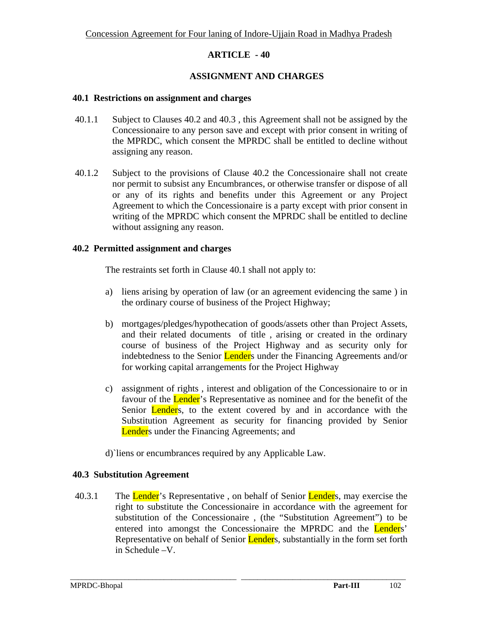### **ASSIGNMENT AND CHARGES**

#### **40.1 Restrictions on assignment and charges**

- 40.1.1 Subject to Clauses 40.2 and 40.3 , this Agreement shall not be assigned by the Concessionaire to any person save and except with prior consent in writing of the MPRDC, which consent the MPRDC shall be entitled to decline without assigning any reason.
- 40.1.2 Subject to the provisions of Clause 40.2 the Concessionaire shall not create nor permit to subsist any Encumbrances, or otherwise transfer or dispose of all or any of its rights and benefits under this Agreement or any Project Agreement to which the Concessionaire is a party except with prior consent in writing of the MPRDC which consent the MPRDC shall be entitled to decline without assigning any reason.

#### **40.2 Permitted assignment and charges**

The restraints set forth in Clause 40.1 shall not apply to:

- a) liens arising by operation of law (or an agreement evidencing the same ) in the ordinary course of business of the Project Highway;
- b) mortgages/pledges/hypothecation of goods/assets other than Project Assets, and their related documents of title , arising or created in the ordinary course of business of the Project Highway and as security only for indebtedness to the Senior Lenders under the Financing Agreements and/or for working capital arrangements for the Project Highway
- c) assignment of rights , interest and obligation of the Concessionaire to or in favour of the **Lender**'s Representative as nominee and for the benefit of the Senior **Lender**s, to the extent covered by and in accordance with the Substitution Agreement as security for financing provided by Senior Lenders under the Financing Agreements; and
- d)`liens or encumbrances required by any Applicable Law.

### **40.3 Substitution Agreement**

40.3.1 The Lender's Representative, on behalf of Senior Lenders, may exercise the right to substitute the Concessionaire in accordance with the agreement for substitution of the Concessionaire , (the "Substitution Agreement") to be entered into amongst the Concessionaire the MPRDC and the Lenders' Representative on behalf of Senior Lenders, substantially in the form set forth in Schedule –V.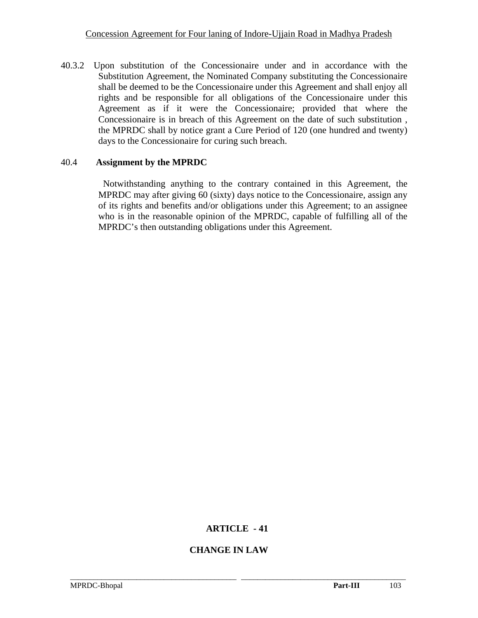40.3.2 Upon substitution of the Concessionaire under and in accordance with the Substitution Agreement, the Nominated Company substituting the Concessionaire shall be deemed to be the Concessionaire under this Agreement and shall enjoy all rights and be responsible for all obligations of the Concessionaire under this Agreement as if it were the Concessionaire; provided that where the Concessionaire is in breach of this Agreement on the date of such substitution , the MPRDC shall by notice grant a Cure Period of 120 (one hundred and twenty) days to the Concessionaire for curing such breach.

#### 40.4 **Assignment by the MPRDC**

 Notwithstanding anything to the contrary contained in this Agreement, the MPRDC may after giving 60 (sixty) days notice to the Concessionaire, assign any of its rights and benefits and/or obligations under this Agreement; to an assignee who is in the reasonable opinion of the MPRDC, capable of fulfilling all of the MPRDC's then outstanding obligations under this Agreement.

### **ARTICLE - 41**

\_\_\_\_\_\_\_\_\_\_\_\_\_\_\_\_\_\_\_\_\_\_\_\_\_\_\_\_\_\_\_\_\_\_\_\_\_\_\_\_\_\_\_\_\_\_\_\_\_\_\_\_\_\_\_\_\_\_\_\_\_\_\_\_\_\_\_\_\_\_\_\_\_\_\_\_\_\_\_\_\_\_\_\_\_\_

### **CHANGE IN LAW**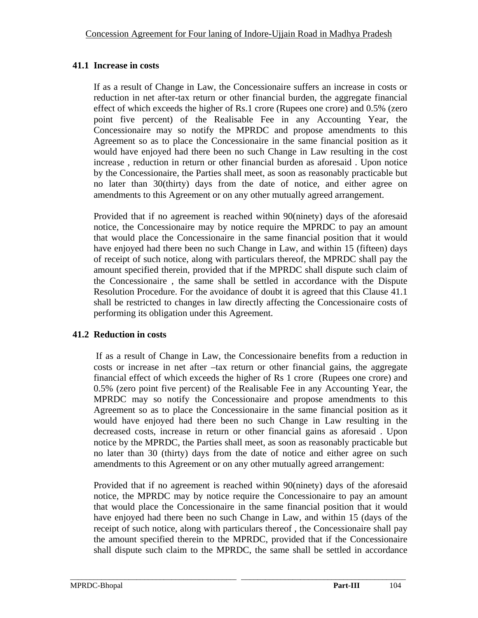# **41.1 Increase in costs**

 If as a result of Change in Law, the Concessionaire suffers an increase in costs or reduction in net after-tax return or other financial burden, the aggregate financial effect of which exceeds the higher of Rs.1 crore (Rupees one crore) and 0.5% (zero point five percent) of the Realisable Fee in any Accounting Year, the Concessionaire may so notify the MPRDC and propose amendments to this Agreement so as to place the Concessionaire in the same financial position as it would have enjoyed had there been no such Change in Law resulting in the cost increase , reduction in return or other financial burden as aforesaid . Upon notice by the Concessionaire, the Parties shall meet, as soon as reasonably practicable but no later than 30(thirty) days from the date of notice, and either agree on amendments to this Agreement or on any other mutually agreed arrangement.

Provided that if no agreement is reached within 90(ninety) days of the aforesaid notice, the Concessionaire may by notice require the MPRDC to pay an amount that would place the Concessionaire in the same financial position that it would have enjoyed had there been no such Change in Law, and within 15 (fifteen) days of receipt of such notice, along with particulars thereof, the MPRDC shall pay the amount specified therein, provided that if the MPRDC shall dispute such claim of the Concessionaire , the same shall be settled in accordance with the Dispute Resolution Procedure. For the avoidance of doubt it is agreed that this Clause 41.1 shall be restricted to changes in law directly affecting the Concessionaire costs of performing its obligation under this Agreement.

# **41.2 Reduction in costs**

If as a result of Change in Law, the Concessionaire benefits from a reduction in costs or increase in net after –tax return or other financial gains, the aggregate financial effect of which exceeds the higher of Rs 1 crore (Rupees one crore) and 0.5% (zero point five percent) of the Realisable Fee in any Accounting Year, the MPRDC may so notify the Concessionaire and propose amendments to this Agreement so as to place the Concessionaire in the same financial position as it would have enjoyed had there been no such Change in Law resulting in the decreased costs, increase in return or other financial gains as aforesaid . Upon notice by the MPRDC, the Parties shall meet, as soon as reasonably practicable but no later than 30 (thirty) days from the date of notice and either agree on such amendments to this Agreement or on any other mutually agreed arrangement:

Provided that if no agreement is reached within 90(ninety) days of the aforesaid notice, the MPRDC may by notice require the Concessionaire to pay an amount that would place the Concessionaire in the same financial position that it would have enjoyed had there been no such Change in Law, and within 15 (days of the receipt of such notice, along with particulars thereof , the Concessionaire shall pay the amount specified therein to the MPRDC, provided that if the Concessionaire shall dispute such claim to the MPRDC, the same shall be settled in accordance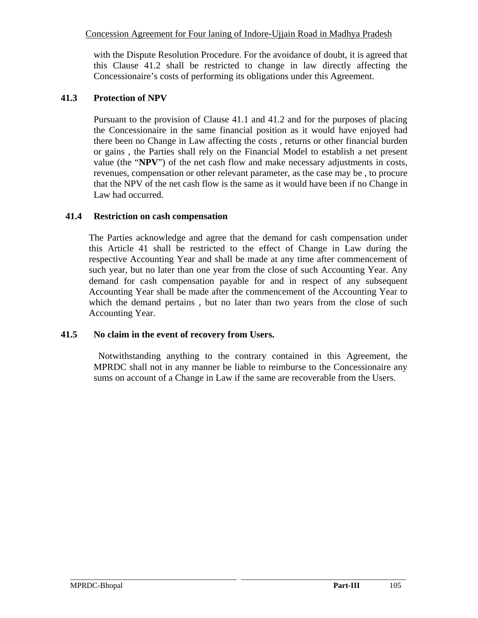with the Dispute Resolution Procedure. For the avoidance of doubt, it is agreed that this Clause 41.2 shall be restricted to change in law directly affecting the Concessionaire's costs of performing its obligations under this Agreement.

### **41.3 Protection of NPV**

Pursuant to the provision of Clause 41.1 and 41.2 and for the purposes of placing the Concessionaire in the same financial position as it would have enjoyed had there been no Change in Law affecting the costs , returns or other financial burden or gains , the Parties shall rely on the Financial Model to establish a net present value (the "**NPV**") of the net cash flow and make necessary adjustments in costs, revenues, compensation or other relevant parameter, as the case may be , to procure that the NPV of the net cash flow is the same as it would have been if no Change in Law had occurred.

### **41.4 Restriction on cash compensation**

The Parties acknowledge and agree that the demand for cash compensation under this Article 41 shall be restricted to the effect of Change in Law during the respective Accounting Year and shall be made at any time after commencement of such year, but no later than one year from the close of such Accounting Year. Any demand for cash compensation payable for and in respect of any subsequent Accounting Year shall be made after the commencement of the Accounting Year to which the demand pertains , but no later than two years from the close of such Accounting Year.

# **41.5 No claim in the event of recovery from Users.**

Notwithstanding anything to the contrary contained in this Agreement, the MPRDC shall not in any manner be liable to reimburse to the Concessionaire any sums on account of a Change in Law if the same are recoverable from the Users.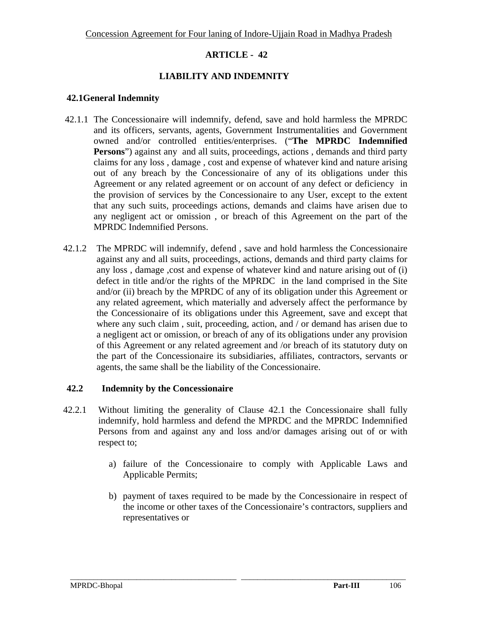### **LIABILITY AND INDEMNITY**

#### **42.1General Indemnity**

- 42.1.1 The Concessionaire will indemnify, defend, save and hold harmless the MPRDC and its officers, servants, agents, Government Instrumentalities and Government owned and/or controlled entities/enterprises. ("**The MPRDC Indemnified Persons**") against any and all suits, proceedings, actions, demands and third party claims for any loss , damage , cost and expense of whatever kind and nature arising out of any breach by the Concessionaire of any of its obligations under this Agreement or any related agreement or on account of any defect or deficiency in the provision of services by the Concessionaire to any User, except to the extent that any such suits, proceedings actions, demands and claims have arisen due to any negligent act or omission , or breach of this Agreement on the part of the MPRDC Indemnified Persons.
- 42.1.2 The MPRDC will indemnify, defend , save and hold harmless the Concessionaire against any and all suits, proceedings, actions, demands and third party claims for any loss , damage ,cost and expense of whatever kind and nature arising out of (i) defect in title and/or the rights of the MPRDC in the land comprised in the Site and/or (ii) breach by the MPRDC of any of its obligation under this Agreement or any related agreement, which materially and adversely affect the performance by the Concessionaire of its obligations under this Agreement, save and except that where any such claim , suit, proceeding, action, and / or demand has arisen due to a negligent act or omission, or breach of any of its obligations under any provision of this Agreement or any related agreement and /or breach of its statutory duty on the part of the Concessionaire its subsidiaries, affiliates, contractors, servants or agents, the same shall be the liability of the Concessionaire.

#### **42.2 Indemnity by the Concessionaire**

42.2.1 Without limiting the generality of Clause 42.1 the Concessionaire shall fully indemnify, hold harmless and defend the MPRDC and the MPRDC Indemnified Persons from and against any and loss and/or damages arising out of or with respect to;

- a) failure of the Concessionaire to comply with Applicable Laws and Applicable Permits;
- b) payment of taxes required to be made by the Concessionaire in respect of the income or other taxes of the Concessionaire's contractors, suppliers and representatives or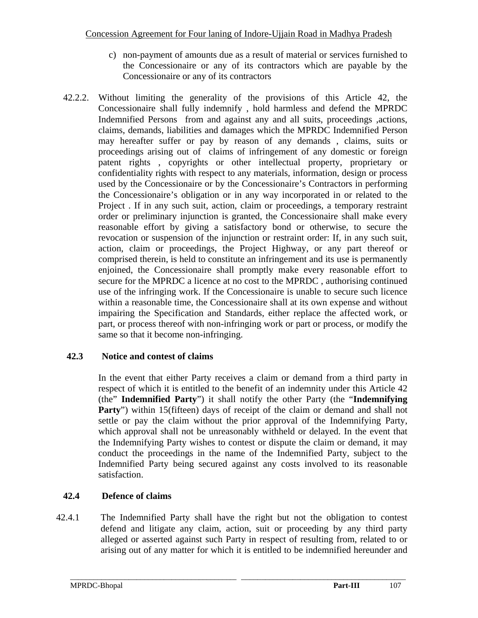- c) non-payment of amounts due as a result of material or services furnished to the Concessionaire or any of its contractors which are payable by the Concessionaire or any of its contractors
- 42.2.2. Without limiting the generality of the provisions of this Article 42, the Concessionaire shall fully indemnify , hold harmless and defend the MPRDC Indemnified Persons from and against any and all suits, proceedings ,actions, claims, demands, liabilities and damages which the MPRDC Indemnified Person may hereafter suffer or pay by reason of any demands , claims, suits or proceedings arising out of claims of infringement of any domestic or foreign patent rights , copyrights or other intellectual property, proprietary or confidentiality rights with respect to any materials, information, design or process used by the Concessionaire or by the Concessionaire's Contractors in performing the Concessionaire's obligation or in any way incorporated in or related to the Project . If in any such suit, action, claim or proceedings, a temporary restraint order or preliminary injunction is granted, the Concessionaire shall make every reasonable effort by giving a satisfactory bond or otherwise, to secure the revocation or suspension of the injunction or restraint order: If, in any such suit, action, claim or proceedings, the Project Highway, or any part thereof or comprised therein, is held to constitute an infringement and its use is permanently enjoined, the Concessionaire shall promptly make every reasonable effort to secure for the MPRDC a licence at no cost to the MPRDC , authorising continued use of the infringing work. If the Concessionaire is unable to secure such licence within a reasonable time, the Concessionaire shall at its own expense and without impairing the Specification and Standards, either replace the affected work, or part, or process thereof with non-infringing work or part or process, or modify the same so that it become non-infringing.

# **42.3 Notice and contest of claims**

In the event that either Party receives a claim or demand from a third party in respect of which it is entitled to the benefit of an indemnity under this Article 42 (the" **Indemnified Party**") it shall notify the other Party (the "**Indemnifying Party**") within 15(fifteen) days of receipt of the claim or demand and shall not settle or pay the claim without the prior approval of the Indemnifying Party, which approval shall not be unreasonably withheld or delayed. In the event that the Indemnifying Party wishes to contest or dispute the claim or demand, it may conduct the proceedings in the name of the Indemnified Party, subject to the Indemnified Party being secured against any costs involved to its reasonable satisfaction.

# **42.4 Defence of claims**

42.4.1 The Indemnified Party shall have the right but not the obligation to contest defend and litigate any claim, action, suit or proceeding by any third party alleged or asserted against such Party in respect of resulting from, related to or arising out of any matter for which it is entitled to be indemnified hereunder and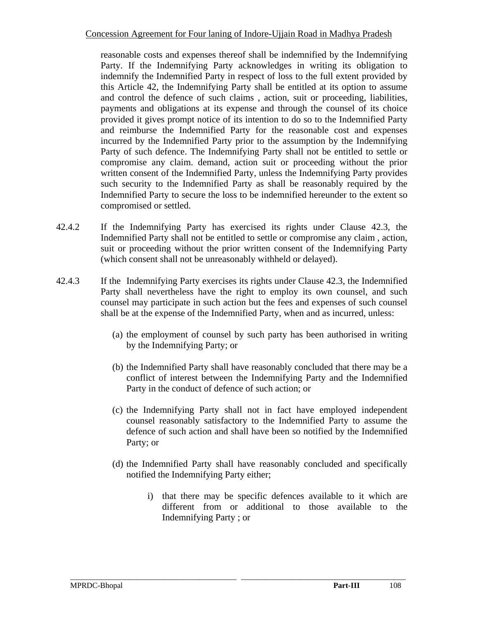reasonable costs and expenses thereof shall be indemnified by the Indemnifying Party. If the Indemnifying Party acknowledges in writing its obligation to indemnify the Indemnified Party in respect of loss to the full extent provided by this Article 42, the Indemnifying Party shall be entitled at its option to assume and control the defence of such claims , action, suit or proceeding, liabilities, payments and obligations at its expense and through the counsel of its choice provided it gives prompt notice of its intention to do so to the Indemnified Party and reimburse the Indemnified Party for the reasonable cost and expenses incurred by the Indemnified Party prior to the assumption by the Indemnifying Party of such defence. The Indemnifying Party shall not be entitled to settle or compromise any claim. demand, action suit or proceeding without the prior written consent of the Indemnified Party, unless the Indemnifying Party provides such security to the Indemnified Party as shall be reasonably required by the Indemnified Party to secure the loss to be indemnified hereunder to the extent so compromised or settled.

- 42.4.2 If the Indemnifying Party has exercised its rights under Clause 42.3, the Indemnified Party shall not be entitled to settle or compromise any claim , action, suit or proceeding without the prior written consent of the Indemnifying Party (which consent shall not be unreasonably withheld or delayed).
- 42.4.3 If the Indemnifying Party exercises its rights under Clause 42.3, the Indemnified Party shall nevertheless have the right to employ its own counsel, and such counsel may participate in such action but the fees and expenses of such counsel shall be at the expense of the Indemnified Party, when and as incurred, unless:
	- (a) the employment of counsel by such party has been authorised in writing by the Indemnifying Party; or
	- (b) the Indemnified Party shall have reasonably concluded that there may be a conflict of interest between the Indemnifying Party and the Indemnified Party in the conduct of defence of such action; or
	- (c) the Indemnifying Party shall not in fact have employed independent counsel reasonably satisfactory to the Indemnified Party to assume the defence of such action and shall have been so notified by the Indemnified Party; or
	- (d) the Indemnified Party shall have reasonably concluded and specifically notified the Indemnifying Party either;

\_\_\_\_\_\_\_\_\_\_\_\_\_\_\_\_\_\_\_\_\_\_\_\_\_\_\_\_\_\_\_\_\_\_\_\_\_\_\_\_\_\_\_\_\_\_\_\_\_\_\_\_\_\_\_\_\_\_\_\_\_\_\_\_\_\_\_\_\_\_\_\_\_\_\_\_\_\_\_\_\_\_\_\_\_\_

i) that there may be specific defences available to it which are different from or additional to those available to the Indemnifying Party ; or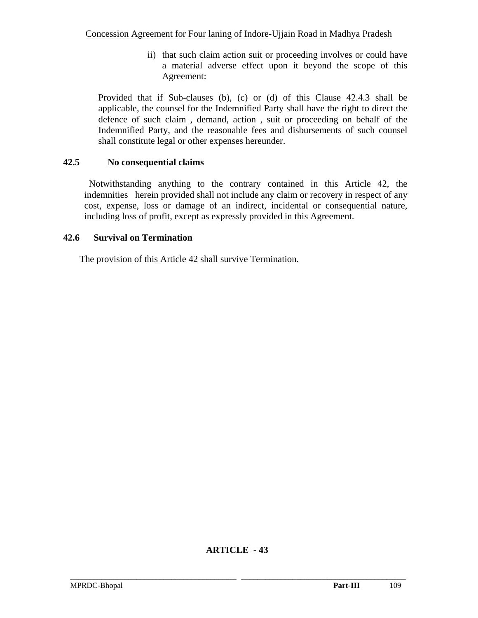ii) that such claim action suit or proceeding involves or could have a material adverse effect upon it beyond the scope of this Agreement:

Provided that if Sub-clauses (b), (c) or (d) of this Clause 42.4.3 shall be applicable, the counsel for the Indemnified Party shall have the right to direct the defence of such claim , demand, action , suit or proceeding on behalf of the Indemnified Party, and the reasonable fees and disbursements of such counsel shall constitute legal or other expenses hereunder.

## **42.5 No consequential claims**

 Notwithstanding anything to the contrary contained in this Article 42, the indemnities herein provided shall not include any claim or recovery in respect of any cost, expense, loss or damage of an indirect, incidental or consequential nature, including loss of profit, except as expressly provided in this Agreement.

## **42.6 Survival on Termination**

The provision of this Article 42 shall survive Termination.

# **ARTICLE - 43**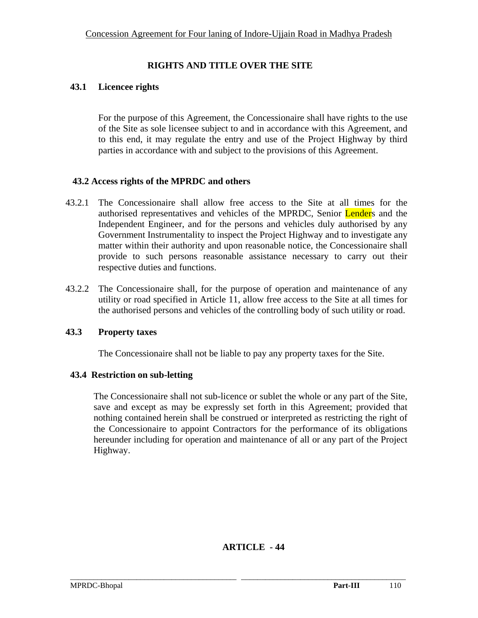## **RIGHTS AND TITLE OVER THE SITE**

### **43.1 Licencee rights**

For the purpose of this Agreement, the Concessionaire shall have rights to the use of the Site as sole licensee subject to and in accordance with this Agreement, and to this end, it may regulate the entry and use of the Project Highway by third parties in accordance with and subject to the provisions of this Agreement.

### **43.2 Access rights of the MPRDC and others**

- 43.2.1 The Concessionaire shall allow free access to the Site at all times for the authorised representatives and vehicles of the MPRDC, Senior Lenders and the Independent Engineer, and for the persons and vehicles duly authorised by any Government Instrumentality to inspect the Project Highway and to investigate any matter within their authority and upon reasonable notice, the Concessionaire shall provide to such persons reasonable assistance necessary to carry out their respective duties and functions.
- 43.2.2 The Concessionaire shall, for the purpose of operation and maintenance of any utility or road specified in Article 11, allow free access to the Site at all times for the authorised persons and vehicles of the controlling body of such utility or road.

## **43.3 Property taxes**

The Concessionaire shall not be liable to pay any property taxes for the Site.

## **43.4 Restriction on sub-letting**

The Concessionaire shall not sub-licence or sublet the whole or any part of the Site, save and except as may be expressly set forth in this Agreement; provided that nothing contained herein shall be construed or interpreted as restricting the right of the Concessionaire to appoint Contractors for the performance of its obligations hereunder including for operation and maintenance of all or any part of the Project Highway.

# **ARTICLE - 44**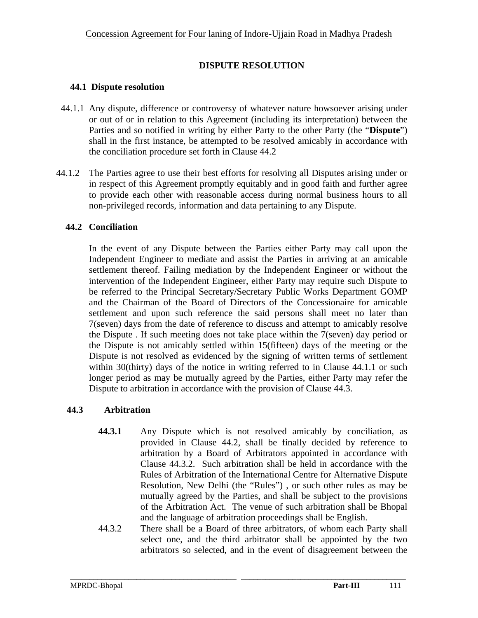## **DISPUTE RESOLUTION**

### **44.1 Dispute resolution**

- 44.1.1 Any dispute, difference or controversy of whatever nature howsoever arising under or out of or in relation to this Agreement (including its interpretation) between the Parties and so notified in writing by either Party to the other Party (the "**Dispute**") shall in the first instance, be attempted to be resolved amicably in accordance with the conciliation procedure set forth in Clause 44.2
- 44.1.2 The Parties agree to use their best efforts for resolving all Disputes arising under or in respect of this Agreement promptly equitably and in good faith and further agree to provide each other with reasonable access during normal business hours to all non-privileged records, information and data pertaining to any Dispute.

### **44.2 Conciliation**

In the event of any Dispute between the Parties either Party may call upon the Independent Engineer to mediate and assist the Parties in arriving at an amicable settlement thereof. Failing mediation by the Independent Engineer or without the intervention of the Independent Engineer, either Party may require such Dispute to be referred to the Principal Secretary/Secretary Public Works Department GOMP and the Chairman of the Board of Directors of the Concessionaire for amicable settlement and upon such reference the said persons shall meet no later than 7(seven) days from the date of reference to discuss and attempt to amicably resolve the Dispute . If such meeting does not take place within the 7(seven) day period or the Dispute is not amicably settled within 15(fifteen) days of the meeting or the Dispute is not resolved as evidenced by the signing of written terms of settlement within 30(thirty) days of the notice in writing referred to in Clause 44.1.1 or such longer period as may be mutually agreed by the Parties, either Party may refer the Dispute to arbitration in accordance with the provision of Clause 44.3.

## **44.3 Arbitration**

- **44.3.1** Any Dispute which is not resolved amicably by conciliation, as provided in Clause 44.2, shall be finally decided by reference to arbitration by a Board of Arbitrators appointed in accordance with Clause 44.3.2. Such arbitration shall be held in accordance with the Rules of Arbitration of the International Centre for Alternative Dispute Resolution, New Delhi (the "Rules") , or such other rules as may be mutually agreed by the Parties, and shall be subject to the provisions of the Arbitration Act. The venue of such arbitration shall be Bhopal and the language of arbitration proceedings shall be English.
- 44.3.2 There shall be a Board of three arbitrators, of whom each Party shall select one, and the third arbitrator shall be appointed by the two arbitrators so selected, and in the event of disagreement between the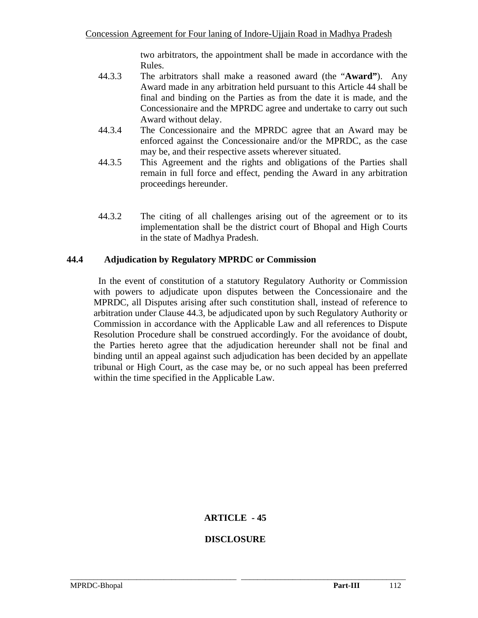two arbitrators, the appointment shall be made in accordance with the Rules.

- 44.3.3 The arbitrators shall make a reasoned award (the "**Award"**). Any Award made in any arbitration held pursuant to this Article 44 shall be final and binding on the Parties as from the date it is made, and the Concessionaire and the MPRDC agree and undertake to carry out such Award without delay.
- 44.3.4 The Concessionaire and the MPRDC agree that an Award may be enforced against the Concessionaire and/or the MPRDC, as the case may be, and their respective assets wherever situated.
- 44.3.5 This Agreement and the rights and obligations of the Parties shall remain in full force and effect, pending the Award in any arbitration proceedings hereunder.
- 44.3.2 The citing of all challenges arising out of the agreement or to its implementation shall be the district court of Bhopal and High Courts in the state of Madhya Pradesh.

## **44.4 Adjudication by Regulatory MPRDC or Commission**

In the event of constitution of a statutory Regulatory Authority or Commission with powers to adjudicate upon disputes between the Concessionaire and the MPRDC, all Disputes arising after such constitution shall, instead of reference to arbitration under Clause 44.3, be adjudicated upon by such Regulatory Authority or Commission in accordance with the Applicable Law and all references to Dispute Resolution Procedure shall be construed accordingly. For the avoidance of doubt, the Parties hereto agree that the adjudication hereunder shall not be final and binding until an appeal against such adjudication has been decided by an appellate tribunal or High Court, as the case may be, or no such appeal has been preferred within the time specified in the Applicable Law.

# **ARTICLE - 45**

# **DISCLOSURE**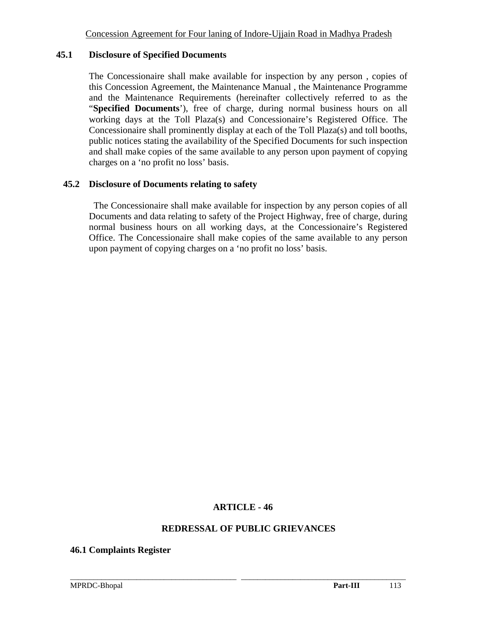### **45.1 Disclosure of Specified Documents**

The Concessionaire shall make available for inspection by any person , copies of this Concession Agreement, the Maintenance Manual , the Maintenance Programme and the Maintenance Requirements (hereinafter collectively referred to as the "**Specified Documents**'), free of charge, during normal business hours on all working days at the Toll Plaza(s) and Concessionaire's Registered Office. The Concessionaire shall prominently display at each of the Toll Plaza(s) and toll booths, public notices stating the availability of the Specified Documents for such inspection and shall make copies of the same available to any person upon payment of copying charges on a 'no profit no loss' basis.

### **45.2 Disclosure of Documents relating to safety**

The Concessionaire shall make available for inspection by any person copies of all Documents and data relating to safety of the Project Highway, free of charge, during normal business hours on all working days, at the Concessionaire's Registered Office. The Concessionaire shall make copies of the same available to any person upon payment of copying charges on a 'no profit no loss' basis.

## **ARTICLE - 46**

\_\_\_\_\_\_\_\_\_\_\_\_\_\_\_\_\_\_\_\_\_\_\_\_\_\_\_\_\_\_\_\_\_\_\_\_\_\_\_\_\_\_\_\_\_\_\_\_\_\_\_\_\_\_\_\_\_\_\_\_\_\_\_\_\_\_\_\_\_\_\_\_\_\_\_\_\_\_\_\_\_\_\_\_\_\_

#### **REDRESSAL OF PUBLIC GRIEVANCES**

**46.1 Complaints Register**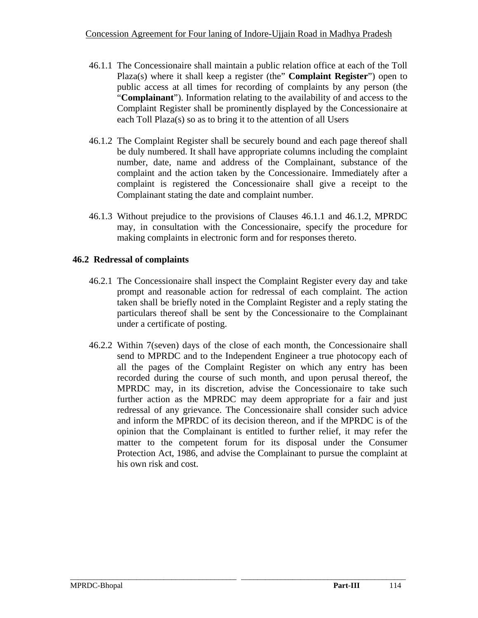- 46.1.1 The Concessionaire shall maintain a public relation office at each of the Toll Plaza(s) where it shall keep a register (the" **Complaint Register**") open to public access at all times for recording of complaints by any person (the "**Complainant**"). Information relating to the availability of and access to the Complaint Register shall be prominently displayed by the Concessionaire at each Toll Plaza(s) so as to bring it to the attention of all Users
- 46.1.2 The Complaint Register shall be securely bound and each page thereof shall be duly numbered. It shall have appropriate columns including the complaint number, date, name and address of the Complainant, substance of the complaint and the action taken by the Concessionaire. Immediately after a complaint is registered the Concessionaire shall give a receipt to the Complainant stating the date and complaint number.
- 46.1.3 Without prejudice to the provisions of Clauses 46.1.1 and 46.1.2, MPRDC may, in consultation with the Concessionaire, specify the procedure for making complaints in electronic form and for responses thereto.

## **46.2 Redressal of complaints**

- 46.2.1 The Concessionaire shall inspect the Complaint Register every day and take prompt and reasonable action for redressal of each complaint. The action taken shall be briefly noted in the Complaint Register and a reply stating the particulars thereof shall be sent by the Concessionaire to the Complainant under a certificate of posting.
- 46.2.2 Within 7(seven) days of the close of each month, the Concessionaire shall send to MPRDC and to the Independent Engineer a true photocopy each of all the pages of the Complaint Register on which any entry has been recorded during the course of such month, and upon perusal thereof, the MPRDC may, in its discretion, advise the Concessionaire to take such further action as the MPRDC may deem appropriate for a fair and just redressal of any grievance. The Concessionaire shall consider such advice and inform the MPRDC of its decision thereon, and if the MPRDC is of the opinion that the Complainant is entitled to further relief, it may refer the matter to the competent forum for its disposal under the Consumer Protection Act, 1986, and advise the Complainant to pursue the complaint at his own risk and cost.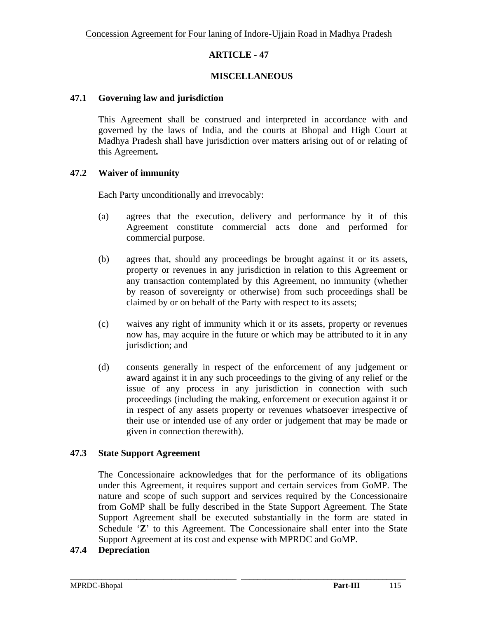## **ARTICLE - 47**

## **MISCELLANEOUS**

### **47.1 Governing law and jurisdiction**

This Agreement shall be construed and interpreted in accordance with and governed by the laws of India, and the courts at Bhopal and High Court at Madhya Pradesh shall have jurisdiction over matters arising out of or relating of this Agreement**.** 

## **47.2 Waiver of immunity**

Each Party unconditionally and irrevocably:

- (a) agrees that the execution, delivery and performance by it of this Agreement constitute commercial acts done and performed for commercial purpose.
- (b) agrees that, should any proceedings be brought against it or its assets, property or revenues in any jurisdiction in relation to this Agreement or any transaction contemplated by this Agreement, no immunity (whether by reason of sovereignty or otherwise) from such proceedings shall be claimed by or on behalf of the Party with respect to its assets;
- (c) waives any right of immunity which it or its assets, property or revenues now has, may acquire in the future or which may be attributed to it in any jurisdiction; and
- (d) consents generally in respect of the enforcement of any judgement or award against it in any such proceedings to the giving of any relief or the issue of any process in any jurisdiction in connection with such proceedings (including the making, enforcement or execution against it or in respect of any assets property or revenues whatsoever irrespective of their use or intended use of any order or judgement that may be made or given in connection therewith).

## **47.3 State Support Agreement**

The Concessionaire acknowledges that for the performance of its obligations under this Agreement, it requires support and certain services from GoMP. The nature and scope of such support and services required by the Concessionaire from GoMP shall be fully described in the State Support Agreement. The State Support Agreement shall be executed substantially in the form are stated in Schedule '**Z**' to this Agreement. The Concessionaire shall enter into the State Support Agreement at its cost and expense with MPRDC and GoMP.

\_\_\_\_\_\_\_\_\_\_\_\_\_\_\_\_\_\_\_\_\_\_\_\_\_\_\_\_\_\_\_\_\_\_\_\_\_\_\_\_\_\_\_\_\_\_\_\_\_\_\_\_\_\_\_\_\_\_\_\_\_\_\_\_\_\_\_\_\_\_\_\_\_\_\_\_\_\_\_\_\_\_\_\_\_\_

## **47.4 Depreciation**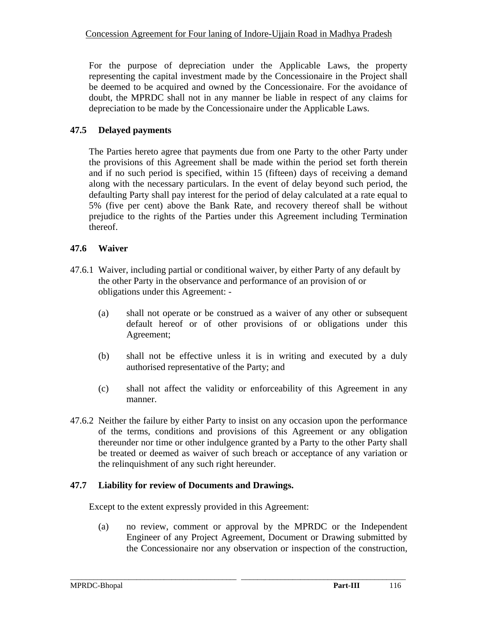For the purpose of depreciation under the Applicable Laws, the property representing the capital investment made by the Concessionaire in the Project shall be deemed to be acquired and owned by the Concessionaire. For the avoidance of doubt, the MPRDC shall not in any manner be liable in respect of any claims for depreciation to be made by the Concessionaire under the Applicable Laws.

# **47.5 Delayed payments**

The Parties hereto agree that payments due from one Party to the other Party under the provisions of this Agreement shall be made within the period set forth therein and if no such period is specified, within 15 (fifteen) days of receiving a demand along with the necessary particulars. In the event of delay beyond such period, the defaulting Party shall pay interest for the period of delay calculated at a rate equal to 5% (five per cent) above the Bank Rate, and recovery thereof shall be without prejudice to the rights of the Parties under this Agreement including Termination thereof.

# **47.6 Waiver**

- 47.6.1 Waiver, including partial or conditional waiver, by either Party of any default by the other Party in the observance and performance of an provision of or obligations under this Agreement: -
	- (a) shall not operate or be construed as a waiver of any other or subsequent default hereof or of other provisions of or obligations under this Agreement;
	- (b) shall not be effective unless it is in writing and executed by a duly authorised representative of the Party; and
	- (c) shall not affect the validity or enforceability of this Agreement in any manner.
- 47.6.2 Neither the failure by either Party to insist on any occasion upon the performance of the terms, conditions and provisions of this Agreement or any obligation thereunder nor time or other indulgence granted by a Party to the other Party shall be treated or deemed as waiver of such breach or acceptance of any variation or the relinquishment of any such right hereunder.

# **47.7 Liability for review of Documents and Drawings.**

Except to the extent expressly provided in this Agreement:

(a) no review, comment or approval by the MPRDC or the Independent Engineer of any Project Agreement, Document or Drawing submitted by the Concessionaire nor any observation or inspection of the construction,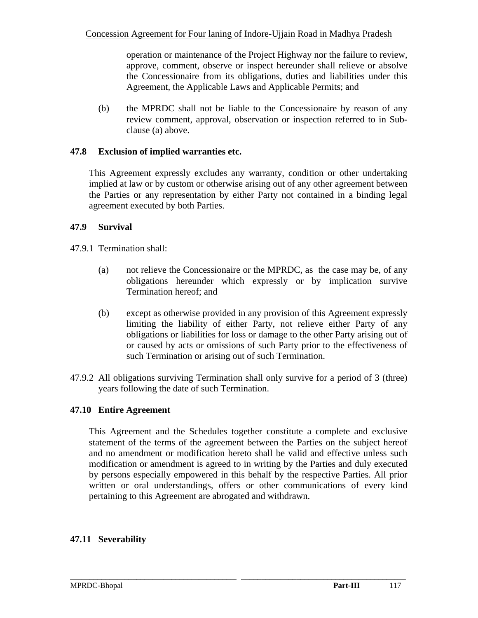operation or maintenance of the Project Highway nor the failure to review, approve, comment, observe or inspect hereunder shall relieve or absolve the Concessionaire from its obligations, duties and liabilities under this Agreement, the Applicable Laws and Applicable Permits; and

(b) the MPRDC shall not be liable to the Concessionaire by reason of any review comment, approval, observation or inspection referred to in Subclause (a) above.

## **47.8 Exclusion of implied warranties etc.**

This Agreement expressly excludes any warranty, condition or other undertaking implied at law or by custom or otherwise arising out of any other agreement between the Parties or any representation by either Party not contained in a binding legal agreement executed by both Parties.

## **47.9 Survival**

47.9.1 Termination shall:

- (a) not relieve the Concessionaire or the MPRDC, as the case may be, of any obligations hereunder which expressly or by implication survive Termination hereof; and
- (b) except as otherwise provided in any provision of this Agreement expressly limiting the liability of either Party, not relieve either Party of any obligations or liabilities for loss or damage to the other Party arising out of or caused by acts or omissions of such Party prior to the effectiveness of such Termination or arising out of such Termination.
- 47.9.2 All obligations surviving Termination shall only survive for a period of 3 (three) years following the date of such Termination.

## **47.10 Entire Agreement**

This Agreement and the Schedules together constitute a complete and exclusive statement of the terms of the agreement between the Parties on the subject hereof and no amendment or modification hereto shall be valid and effective unless such modification or amendment is agreed to in writing by the Parties and duly executed by persons especially empowered in this behalf by the respective Parties. All prior written or oral understandings, offers or other communications of every kind pertaining to this Agreement are abrogated and withdrawn.

# **47.11 Severability**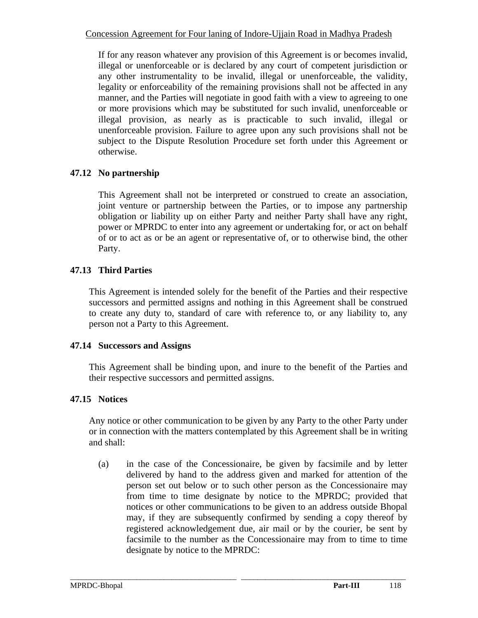If for any reason whatever any provision of this Agreement is or becomes invalid, illegal or unenforceable or is declared by any court of competent jurisdiction or any other instrumentality to be invalid, illegal or unenforceable, the validity, legality or enforceability of the remaining provisions shall not be affected in any manner, and the Parties will negotiate in good faith with a view to agreeing to one or more provisions which may be substituted for such invalid, unenforceable or illegal provision, as nearly as is practicable to such invalid, illegal or unenforceable provision. Failure to agree upon any such provisions shall not be subject to the Dispute Resolution Procedure set forth under this Agreement or otherwise.

# **47.12 No partnership**

This Agreement shall not be interpreted or construed to create an association, joint venture or partnership between the Parties, or to impose any partnership obligation or liability up on either Party and neither Party shall have any right, power or MPRDC to enter into any agreement or undertaking for, or act on behalf of or to act as or be an agent or representative of, or to otherwise bind, the other Party.

# **47.13 Third Parties**

This Agreement is intended solely for the benefit of the Parties and their respective successors and permitted assigns and nothing in this Agreement shall be construed to create any duty to, standard of care with reference to, or any liability to, any person not a Party to this Agreement.

# **47.14 Successors and Assigns**

This Agreement shall be binding upon, and inure to the benefit of the Parties and their respective successors and permitted assigns.

# **47.15 Notices**

Any notice or other communication to be given by any Party to the other Party under or in connection with the matters contemplated by this Agreement shall be in writing and shall:

(a) in the case of the Concessionaire, be given by facsimile and by letter delivered by hand to the address given and marked for attention of the person set out below or to such other person as the Concessionaire may from time to time designate by notice to the MPRDC; provided that notices or other communications to be given to an address outside Bhopal may, if they are subsequently confirmed by sending a copy thereof by registered acknowledgement due, air mail or by the courier, be sent by facsimile to the number as the Concessionaire may from to time to time designate by notice to the MPRDC: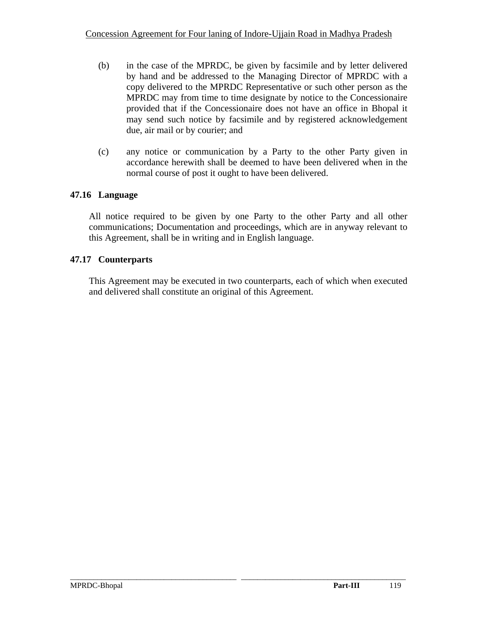- (b) in the case of the MPRDC, be given by facsimile and by letter delivered by hand and be addressed to the Managing Director of MPRDC with a copy delivered to the MPRDC Representative or such other person as the MPRDC may from time to time designate by notice to the Concessionaire provided that if the Concessionaire does not have an office in Bhopal it may send such notice by facsimile and by registered acknowledgement due, air mail or by courier; and
- (c) any notice or communication by a Party to the other Party given in accordance herewith shall be deemed to have been delivered when in the normal course of post it ought to have been delivered.

# **47.16 Language**

All notice required to be given by one Party to the other Party and all other communications; Documentation and proceedings, which are in anyway relevant to this Agreement, shall be in writing and in English language.

## **47.17 Counterparts**

This Agreement may be executed in two counterparts, each of which when executed and delivered shall constitute an original of this Agreement.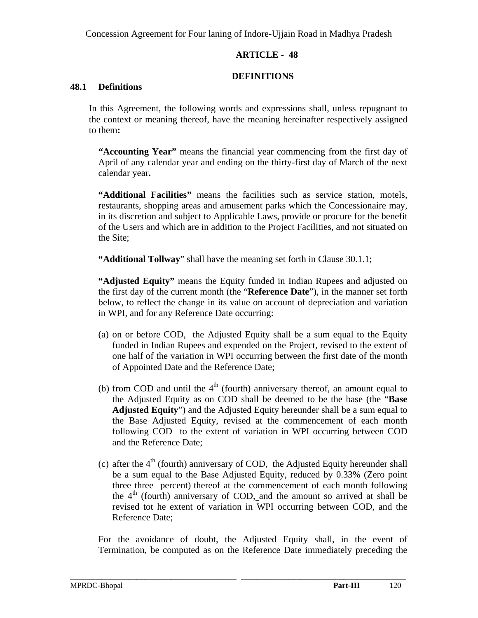## **ARTICLE - 48**

## **DEFINITIONS**

### **48.1 Definitions**

In this Agreement, the following words and expressions shall, unless repugnant to the context or meaning thereof, have the meaning hereinafter respectively assigned to them**:** 

**"Accounting Year"** means the financial year commencing from the first day of April of any calendar year and ending on the thirty-first day of March of the next calendar year**.** 

**"Additional Facilities"** means the facilities such as service station, motels, restaurants, shopping areas and amusement parks which the Concessionaire may, in its discretion and subject to Applicable Laws, provide or procure for the benefit of the Users and which are in addition to the Project Facilities, and not situated on the Site;

**"Additional Tollway**" shall have the meaning set forth in Clause 30.1.1;

**"Adjusted Equity"** means the Equity funded in Indian Rupees and adjusted on the first day of the current month (the "**Reference Date**"), in the manner set forth below, to reflect the change in its value on account of depreciation and variation in WPI, and for any Reference Date occurring:

- (a) on or before COD, the Adjusted Equity shall be a sum equal to the Equity funded in Indian Rupees and expended on the Project, revised to the extent of one half of the variation in WPI occurring between the first date of the month of Appointed Date and the Reference Date;
- (b) from COD and until the  $4<sup>th</sup>$  (fourth) anniversary thereof, an amount equal to the Adjusted Equity as on COD shall be deemed to be the base (the "**Base Adjusted Equity**") and the Adjusted Equity hereunder shall be a sum equal to the Base Adjusted Equity, revised at the commencement of each month following COD to the extent of variation in WPI occurring between COD and the Reference Date;
- (c) after the  $4<sup>th</sup>$  (fourth) anniversary of COD, the Adjusted Equity hereunder shall be a sum equal to the Base Adjusted Equity, reduced by 0.33% (Zero point three three percent) thereof at the commencement of each month following the  $4<sup>th</sup>$  (fourth) anniversary of COD, and the amount so arrived at shall be revised tot he extent of variation in WPI occurring between COD, and the Reference Date;

For the avoidance of doubt, the Adjusted Equity shall, in the event of Termination, be computed as on the Reference Date immediately preceding the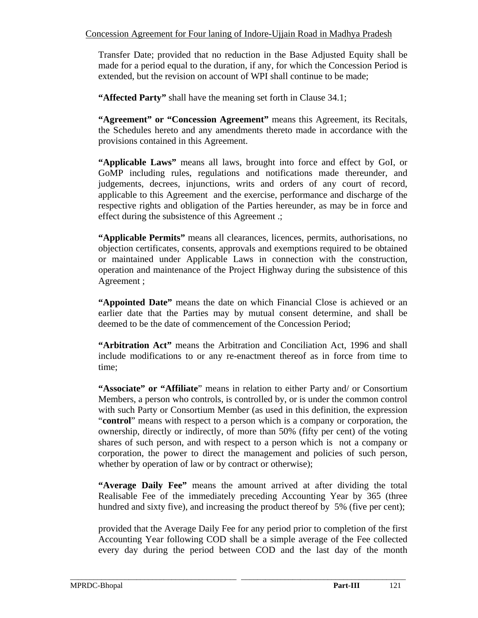Transfer Date; provided that no reduction in the Base Adjusted Equity shall be made for a period equal to the duration, if any, for which the Concession Period is extended, but the revision on account of WPI shall continue to be made;

 **"Affected Party"** shall have the meaning set forth in Clause 34.1;

**"Agreement" or "Concession Agreement"** means this Agreement, its Recitals, the Schedules hereto and any amendments thereto made in accordance with the provisions contained in this Agreement.

**"Applicable Laws"** means all laws, brought into force and effect by GoI, or GoMP including rules, regulations and notifications made thereunder, and judgements, decrees, injunctions, writs and orders of any court of record, applicable to this Agreement and the exercise, performance and discharge of the respective rights and obligation of the Parties hereunder, as may be in force and effect during the subsistence of this Agreement .;

**"Applicable Permits"** means all clearances, licences, permits, authorisations, no objection certificates, consents, approvals and exemptions required to be obtained or maintained under Applicable Laws in connection with the construction, operation and maintenance of the Project Highway during the subsistence of this Agreement ;

**"Appointed Date"** means the date on which Financial Close is achieved or an earlier date that the Parties may by mutual consent determine, and shall be deemed to be the date of commencement of the Concession Period;

**"Arbitration Act"** means the Arbitration and Conciliation Act, 1996 and shall include modifications to or any re-enactment thereof as in force from time to time;

**"Associate" or "Affiliate**" means in relation to either Party and/ or Consortium Members, a person who controls, is controlled by, or is under the common control with such Party or Consortium Member (as used in this definition, the expression "**control**" means with respect to a person which is a company or corporation, the ownership, directly or indirectly, of more than 50% (fifty per cent) of the voting shares of such person, and with respect to a person which is not a company or corporation, the power to direct the management and policies of such person, whether by operation of law or by contract or otherwise);

**"Average Daily Fee"** means the amount arrived at after dividing the total Realisable Fee of the immediately preceding Accounting Year by 365 (three hundred and sixty five), and increasing the product thereof by 5% (five per cent);

provided that the Average Daily Fee for any period prior to completion of the first Accounting Year following COD shall be a simple average of the Fee collected every day during the period between COD and the last day of the month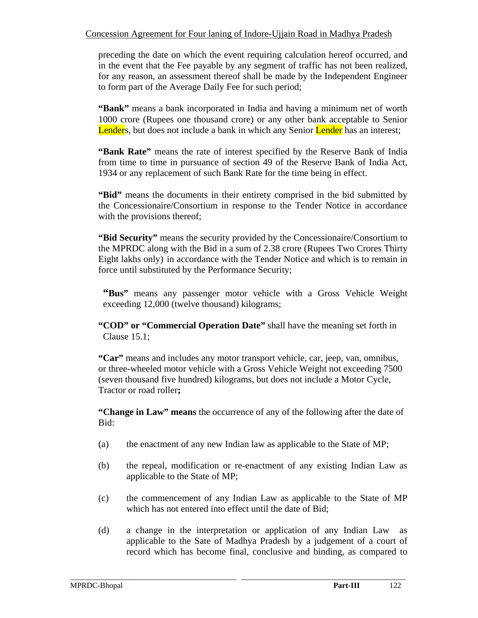preceding the date on which the event requiring calculation hereof occurred, and in the event that the Fee payable by any segment of traffic has not been realized, for any reason, an assessment thereof shall be made by the Independent Engineer to form part of the Average Daily Fee for such period;

**"Bank"** means a bank incorporated in India and having a minimum net of worth 1000 crore (Rupees one thousand crore) or any other bank acceptable to Senior Lenders, but does not include a bank in which any Senior Lender has an interest;

**"Bank Rate"** means the rate of interest specified by the Reserve Bank of India from time to time in pursuance of section 49 of the Reserve Bank of India Act, 1934 or any replacement of such Bank Rate for the time being in effect.

**"Bid"** means the documents in their entirety comprised in the bid submitted by the Concessionaire/Consortium in response to the Tender Notice in accordance with the provisions thereof;

**"Bid Security"** means the security provided by the Concessionaire/Consortium to the MPRDC along with the Bid in a sum of 2.38 crore (Rupees Two Crores Thirty Eight lakhs only) in accordance with the Tender Notice and which is to remain in force until substituted by the Performance Security;

**"Bus"** means any passenger motor vehicle with a Gross Vehicle Weight exceeding 12,000 (twelve thousand) kilograms;

**"COD" or "Commercial Operation Date"** shall have the meaning set forth in Clause 15.1;

**"Car"** means and includes any motor transport vehicle, car, jeep, van, omnibus, or three-wheeled motor vehicle with a Gross Vehicle Weight not exceeding 7500 (seven thousand five hundred) kilograms, but does not include a Motor Cycle, Tractor or road roller**;** 

**"Change in Law" means** the occurrence of any of the following after the date of Bid:

- (a) the enactment of any new Indian law as applicable to the State of MP;
- (b) the repeal, modification or re-enactment of any existing Indian Law as applicable to the State of MP;
- (c) the commencement of any Indian Law as applicable to the State of MP which has not entered into effect until the date of Bid;
- (d) a change in the interpretation or application of any Indian Law as applicable to the Sate of Madhya Pradesh by a judgement of a court of record which has become final, conclusive and binding, as compared to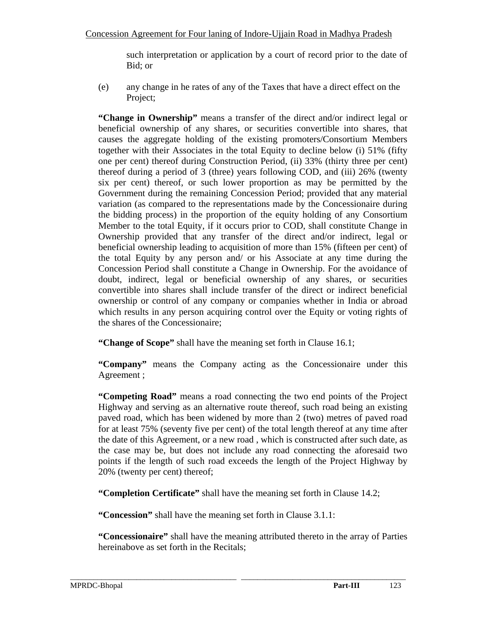such interpretation or application by a court of record prior to the date of Bid; or

(e) any change in he rates of any of the Taxes that have a direct effect on the Project;

**"Change in Ownership"** means a transfer of the direct and/or indirect legal or beneficial ownership of any shares, or securities convertible into shares, that causes the aggregate holding of the existing promoters/Consortium Members together with their Associates in the total Equity to decline below (i) 51% (fifty one per cent) thereof during Construction Period, (ii) 33% (thirty three per cent) thereof during a period of 3 (three) years following COD, and (iii) 26% (twenty six per cent) thereof, or such lower proportion as may be permitted by the Government during the remaining Concession Period; provided that any material variation (as compared to the representations made by the Concessionaire during the bidding process) in the proportion of the equity holding of any Consortium Member to the total Equity, if it occurs prior to COD, shall constitute Change in Ownership provided that any transfer of the direct and/or indirect, legal or beneficial ownership leading to acquisition of more than 15% (fifteen per cent) of the total Equity by any person and/ or his Associate at any time during the Concession Period shall constitute a Change in Ownership. For the avoidance of doubt, indirect, legal or beneficial ownership of any shares, or securities convertible into shares shall include transfer of the direct or indirect beneficial ownership or control of any company or companies whether in India or abroad which results in any person acquiring control over the Equity or voting rights of the shares of the Concessionaire;

**"Change of Scope"** shall have the meaning set forth in Clause 16.1;

**"Company"** means the Company acting as the Concessionaire under this Agreement ;

**"Competing Road"** means a road connecting the two end points of the Project Highway and serving as an alternative route thereof, such road being an existing paved road, which has been widened by more than 2 (two) metres of paved road for at least 75% (seventy five per cent) of the total length thereof at any time after the date of this Agreement, or a new road , which is constructed after such date, as the case may be, but does not include any road connecting the aforesaid two points if the length of such road exceeds the length of the Project Highway by 20% (twenty per cent) thereof;

**"Completion Certificate"** shall have the meaning set forth in Clause 14.2;

**"Concession"** shall have the meaning set forth in Clause 3.1.1:

**"Concessionaire"** shall have the meaning attributed thereto in the array of Parties hereinabove as set forth in the Recitals;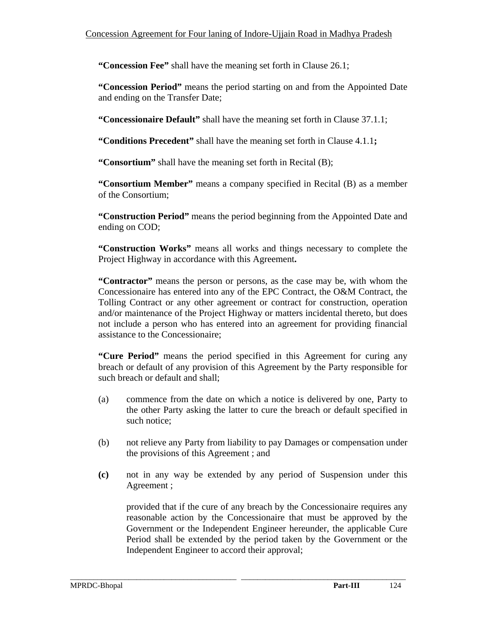**"Concession Fee"** shall have the meaning set forth in Clause 26.1;

**"Concession Period"** means the period starting on and from the Appointed Date and ending on the Transfer Date;

**"Concessionaire Default"** shall have the meaning set forth in Clause 37.1.1;

**"Conditions Precedent"** shall have the meaning set forth in Clause 4.1.1**;** 

**"Consortium"** shall have the meaning set forth in Recital (B);

**"Consortium Member"** means a company specified in Recital (B) as a member of the Consortium;

**"Construction Period"** means the period beginning from the Appointed Date and ending on COD;

**"Construction Works"** means all works and things necessary to complete the Project Highway in accordance with this Agreement**.** 

**"Contractor"** means the person or persons, as the case may be, with whom the Concessionaire has entered into any of the EPC Contract, the O&M Contract, the Tolling Contract or any other agreement or contract for construction, operation and/or maintenance of the Project Highway or matters incidental thereto, but does not include a person who has entered into an agreement for providing financial assistance to the Concessionaire;

**"Cure Period"** means the period specified in this Agreement for curing any breach or default of any provision of this Agreement by the Party responsible for such breach or default and shall;

- (a) commence from the date on which a notice is delivered by one, Party to the other Party asking the latter to cure the breach or default specified in such notice;
- (b) not relieve any Party from liability to pay Damages or compensation under the provisions of this Agreement ; and
- **(c)** not in any way be extended by any period of Suspension under this Agreement ;

\_\_\_\_\_\_\_\_\_\_\_\_\_\_\_\_\_\_\_\_\_\_\_\_\_\_\_\_\_\_\_\_\_\_\_\_\_\_\_\_\_\_\_\_\_\_\_\_\_\_\_\_\_\_\_\_\_\_\_\_\_\_\_\_\_\_\_\_\_\_\_\_\_\_\_\_\_\_\_\_\_\_\_\_\_\_

provided that if the cure of any breach by the Concessionaire requires any reasonable action by the Concessionaire that must be approved by the Government or the Independent Engineer hereunder, the applicable Cure Period shall be extended by the period taken by the Government or the Independent Engineer to accord their approval;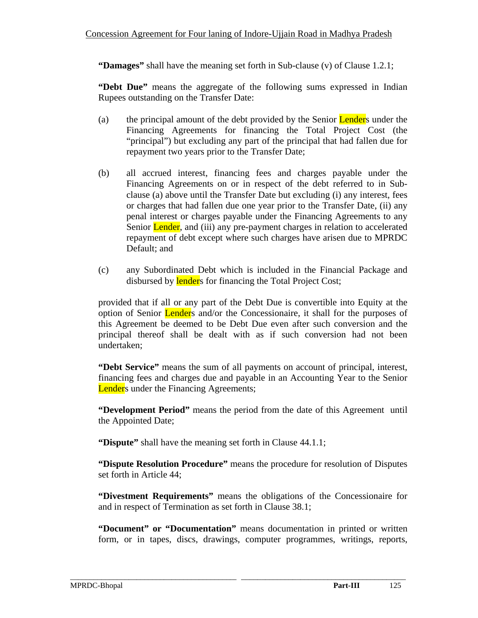**"Damages"** shall have the meaning set forth in Sub-clause (v) of Clause 1.2.1;

**"Debt Due"** means the aggregate of the following sums expressed in Indian Rupees outstanding on the Transfer Date:

- (a) the principal amount of the debt provided by the Senior Lenders under the Financing Agreements for financing the Total Project Cost (the "principal") but excluding any part of the principal that had fallen due for repayment two years prior to the Transfer Date;
- (b) all accrued interest, financing fees and charges payable under the Financing Agreements on or in respect of the debt referred to in Subclause (a) above until the Transfer Date but excluding (i) any interest, fees or charges that had fallen due one year prior to the Transfer Date, (ii) any penal interest or charges payable under the Financing Agreements to any Senior **Lender**, and (iii) any pre-payment charges in relation to accelerated repayment of debt except where such charges have arisen due to MPRDC Default; and
- (c) any Subordinated Debt which is included in the Financial Package and disbursed by lenders for financing the Total Project Cost;

provided that if all or any part of the Debt Due is convertible into Equity at the option of Senior Lenders and/or the Concessionaire, it shall for the purposes of this Agreement be deemed to be Debt Due even after such conversion and the principal thereof shall be dealt with as if such conversion had not been undertaken;

**"Debt Service"** means the sum of all payments on account of principal, interest, financing fees and charges due and payable in an Accounting Year to the Senior **Lender**s under the Financing Agreements;

**"Development Period"** means the period from the date of this Agreement until the Appointed Date;

**"Dispute"** shall have the meaning set forth in Clause 44.1.1;

**"Dispute Resolution Procedure"** means the procedure for resolution of Disputes set forth in Article 44;

**"Divestment Requirements"** means the obligations of the Concessionaire for and in respect of Termination as set forth in Clause 38.1;

**"Document" or "Documentation"** means documentation in printed or written form, or in tapes, discs, drawings, computer programmes, writings, reports,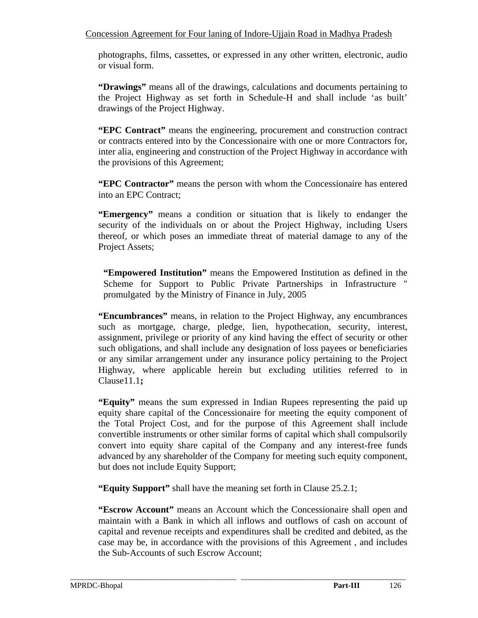photographs, films, cassettes, or expressed in any other written, electronic, audio or visual form.

**"Drawings"** means all of the drawings, calculations and documents pertaining to the Project Highway as set forth in Schedule-H and shall include 'as built' drawings of the Project Highway.

**"EPC Contract"** means the engineering, procurement and construction contract or contracts entered into by the Concessionaire with one or more Contractors for, inter alia, engineering and construction of the Project Highway in accordance with the provisions of this Agreement;

**"EPC Contractor"** means the person with whom the Concessionaire has entered into an EPC Contract;

**"Emergency"** means a condition or situation that is likely to endanger the security of the individuals on or about the Project Highway, including Users thereof, or which poses an immediate threat of material damage to any of the Project Assets;

**"Empowered Institution"** means the Empowered Institution as defined in the Scheme for Support to Public Private Partnerships in Infrastructure " promulgated by the Ministry of Finance in July, 2005

**"Encumbrances"** means, in relation to the Project Highway, any encumbrances such as mortgage, charge, pledge, lien, hypothecation, security, interest, assignment, privilege or priority of any kind having the effect of security or other such obligations, and shall include any designation of loss payees or beneficiaries or any similar arrangement under any insurance policy pertaining to the Project Highway, where applicable herein but excluding utilities referred to in Clause11.1**;** 

**"Equity"** means the sum expressed in Indian Rupees representing the paid up equity share capital of the Concessionaire for meeting the equity component of the Total Project Cost, and for the purpose of this Agreement shall include convertible instruments or other similar forms of capital which shall compulsorily convert into equity share capital of the Company and any interest-free funds advanced by any shareholder of the Company for meeting such equity component, but does not include Equity Support;

**"Equity Support"** shall have the meaning set forth in Clause 25.2.1;

**"Escrow Account"** means an Account which the Concessionaire shall open and maintain with a Bank in which all inflows and outflows of cash on account of capital and revenue receipts and expenditures shall be credited and debited, as the case may be, in accordance with the provisions of this Agreement , and includes the Sub-Accounts of such Escrow Account;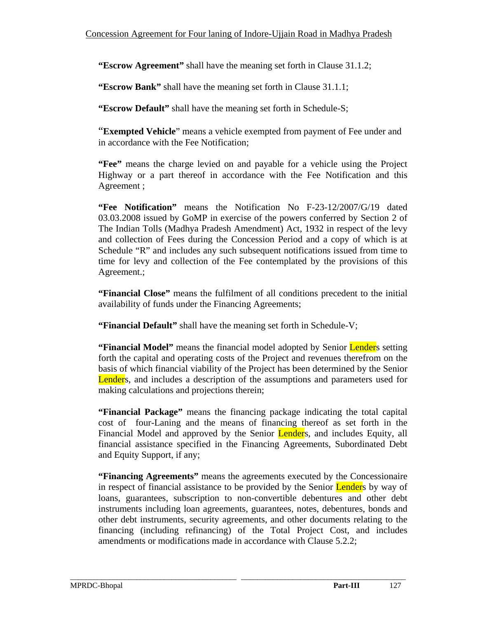**"Escrow Agreement"** shall have the meaning set forth in Clause 31.1.2;

**"Escrow Bank"** shall have the meaning set forth in Clause 31.1.1;

**"Escrow Default"** shall have the meaning set forth in Schedule-S;

"**Exempted Vehicle**" means a vehicle exempted from payment of Fee under and in accordance with the Fee Notification;

**"Fee"** means the charge levied on and payable for a vehicle using the Project Highway or a part thereof in accordance with the Fee Notification and this Agreement ;

**"Fee Notification"** means the Notification No F-23-12/2007/G/19 dated 03.03.2008 issued by GoMP in exercise of the powers conferred by Section 2 of The Indian Tolls (Madhya Pradesh Amendment) Act, 1932 in respect of the levy and collection of Fees during the Concession Period and a copy of which is at Schedule "R" and includes any such subsequent notifications issued from time to time for levy and collection of the Fee contemplated by the provisions of this Agreement.;

**"Financial Close"** means the fulfilment of all conditions precedent to the initial availability of funds under the Financing Agreements;

**"Financial Default"** shall have the meaning set forth in Schedule-V;

**"Financial Model"** means the financial model adopted by Senior **Lender**s setting forth the capital and operating costs of the Project and revenues therefrom on the basis of which financial viability of the Project has been determined by the Senior Lenders, and includes a description of the assumptions and parameters used for making calculations and projections therein;

**"Financial Package"** means the financing package indicating the total capital cost of four-Laning and the means of financing thereof as set forth in the Financial Model and approved by the Senior Lenders, and includes Equity, all financial assistance specified in the Financing Agreements, Subordinated Debt and Equity Support, if any;

**"Financing Agreements"** means the agreements executed by the Concessionaire in respect of financial assistance to be provided by the Senior Lenders by way of loans, guarantees, subscription to non-convertible debentures and other debt instruments including loan agreements, guarantees, notes, debentures, bonds and other debt instruments, security agreements, and other documents relating to the financing (including refinancing) of the Total Project Cost, and includes amendments or modifications made in accordance with Clause 5.2.2;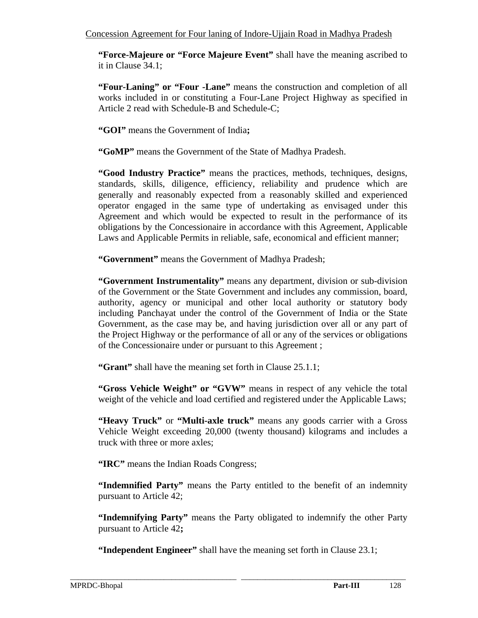**"Force-Majeure or "Force Majeure Event"** shall have the meaning ascribed to it in Clause 34.1;

**"Four-Laning" or "Four -Lane"** means the construction and completion of all works included in or constituting a Four-Lane Project Highway as specified in Article 2 read with Schedule-B and Schedule-C;

**"GOI"** means the Government of India**;** 

**"GoMP"** means the Government of the State of Madhya Pradesh.

**"Good Industry Practice"** means the practices, methods, techniques, designs, standards, skills, diligence, efficiency, reliability and prudence which are generally and reasonably expected from a reasonably skilled and experienced operator engaged in the same type of undertaking as envisaged under this Agreement and which would be expected to result in the performance of its obligations by the Concessionaire in accordance with this Agreement, Applicable Laws and Applicable Permits in reliable, safe, economical and efficient manner;

**"Government"** means the Government of Madhya Pradesh;

**"Government Instrumentality"** means any department, division or sub-division of the Government or the State Government and includes any commission, board, authority, agency or municipal and other local authority or statutory body including Panchayat under the control of the Government of India or the State Government, as the case may be, and having jurisdiction over all or any part of the Project Highway or the performance of all or any of the services or obligations of the Concessionaire under or pursuant to this Agreement ;

**"Grant"** shall have the meaning set forth in Clause 25.1.1;

**"Gross Vehicle Weight" or "GVW"** means in respect of any vehicle the total weight of the vehicle and load certified and registered under the Applicable Laws;

**"Heavy Truck"** or **"Multi-axle truck"** means any goods carrier with a Gross Vehicle Weight exceeding 20,000 (twenty thousand) kilograms and includes a truck with three or more axles;

**"IRC"** means the Indian Roads Congress;

**"Indemnified Party"** means the Party entitled to the benefit of an indemnity pursuant to Article 42;

**"Indemnifying Party"** means the Party obligated to indemnify the other Party pursuant to Article 42**;** 

**"Independent Engineer"** shall have the meaning set forth in Clause 23.1;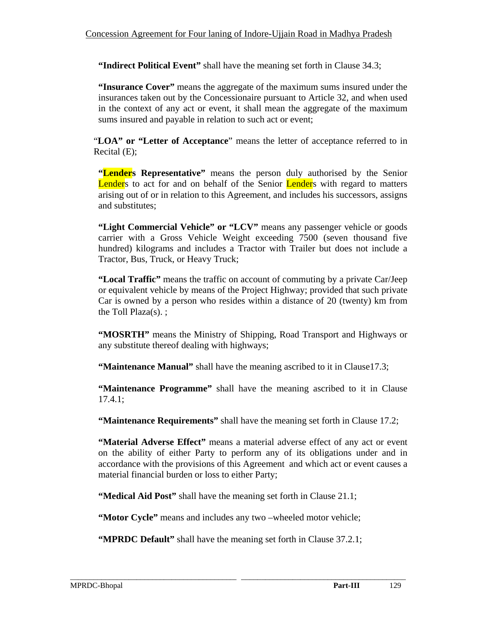**"Indirect Political Event"** shall have the meaning set forth in Clause 34.3;

**"Insurance Cover"** means the aggregate of the maximum sums insured under the insurances taken out by the Concessionaire pursuant to Article 32, and when used in the context of any act or event, it shall mean the aggregate of the maximum sums insured and payable in relation to such act or event;

"**LOA" or "Letter of Acceptance**" means the letter of acceptance referred to in Recital (E);

**"Lenders Representative"** means the person duly authorised by the Senior Lenders to act for and on behalf of the Senior Lenders with regard to matters arising out of or in relation to this Agreement, and includes his successors, assigns and substitutes;

**"Light Commercial Vehicle" or "LCV"** means any passenger vehicle or goods carrier with a Gross Vehicle Weight exceeding 7500 (seven thousand five hundred) kilograms and includes a Tractor with Trailer but does not include a Tractor, Bus, Truck, or Heavy Truck;

**"Local Traffic"** means the traffic on account of commuting by a private Car/Jeep or equivalent vehicle by means of the Project Highway; provided that such private Car is owned by a person who resides within a distance of 20 (twenty) km from the Toll Plaza(s). ;

**"MOSRTH"** means the Ministry of Shipping, Road Transport and Highways or any substitute thereof dealing with highways;

**"Maintenance Manual"** shall have the meaning ascribed to it in Clause 17.3;

**"Maintenance Programme"** shall have the meaning ascribed to it in Clause 17.4.1;

**"Maintenance Requirements"** shall have the meaning set forth in Clause 17.2;

**"Material Adverse Effect"** means a material adverse effect of any act or event on the ability of either Party to perform any of its obligations under and in accordance with the provisions of this Agreement and which act or event causes a material financial burden or loss to either Party;

**"Medical Aid Post"** shall have the meaning set forth in Clause 21.1;

**"Motor Cycle"** means and includes any two –wheeled motor vehicle;

**"MPRDC Default"** shall have the meaning set forth in Clause 37.2.1;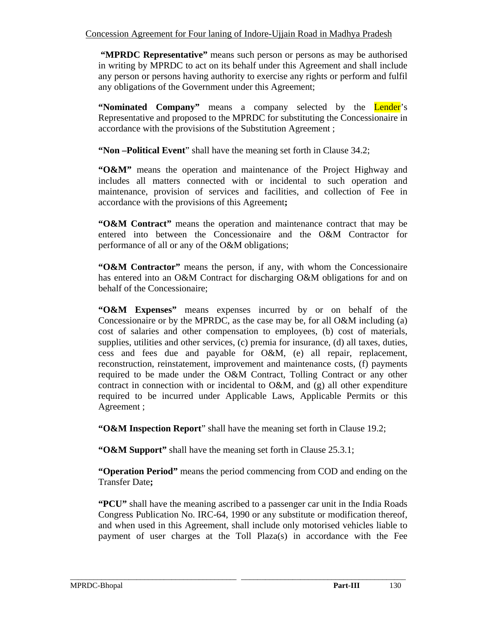**"MPRDC Representative"** means such person or persons as may be authorised in writing by MPRDC to act on its behalf under this Agreement and shall include any person or persons having authority to exercise any rights or perform and fulfil any obligations of the Government under this Agreement;

**"Nominated Company"** means a company selected by the **Lender**'s Representative and proposed to the MPRDC for substituting the Concessionaire in accordance with the provisions of the Substitution Agreement ;

**"Non –Political Event**" shall have the meaning set forth in Clause 34.2;

**"O&M"** means the operation and maintenance of the Project Highway and includes all matters connected with or incidental to such operation and maintenance, provision of services and facilities, and collection of Fee in accordance with the provisions of this Agreement**;** 

**"O&M Contract"** means the operation and maintenance contract that may be entered into between the Concessionaire and the O&M Contractor for performance of all or any of the O&M obligations;

**"O&M Contractor"** means the person, if any, with whom the Concessionaire has entered into an O&M Contract for discharging O&M obligations for and on behalf of the Concessionaire;

**"O&M Expenses"** means expenses incurred by or on behalf of the Concessionaire or by the MPRDC, as the case may be, for all O&M including (a) cost of salaries and other compensation to employees, (b) cost of materials, supplies, utilities and other services, (c) premia for insurance, (d) all taxes, duties, cess and fees due and payable for O&M, (e) all repair, replacement, reconstruction, reinstatement, improvement and maintenance costs, (f) payments required to be made under the O&M Contract, Tolling Contract or any other contract in connection with or incidental to  $O\&M$ , and (g) all other expenditure required to be incurred under Applicable Laws, Applicable Permits or this Agreement ;

**"O&M Inspection Report**" shall have the meaning set forth in Clause 19.2;

**"O&M Support"** shall have the meaning set forth in Clause 25.3.1;

**"Operation Period"** means the period commencing from COD and ending on the Transfer Date**;** 

**"PCU"** shall have the meaning ascribed to a passenger car unit in the India Roads Congress Publication No. IRC-64, 1990 or any substitute or modification thereof, and when used in this Agreement, shall include only motorised vehicles liable to payment of user charges at the Toll Plaza(s) in accordance with the Fee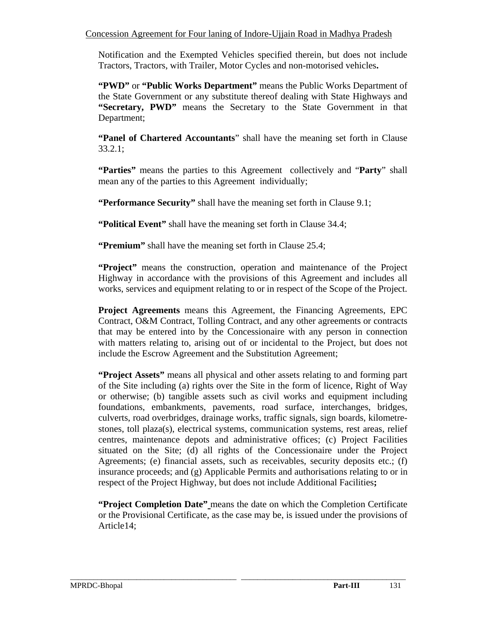Notification and the Exempted Vehicles specified therein, but does not include Tractors, Tractors, with Trailer, Motor Cycles and non-motorised vehicles**.** 

**"PWD"** or **"Public Works Department"** means the Public Works Department of the State Government or any substitute thereof dealing with State Highways and **"Secretary, PWD"** means the Secretary to the State Government in that Department;

**"Panel of Chartered Accountants**" shall have the meaning set forth in Clause 33.2.1;

**"Parties"** means the parties to this Agreement collectively and "**Party**" shall mean any of the parties to this Agreement individually;

**"Performance Security"** shall have the meaning set forth in Clause 9.1;

**"Political Event"** shall have the meaning set forth in Clause 34.4;

**"Premium"** shall have the meaning set forth in Clause 25.4;

**"Project"** means the construction, operation and maintenance of the Project Highway in accordance with the provisions of this Agreement and includes all works, services and equipment relating to or in respect of the Scope of the Project.

**Project Agreements** means this Agreement, the Financing Agreements, EPC Contract, O&M Contract, Tolling Contract, and any other agreements or contracts that may be entered into by the Concessionaire with any person in connection with matters relating to, arising out of or incidental to the Project, but does not include the Escrow Agreement and the Substitution Agreement;

**"Project Assets"** means all physical and other assets relating to and forming part of the Site including (a) rights over the Site in the form of licence, Right of Way or otherwise; (b) tangible assets such as civil works and equipment including foundations, embankments, pavements, road surface, interchanges, bridges, culverts, road overbridges, drainage works, traffic signals, sign boards, kilometrestones, toll plaza(s), electrical systems, communication systems, rest areas, relief centres, maintenance depots and administrative offices; (c) Project Facilities situated on the Site; (d) all rights of the Concessionaire under the Project Agreements; (e) financial assets, such as receivables, security deposits etc.; (f) insurance proceeds; and (g) Applicable Permits and authorisations relating to or in respect of the Project Highway, but does not include Additional Facilities**;** 

**"Project Completion Date"** means the date on which the Completion Certificate or the Provisional Certificate, as the case may be, is issued under the provisions of Article14;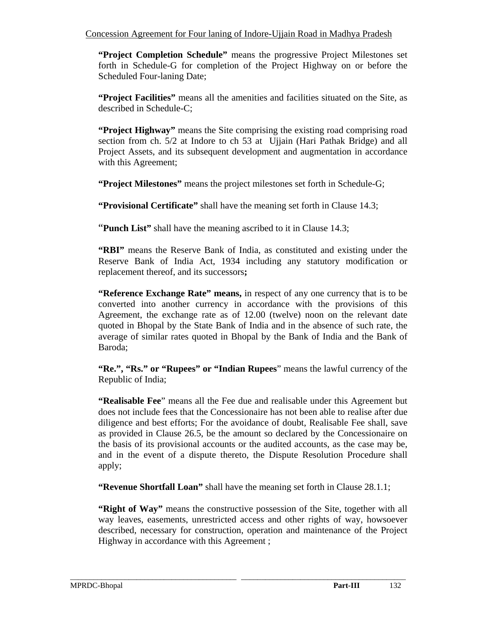**"Project Completion Schedule"** means the progressive Project Milestones set forth in Schedule-G for completion of the Project Highway on or before the Scheduled Four-laning Date;

**"Project Facilities"** means all the amenities and facilities situated on the Site, as described in Schedule-C;

**"Project Highway"** means the Site comprising the existing road comprising road section from ch. 5/2 at Indore to ch 53 at Ujjain (Hari Pathak Bridge) and all Project Assets, and its subsequent development and augmentation in accordance with this Agreement;

**"Project Milestones"** means the project milestones set forth in Schedule-G;

**"Provisional Certificate"** shall have the meaning set forth in Clause 14.3;

"**Punch List"** shall have the meaning ascribed to it in Clause 14.3;

**"RBI"** means the Reserve Bank of India, as constituted and existing under the Reserve Bank of India Act, 1934 including any statutory modification or replacement thereof, and its successors**;** 

**"Reference Exchange Rate" means, in respect of any one currency that is to be** converted into another currency in accordance with the provisions of this Agreement, the exchange rate as of 12.00 (twelve) noon on the relevant date quoted in Bhopal by the State Bank of India and in the absence of such rate, the average of similar rates quoted in Bhopal by the Bank of India and the Bank of Baroda;

**"Re.", "Rs." or "Rupees" or "Indian Rupees**" means the lawful currency of the Republic of India;

**"Realisable Fee**" means all the Fee due and realisable under this Agreement but does not include fees that the Concessionaire has not been able to realise after due diligence and best efforts; For the avoidance of doubt, Realisable Fee shall, save as provided in Clause 26.5, be the amount so declared by the Concessionaire on the basis of its provisional accounts or the audited accounts, as the case may be, and in the event of a dispute thereto, the Dispute Resolution Procedure shall apply;

**"Revenue Shortfall Loan"** shall have the meaning set forth in Clause 28.1.1;

\_\_\_\_\_\_\_\_\_\_\_\_\_\_\_\_\_\_\_\_\_\_\_\_\_\_\_\_\_\_\_\_\_\_\_\_\_\_\_\_\_\_\_\_\_\_\_\_\_\_\_\_\_\_\_\_\_\_\_\_\_\_\_\_\_\_\_\_\_\_\_\_\_\_\_\_\_\_\_\_\_\_\_\_\_\_

**"Right of Way"** means the constructive possession of the Site, together with all way leaves, easements, unrestricted access and other rights of way, howsoever described, necessary for construction, operation and maintenance of the Project Highway in accordance with this Agreement ;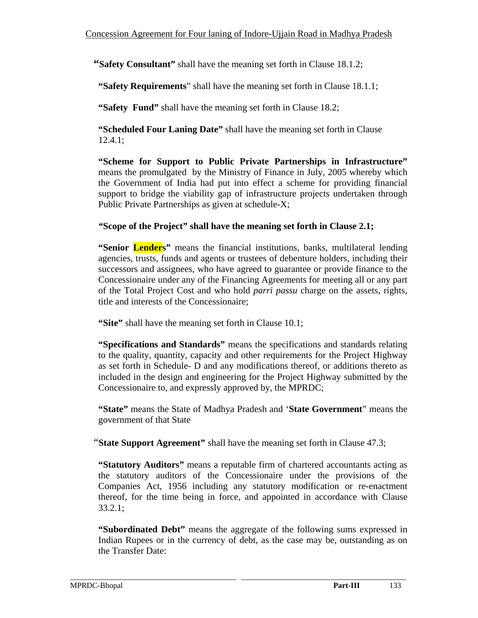**"Safety Consultant"** shall have the meaning set forth in Clause 18.1.2;

 **"Safety Requirements**" shall have the meaning set forth in Clause 18.1.1;

**"Safety Fund"** shall have the meaning set forth in Clause 18.2;

**"Scheduled Four Laning Date"** shall have the meaning set forth in Clause 12.4.1;

**"Scheme for Support to Public Private Partnerships in Infrastructure"**  means the promulgated by the Ministry of Finance in July, 2005 whereby which the Government of India had put into effect a scheme for providing financial support to bridge the viability gap of infrastructure projects undertaken through Public Private Partnerships as given at schedule-X;

## *"***Scope of the Project" shall have the meaning set forth in Clause 2.1;**

**"Senior Lenders"** means the financial institutions, banks, multilateral lending agencies, trusts, funds and agents or trustees of debenture holders, including their successors and assignees, who have agreed to guarantee or provide finance to the Concessionaire under any of the Financing Agreements for meeting all or any part of the Total Project Cost and who hold *parri passu* charge on the assets, rights, title and interests of the Concessionaire;

**"Site"** shall have the meaning set forth in Clause 10.1;

**"Specifications and Standards"** means the specifications and standards relating to the quality, quantity, capacity and other requirements for the Project Highway as set forth in Schedule- D and any modifications thereof, or additions thereto as included in the design and engineering for the Project Highway submitted by the Concessionaire to, and expressly approved by, the MPRDC;

**"State"** means the State of Madhya Pradesh and '**State Government**" means the government of that State

"**State Support Agreement"** shall have the meaning set forth in Clause 47.3;

**"Statutory Auditors"** means a reputable firm of chartered accountants acting as the statutory auditors of the Concessionaire under the provisions of the Companies Act, 1956 including any statutory modification or re-enactment thereof, for the time being in force, and appointed in accordance with Clause 33.2.1;

**"Subordinated Debt"** means the aggregate of the following sums expressed in Indian Rupees or in the currency of debt, as the case may be, outstanding as on the Transfer Date: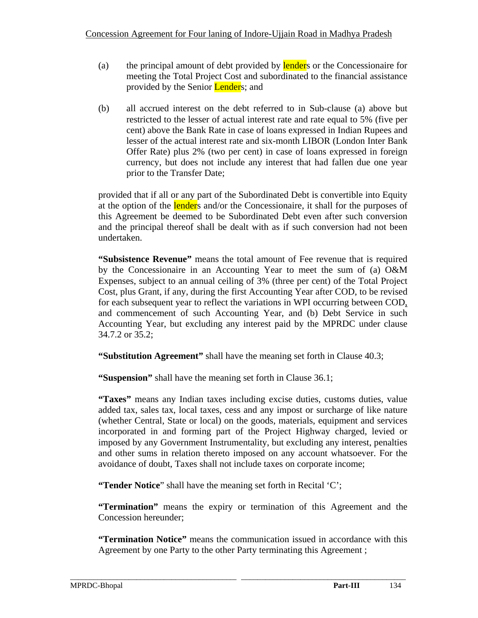- (a) the principal amount of debt provided by lenders or the Concessionaire for meeting the Total Project Cost and subordinated to the financial assistance provided by the Senior **Lenders**; and
- (b) all accrued interest on the debt referred to in Sub-clause (a) above but restricted to the lesser of actual interest rate and rate equal to 5% (five per cent) above the Bank Rate in case of loans expressed in Indian Rupees and lesser of the actual interest rate and six-month LIBOR (London Inter Bank Offer Rate) plus 2% (two per cent) in case of loans expressed in foreign currency, but does not include any interest that had fallen due one year prior to the Transfer Date;

provided that if all or any part of the Subordinated Debt is convertible into Equity at the option of the **lender**s and/or the Concessionaire, it shall for the purposes of this Agreement be deemed to be Subordinated Debt even after such conversion and the principal thereof shall be dealt with as if such conversion had not been undertaken.

**"Subsistence Revenue"** means the total amount of Fee revenue that is required by the Concessionaire in an Accounting Year to meet the sum of (a) O&M Expenses, subject to an annual ceiling of 3% (three per cent) of the Total Project Cost, plus Grant, if any, during the first Accounting Year after COD, to be revised for each subsequent year to reflect the variations in WPI occurring between COD, and commencement of such Accounting Year, and (b) Debt Service in such Accounting Year, but excluding any interest paid by the MPRDC under clause 34.7.2 or 35.2;

**"Substitution Agreement"** shall have the meaning set forth in Clause 40.3;

**"Suspension"** shall have the meaning set forth in Clause 36.1;

**"Taxes"** means any Indian taxes including excise duties, customs duties, value added tax, sales tax, local taxes, cess and any impost or surcharge of like nature (whether Central, State or local) on the goods, materials, equipment and services incorporated in and forming part of the Project Highway charged, levied or imposed by any Government Instrumentality, but excluding any interest, penalties and other sums in relation thereto imposed on any account whatsoever. For the avoidance of doubt, Taxes shall not include taxes on corporate income;

**"Tender Notice**" shall have the meaning set forth in Recital 'C';

**"Termination"** means the expiry or termination of this Agreement and the Concession hereunder;

**"Termination Notice"** means the communication issued in accordance with this Agreement by one Party to the other Party terminating this Agreement ;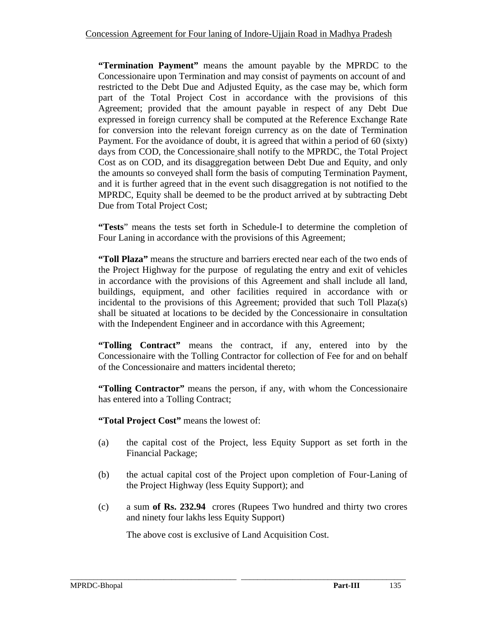**"Termination Payment"** means the amount payable by the MPRDC to the Concessionaire upon Termination and may consist of payments on account of and restricted to the Debt Due and Adjusted Equity, as the case may be, which form part of the Total Project Cost in accordance with the provisions of this Agreement; provided that the amount payable in respect of any Debt Due expressed in foreign currency shall be computed at the Reference Exchange Rate for conversion into the relevant foreign currency as on the date of Termination Payment. For the avoidance of doubt, it is agreed that within a period of 60 (sixty) days from COD, the Concessionaire shall notify to the MPRDC, the Total Project Cost as on COD, and its disaggregation between Debt Due and Equity, and only the amounts so conveyed shall form the basis of computing Termination Payment, and it is further agreed that in the event such disaggregation is not notified to the MPRDC, Equity shall be deemed to be the product arrived at by subtracting Debt Due from Total Project Cost;

**"Tests**" means the tests set forth in Schedule-I to determine the completion of Four Laning in accordance with the provisions of this Agreement;

**"Toll Plaza"** means the structure and barriers erected near each of the two ends of the Project Highway for the purpose of regulating the entry and exit of vehicles in accordance with the provisions of this Agreement and shall include all land, buildings, equipment, and other facilities required in accordance with or incidental to the provisions of this Agreement; provided that such Toll Plaza(s) shall be situated at locations to be decided by the Concessionaire in consultation with the Independent Engineer and in accordance with this Agreement;

**"Tolling Contract"** means the contract, if any, entered into by the Concessionaire with the Tolling Contractor for collection of Fee for and on behalf of the Concessionaire and matters incidental thereto;

**"Tolling Contractor"** means the person, if any, with whom the Concessionaire has entered into a Tolling Contract;

**"Total Project Cost"** means the lowest of:

- (a) the capital cost of the Project, less Equity Support as set forth in the Financial Package;
- (b) the actual capital cost of the Project upon completion of Four-Laning of the Project Highway (less Equity Support); and
- (c) a sum **of Rs. 232.94** crores (Rupees Two hundred and thirty two crores and ninety four lakhs less Equity Support)

The above cost is exclusive of Land Acquisition Cost.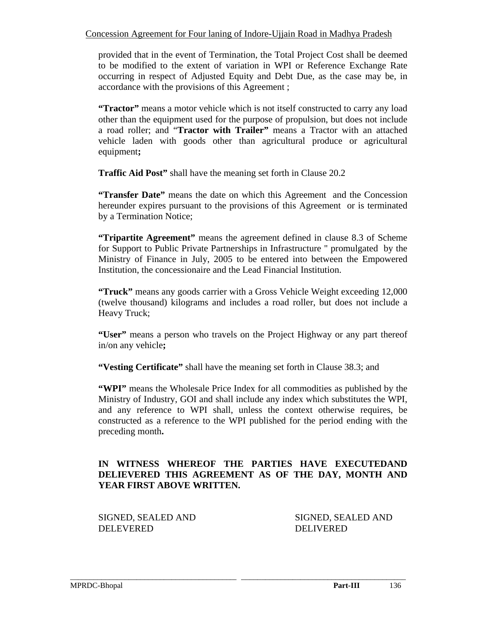provided that in the event of Termination, the Total Project Cost shall be deemed to be modified to the extent of variation in WPI or Reference Exchange Rate occurring in respect of Adjusted Equity and Debt Due, as the case may be, in accordance with the provisions of this Agreement ;

**"Tractor"** means a motor vehicle which is not itself constructed to carry any load other than the equipment used for the purpose of propulsion, but does not include a road roller; and "**Tractor with Trailer"** means a Tractor with an attached vehicle laden with goods other than agricultural produce or agricultural equipment**;** 

**Traffic Aid Post"** shall have the meaning set forth in Clause 20.2

**"Transfer Date"** means the date on which this Agreement and the Concession hereunder expires pursuant to the provisions of this Agreement or is terminated by a Termination Notice;

**"Tripartite Agreement"** means the agreement defined in clause 8.3 of Scheme for Support to Public Private Partnerships in Infrastructure " promulgated by the Ministry of Finance in July, 2005 to be entered into between the Empowered Institution, the concessionaire and the Lead Financial Institution.

**"Truck"** means any goods carrier with a Gross Vehicle Weight exceeding 12,000 (twelve thousand) kilograms and includes a road roller, but does not include a Heavy Truck;

**"User"** means a person who travels on the Project Highway or any part thereof in/on any vehicle**;** 

**"Vesting Certificate"** shall have the meaning set forth in Clause 38.3; and

**"WPI"** means the Wholesale Price Index for all commodities as published by the Ministry of Industry, GOI and shall include any index which substitutes the WPI, and any reference to WPI shall, unless the context otherwise requires, be constructed as a reference to the WPI published for the period ending with the preceding month**.** 

## **IN WITNESS WHEREOF THE PARTIES HAVE EXECUTEDAND DELIEVERED THIS AGREEMENT AS OF THE DAY, MONTH AND YEAR FIRST ABOVE WRITTEN.**

\_\_\_\_\_\_\_\_\_\_\_\_\_\_\_\_\_\_\_\_\_\_\_\_\_\_\_\_\_\_\_\_\_\_\_\_\_\_\_\_\_\_\_\_\_\_\_\_\_\_\_\_\_\_\_\_\_\_\_\_\_\_\_\_\_\_\_\_\_\_\_\_\_\_\_\_\_\_\_\_\_\_\_\_\_\_

SIGNED, SEALED AND SIGNED, SEALED AND DELEVERED DELIVERED